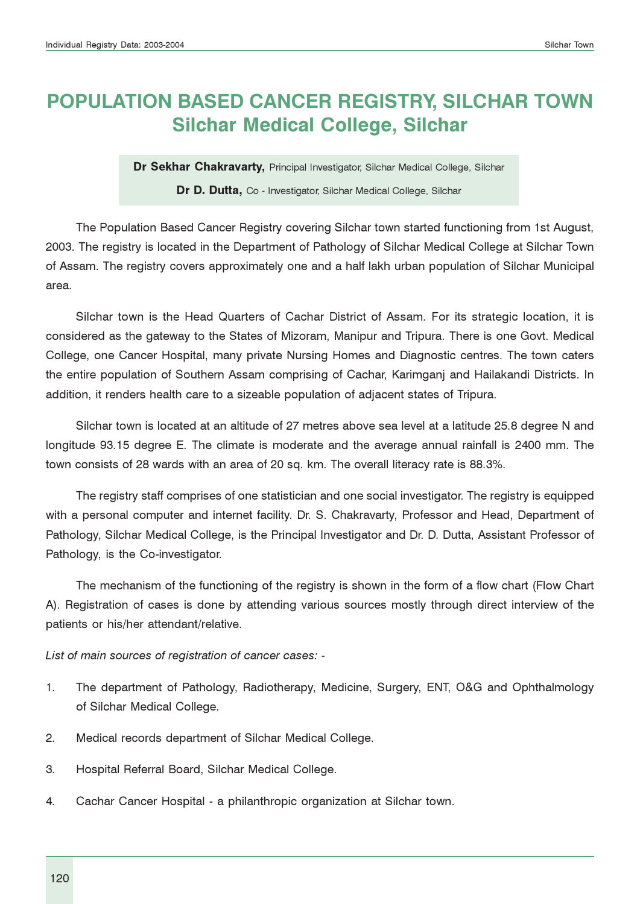# POPULATION BASED CANCER REGISTRY, SILCHAR TOWN Silchar Medical College, Silchar

Dr Sekhar Chakravarty, Principal Investigator, Silchar Medical College, Silchar

#### Dr D. Dutta, Co - Investigator, Silchar Medical College, Silchar

The Population Based Cancer Registry covering Silchar town started functioning from 1st August, 2003. The registry is located in the Department of Pathology of Silchar Medical College at Silchar Town of Assam. The registry covers approximately one and a half lakh urban population of Silchar Municipal area.

Silchar town is the Head Quarters of Cachar District of Assam. For its strategic location, it is considered as the gateway to the States of Mizoram, Manipur and Tripura. There is one Govt. Medical College, one Cancer Hospital, many private Nursing Homes and Diagnostic centres. The town caters the entire population of Southern Assam comprising of Cachar, Karimganj and Hailakandi Districts. In addition, it renders health care to a sizeable population of adjacent states of Tripura.

Silchar town is located at an altitude of 27 metres above sea level at a latitude 25.8 degree N and longitude 93.15 degree E. The climate is moderate and the average annual rainfall is 2400 mm. The town consists of 28 wards with an area of 20 sq. km. The overall literacy rate is 88.3%.

The registry staff comprises of one statistician and one social investigator. The registry is equipped with a personal computer and internet facility. Dr. S. Chakravarty, Professor and Head, Department of Pathology, Silchar Medical College, is the Principal Investigator and Dr. D. Dutta, Assistant Professor of Pathology, is the Co-investigator.

The mechanism of the functioning of the registry is shown in the form of a flow chart (Flow Chart A). Registration of cases is done by attending various sources mostly through direct interview of the patients or his/her attendant/relative.

List of main sources of registration of cancer cases: -

- 1. The department of Pathology, Radiotherapy, Medicine, Surgery, ENT, O&G and Ophthalmology of Silchar Medical College.
- 2. Medical records department of Silchar Medical College.
- 3. Hospital Referral Board, Silchar Medical College.
- 4. Cachar Cancer Hospital a philanthropic organization at Silchar town.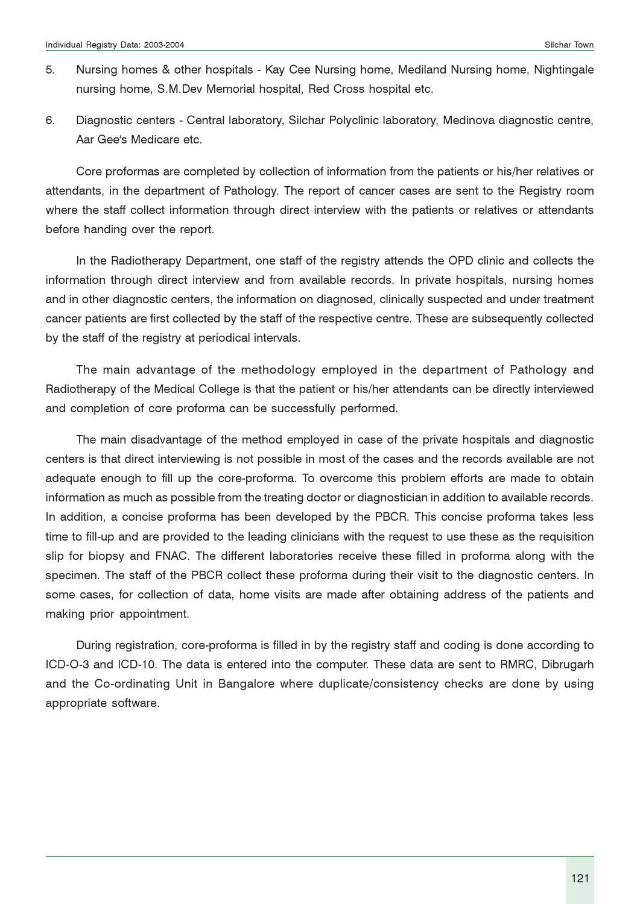- 5. Nursing homes & other hospitals Kay Cee Nursing home, Mediland Nursing home, Nightingale nursing home, S.M.Dev Memorial hospital, Red Cross hospital etc.
- 6. Diagnostic centers Central laboratory, Silchar Polyclinic laboratory, Medinova diagnostic centre, Aar Gee's Medicare etc.

Core proformas are completed by collection of information from the patients or his/her relatives or attendants, in the department of Pathology. The report of cancer cases are sent to the Registry room where the staff collect information through direct interview with the patients or relatives or attendants before handing over the report.

In the Radiotherapy Department, one staff of the registry attends the OPD clinic and collects the information through direct interview and from available records. In private hospitals, nursing homes and in other diagnostic centers, the information on diagnosed, clinically suspected and under treatment cancer patients are first collected by the staff of the respective centre. These are subsequently collected by the staff of the registry at periodical intervals.

The main advantage of the methodology employed in the department of Pathology and Radiotherapy of the Medical College is that the patient or his/her attendants can be directly interviewed and completion of core proforma can be successfully performed.

The main disadvantage of the method employed in case of the private hospitals and diagnostic centers is that direct interviewing is not possible in most of the cases and the records available are not adequate enough to fill up the core-proforma. To overcome this problem efforts are made to obtain information as much as possible from the treating doctor or diagnostician in addition to available records. In addition, a concise proforma has been developed by the PBCR. This concise proforma takes less time to fill-up and are provided to the leading clinicians with the request to use these as the requisition slip for biopsy and FNAC. The different laboratories receive these filled in proforma along with the specimen. The staff of the PBCR collect these proforma during their visit to the diagnostic centers. In some cases, for collection of data, home visits are made after obtaining address of the patients and making prior appointment.

During registration, core-proforma is filled in by the registry staff and coding is done according to ICD-O-3 and ICD-10. The data is entered into the computer. These data are sent to RMRC, Dibrugarh and the Co-ordinating Unit in Bangalore where duplicate/consistency checks are done by using appropriate software.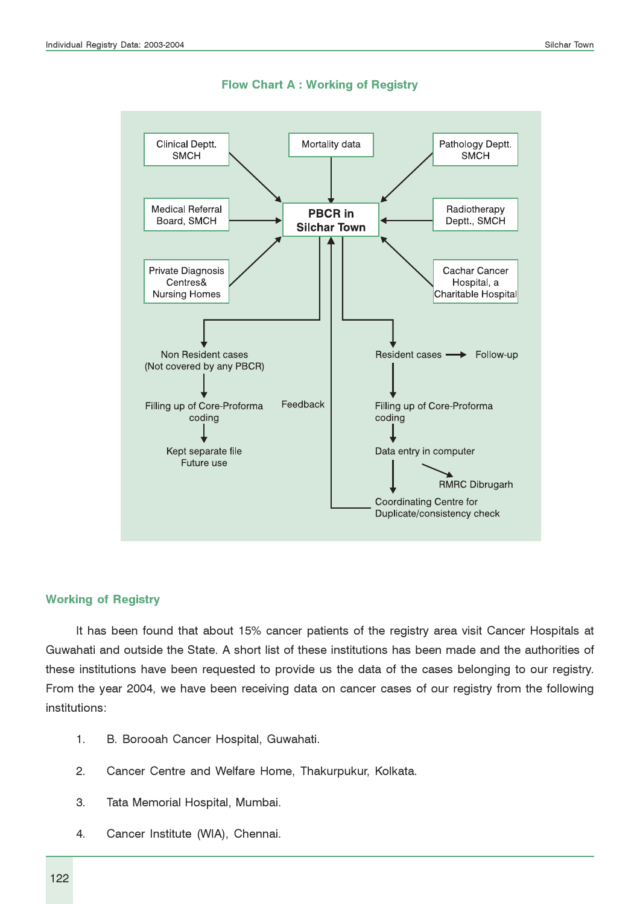

Flow Chart A : Working of Registry

#### Working of Registry

It has been found that about 15% cancer patients of the registry area visit Cancer Hospitals at Guwahati and outside the State. A short list of these institutions has been made and the authorities of these institutions have been requested to provide us the data of the cases belonging to our registry. From the year 2004, we have been receiving data on cancer cases of our registry from the following institutions:

- 1. B. Borooah Cancer Hospital, Guwahati.
- 2. Cancer Centre and Welfare Home, Thakurpukur, Kolkata.
- 3. Tata Memorial Hospital, Mumbai.
- 4. Cancer Institute (WIA), Chennai.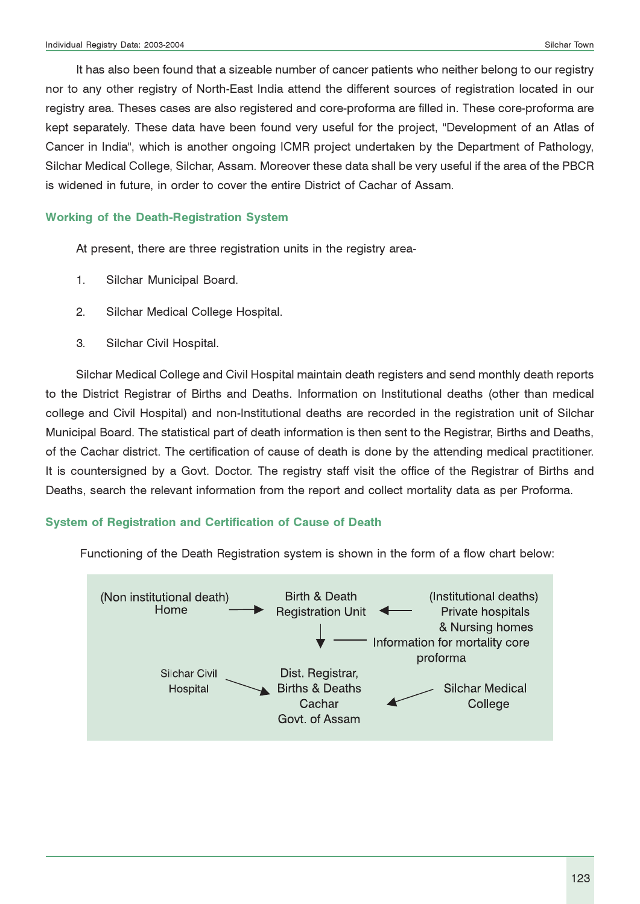It has also been found that a sizeable number of cancer patients who neither belong to our registry nor to any other registry of North-East India attend the different sources of registration located in our registry area. Theses cases are also registered and core-proforma are filled in. These core-proforma are kept separately. These data have been found very useful for the project, "Development of an Atlas of Cancer in India", which is another ongoing ICMR project undertaken by the Department of Pathology, Silchar Medical College, Silchar, Assam. Moreover these data shall be very useful if the area of the PBCR is widened in future, in order to cover the entire District of Cachar of Assam.

#### Working of the Death-Registration System

At present, there are three registration units in the registry area-

- 1. Silchar Municipal Board.
- 2. Silchar Medical College Hospital.
- 3. Silchar Civil Hospital.

Silchar Medical College and Civil Hospital maintain death registers and send monthly death reports to the District Registrar of Births and Deaths. Information on Institutional deaths (other than medical college and Civil Hospital) and non-Institutional deaths are recorded in the registration unit of Silchar Municipal Board. The statistical part of death information is then sent to the Registrar, Births and Deaths, of the Cachar district. The certification of cause of death is done by the attending medical practitioner. It is countersigned by a Govt. Doctor. The registry staff visit the office of the Registrar of Births and Deaths, search the relevant information from the report and collect mortality data as per Proforma.

#### System of Registration and Certification of Cause of Death

Functioning of the Death Registration system is shown in the form of a flow chart below:

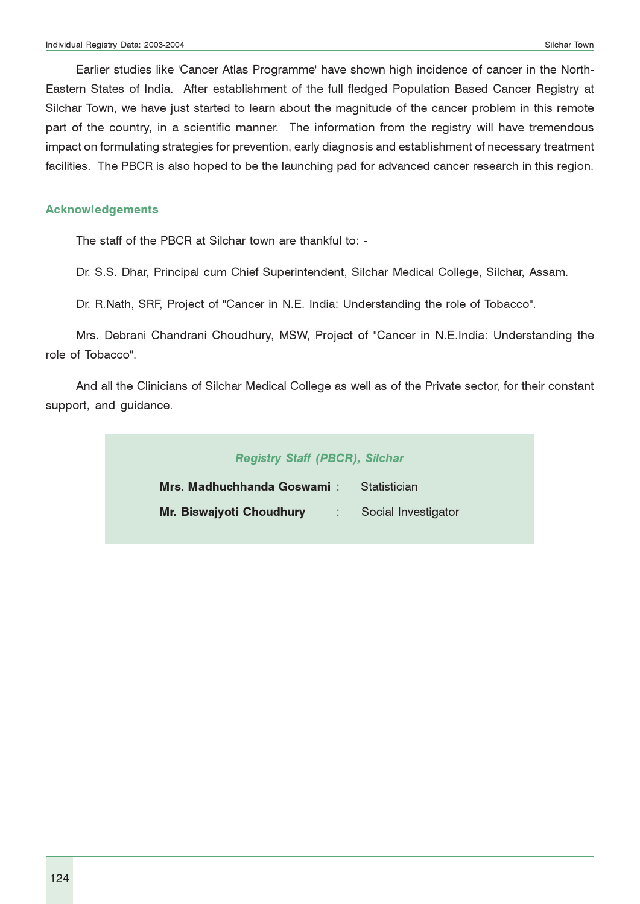Earlier studies like 'Cancer Atlas Programme' have shown high incidence of cancer in the North-Eastern States of India. After establishment of the full fledged Population Based Cancer Registry at Silchar Town, we have just started to learn about the magnitude of the cancer problem in this remote part of the country, in a scientific manner. The information from the registry will have tremendous impact on formulating strategies for prevention, early diagnosis and establishment of necessary treatment facilities. The PBCR is also hoped to be the launching pad for advanced cancer research in this region.

#### Acknowledgements

The staff of the PBCR at Silchar town are thankful to: -

Dr. S.S. Dhar, Principal cum Chief Superintendent, Silchar Medical College, Silchar, Assam.

Dr. R.Nath, SRF, Project of "Cancer in N.E. India: Understanding the role of Tobacco".

Mrs. Debrani Chandrani Choudhury, MSW, Project of "Cancer in N.E.India: Understanding the role of Tobacco".

And all the Clinicians of Silchar Medical College as well as of the Private sector, for their constant support, and guidance.

| <b>Registry Staff (PBCR), Silchar</b>          |                        |
|------------------------------------------------|------------------------|
| Mrs. Madhuchhanda Goswami ː                    | statistician Statistic |
| Mr. Biswajyoti Choudhury : Social Investigator |                        |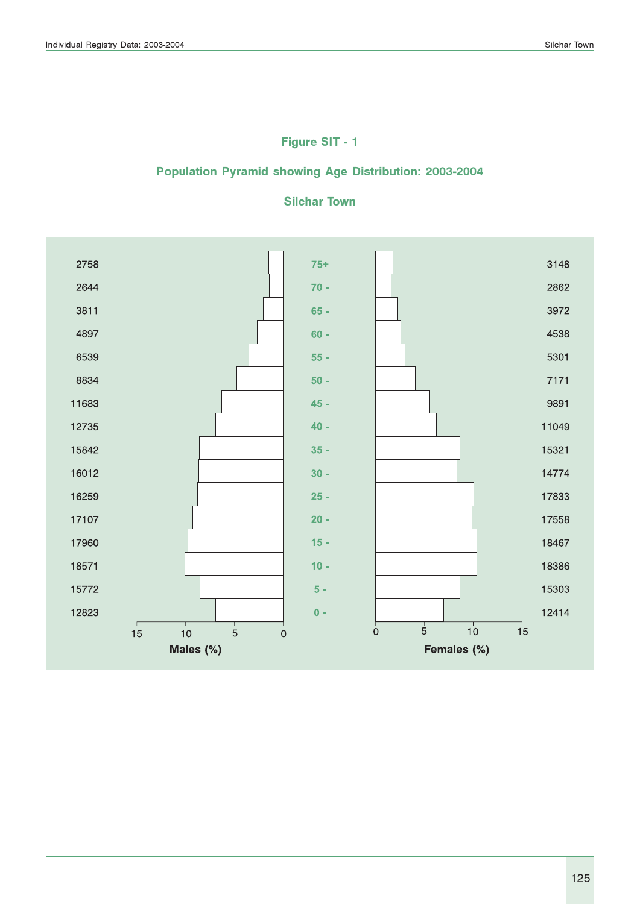# Figure SIT - 1

### Population Pyramid showing Age Distribution: 2003-2004

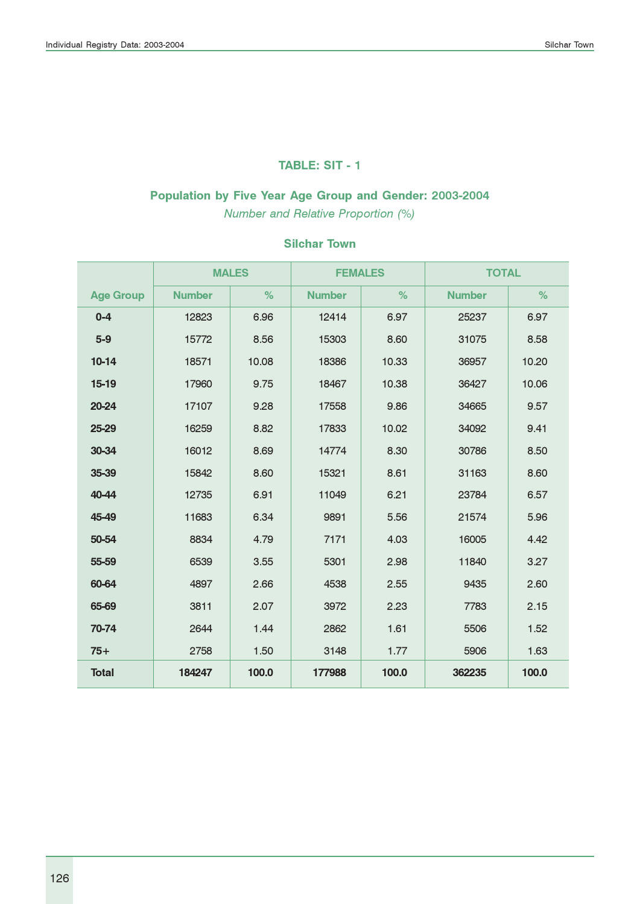#### TABLE: SIT - 1

# Population by Five Year Age Group and Gender: 2003-2004

Number and Relative Proportion (%)

|                  |               | <b>MALES</b> | <b>FEMALES</b> |       | <b>TOTAL</b>  |       |
|------------------|---------------|--------------|----------------|-------|---------------|-------|
| <b>Age Group</b> | <b>Number</b> | %            | <b>Number</b>  | %     | <b>Number</b> | %     |
| $0 - 4$          | 12823         | 6.96         | 12414          | 6.97  | 25237         | 6.97  |
| $5-9$            | 15772         | 8.56         | 15303          | 8.60  | 31075         | 8.58  |
| $10-14$          | 18571         | 10.08        | 18386          | 10.33 | 36957         | 10.20 |
| $15-19$          | 17960         | 9.75         | 18467          | 10.38 | 36427         | 10.06 |
| 20-24            | 17107         | 9.28         | 17558          | 9.86  | 34665         | 9.57  |
| 25-29            | 16259         | 8.82         | 17833          | 10.02 | 34092         | 9.41  |
| 30-34            | 16012         | 8.69         | 14774          | 8.30  | 30786         | 8.50  |
| 35-39            | 15842         | 8.60         | 15321          | 8.61  | 31163         | 8.60  |
| 40-44            | 12735         | 6.91         | 11049          | 6.21  | 23784         | 6.57  |
| 45-49            | 11683         | 6.34         | 9891           | 5.56  | 21574         | 5.96  |
| 50-54            | 8834          | 4.79         | 7171           | 4.03  | 16005         | 4.42  |
| 55-59            | 6539          | 3.55         | 5301           | 2.98  | 11840         | 3.27  |
| 60-64            | 4897          | 2.66         | 4538           | 2.55  | 9435          | 2.60  |
| 65-69            | 3811          | 2.07         | 3972           | 2.23  | 7783          | 2.15  |
| 70-74            | 2644          | 1.44         | 2862           | 1.61  | 5506          | 1.52  |
| $75+$            | 2758          | 1.50         | 3148           | 1.77  | 5906          | 1.63  |
| <b>Total</b>     | 184247        | 100.0        | 177988         | 100.0 | 362235        | 100.0 |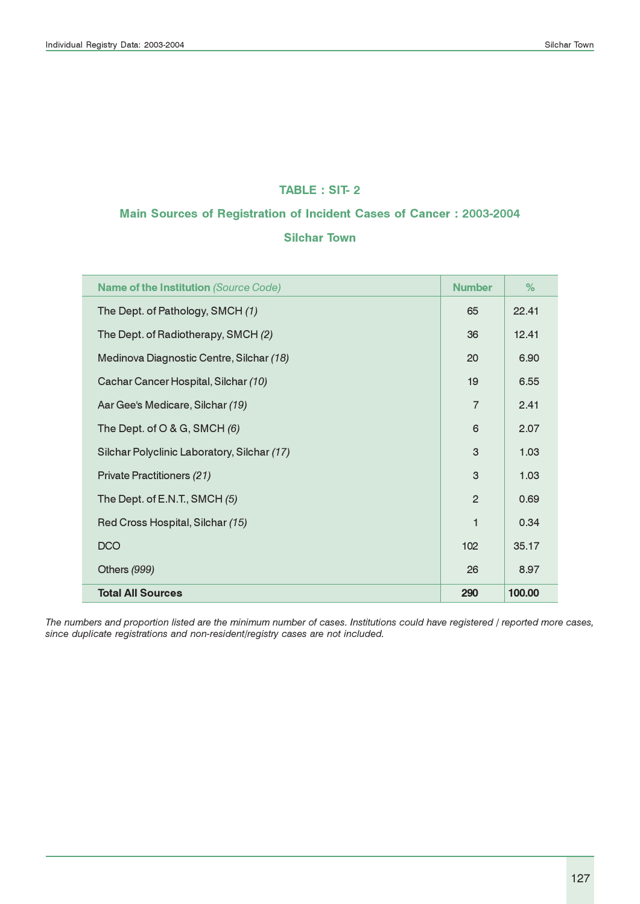#### TABLE : SIT- 2

# Main Sources of Registration of Incident Cases of Cancer : 2003-2004

#### Silchar Town

| <b>Name of the Institution (Source Code)</b> | <b>Number</b>  | $\%$   |
|----------------------------------------------|----------------|--------|
| The Dept. of Pathology, SMCH (1)             | 65             | 22.41  |
| The Dept. of Radiotherapy, SMCH (2)          | 36             | 12.41  |
| Medinova Diagnostic Centre, Silchar (18)     | 20             | 6.90   |
| Cachar Cancer Hospital, Silchar (10)         | 19             | 6.55   |
| Aar Gee's Medicare, Silchar (19)             | $\overline{7}$ | 2.41   |
| The Dept. of O & G, SMCH $(6)$               | 6              | 2.07   |
| Silchar Polyclinic Laboratory, Silchar (17)  | 3              | 1.03   |
| Private Practitioners (21)                   | 3              | 1.03   |
| The Dept. of E.N.T., SMCH (5)                | $\overline{2}$ | 0.69   |
| Red Cross Hospital, Silchar (15)             | 1              | 0.34   |
| <b>DCO</b>                                   | 102            | 35.17  |
| Others (999)                                 | 26             | 8.97   |
| <b>Total All Sources</b>                     | 290            | 100.00 |

The numbers and proportion listed are the minimum number of cases. Institutions could have registered / reported more cases, since duplicate registrations and non-resident/registry cases are not included.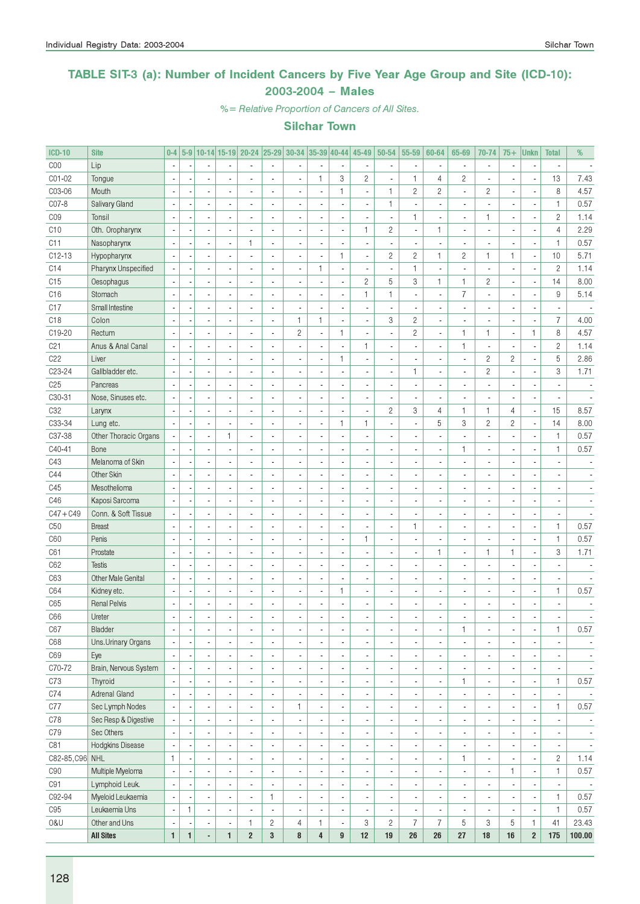### TABLE SIT-3 (a): Number of Incident Cancers by Five Year Age Group and Site (ICD-10): 2003-2004 – Males

%= Relative Proportion of Cancers of All Sites.

| <b>ICD-10</b>   | <b>Site</b>           | $0-4$                    |              |                          |              | 5-9 10-14 15-19 20-24 25-29 30-34 35-39 40-44 |                |                |                          |                          | 45-49                    | $50 - 54$      | 55-59                         | 60-64                    | 65-69                    | 70-74                    | $75+$          | <b>Unkn</b>              | <b>Total</b>                   | %                        |
|-----------------|-----------------------|--------------------------|--------------|--------------------------|--------------|-----------------------------------------------|----------------|----------------|--------------------------|--------------------------|--------------------------|----------------|-------------------------------|--------------------------|--------------------------|--------------------------|----------------|--------------------------|--------------------------------|--------------------------|
| C <sub>00</sub> | Lip                   | $\blacksquare$           |              | $\overline{a}$           |              |                                               | $\blacksquare$ | $\overline{a}$ |                          | $\overline{\phantom{a}}$ |                          | $\overline{a}$ | $\sim$                        | $\sim$                   | $\overline{\phantom{a}}$ | $\blacksquare$           | $\overline{a}$ | ÷,                       | $\overline{a}$                 |                          |
| C01-02          | Tongue                | ÷,                       |              |                          |              |                                               | ÷,             | $\overline{a}$ | $\mathbf{1}$             | 3                        | $\overline{c}$           |                | $\mathbf{1}$                  | 4                        | $\overline{c}$           | $\overline{a}$           |                | $\overline{\phantom{a}}$ | 13                             | 7.43                     |
| C03-06          | Mouth                 | $\blacksquare$           |              | $\overline{a}$           |              |                                               | $\overline{a}$ | $\overline{a}$ |                          | $\mathbf{1}$             | ٠                        | $\mathbf{1}$   | $\overline{c}$                | $\mathbf{2}$             | ä,                       | $\mathbf{2}$             |                | ÷,                       | 8                              | 4.57                     |
| C07-8           | Salivary Gland        | $\overline{\phantom{a}}$ |              | $\overline{a}$           |              |                                               | Ĭ.             | $\overline{a}$ |                          | ÷,                       | ä,                       | $\mathbf{1}$   | ÷,                            | $\overline{a}$           |                          | $\overline{\phantom{a}}$ |                | ÷,                       | $\mathbf{1}$                   | 0.57                     |
| CO <sub>9</sub> | Tonsil                | $\blacksquare$           |              | $\overline{a}$           |              |                                               |                | $\overline{a}$ |                          | $\overline{a}$           |                          |                | $\mathbf{1}$                  | ä,                       | $\overline{\phantom{a}}$ | $\mathbf{1}$             |                | Ĭ.                       | $\overline{c}$                 | 1.14                     |
| C <sub>10</sub> | Oth. Oropharynx       | $\overline{\phantom{a}}$ |              | $\overline{a}$           |              |                                               | ÷,             | $\overline{a}$ |                          | $\overline{a}$           | 1                        | $\mathbf{2}$   | $\overline{\phantom{a}}$      | $\mathbf{1}$             |                          | $\overline{\phantom{a}}$ |                | ÷,                       | $\overline{4}$                 | 2.29                     |
| C11             | Nasopharynx           | $\overline{\phantom{a}}$ |              | ä,                       |              | 1                                             | ÷,             | $\overline{a}$ | $\overline{a}$           | ÷,                       | ÷,                       |                | $\blacksquare$                | $\overline{a}$           |                          | $\overline{a}$           |                | Ĭ.                       | $\mathbf{1}$                   | 0.57                     |
| $C12-13$        | Hypopharynx           | $\sim$                   |              | $\overline{a}$           |              |                                               | ÷,             | $\overline{a}$ | $\overline{a}$           | $\mathbf{1}$             | ÷,                       | $\mathbf{2}$   | $\overline{c}$                | $\mathbf{1}$             | $\overline{c}$           | $\mathbf{1}$             | 1              | ÷,                       | 10                             | 5.71                     |
| C14             | Pharynx Unspecified   | $\overline{\phantom{a}}$ |              | $\overline{a}$           |              |                                               | Ĭ.             | $\overline{a}$ | $\mathbf{1}$             | $\overline{a}$           | ÷,                       |                | $\mathbf{1}$                  | ä,                       | ÷,                       | $\overline{\phantom{a}}$ |                | ÷                        | $\overline{c}$                 | 1.14                     |
| C15             | Oesophagus            | $\overline{\phantom{a}}$ |              | ÷,                       |              |                                               | Ĭ.             | $\overline{a}$ | $\overline{a}$           | $\overline{a}$           | $\overline{c}$           | 5              | 3                             | 1                        | $\mathbf{1}$             | $\mathbf{2}$             | $\overline{a}$ | ÷,                       | 14                             | 8.00                     |
| C16             | Stomach               | $\sim$                   |              | $\overline{a}$           |              |                                               | Ĭ.             | $\overline{a}$ | $\overline{a}$           | $\overline{a}$           | 1                        | $\mathbf{1}$   | $\overline{\phantom{a}}$      | $\overline{\phantom{a}}$ | $\overline{7}$           | $\overline{\phantom{a}}$ | $\overline{a}$ | ÷,                       | 9                              | 5.14                     |
| C17             | Small Intestine       | ÷,                       |              | $\overline{a}$           |              |                                               | $\overline{a}$ | $\overline{a}$ |                          | ÷,                       | ÷,                       |                | ÷,                            | $\overline{a}$           |                          | $\overline{\phantom{a}}$ |                | ÷,                       | $\overline{a}$                 |                          |
| C <sub>18</sub> | Colon                 | ÷,                       |              | $\overline{a}$           |              |                                               | $\overline{a}$ | $\mathbf{1}$   | $\mathbf{1}$             | $\overline{a}$           | ÷,                       | 3              | $\overline{c}$                | $\overline{a}$           |                          | $\overline{a}$           |                | Ĭ.                       | $\overline{7}$                 | 4.00                     |
| C19-20          | Rectum                | ÷,                       |              | ÷.                       |              |                                               | Ĭ.             | $\overline{c}$ | Ĭ.                       | $\mathbf{1}$             | ÷,                       |                | $\overline{c}$                | $\overline{a}$           | $\mathbf{1}$             | 1                        | ×,             | $\mathbf{1}$             | 8                              | 4.57                     |
| C <sub>21</sub> | Anus & Anal Canal     | ÷,                       |              | ÷.                       |              |                                               |                | $\overline{a}$ |                          | $\overline{a}$           | 1                        |                | ÷,                            | $\overline{a}$           | $\mathbf{1}$             | $\overline{\phantom{a}}$ |                | Ĭ.                       | $\overline{c}$                 | 1.14                     |
| C22             | Liver                 | $\sim$                   |              | $\overline{\phantom{a}}$ |              |                                               | Ĭ.             | $\overline{a}$ | ÷,                       | $\mathbf{1}$             | ä,                       |                | ÷,                            | ÷.                       | ÷.                       | $\mathbf{2}$             | $\overline{c}$ | ÷,                       | 5                              | 2.86                     |
| C23-24          | Gallbladder etc.      | $\sim$                   |              | ÷,                       |              |                                               | Ĭ.             | $\overline{a}$ |                          | $\overline{a}$           |                          |                | $\mathbf{1}$                  | ä,                       |                          | $\overline{c}$           | ÷,             | Ĭ.                       | $\,3$                          | 1.71                     |
| C <sub>25</sub> | Pancreas              | ÷,                       |              | ÷.                       |              |                                               | Ĭ.             | $\overline{a}$ |                          | ÷,                       |                          |                | ÷,                            | Ĭ.                       |                          | $\overline{a}$           |                |                          | $\overline{a}$                 |                          |
|                 |                       |                          |              | ÷.                       |              | $\overline{a}$                                | Ĭ.             | $\overline{a}$ |                          | ÷,                       |                          |                | ÷,                            | Ĭ.                       |                          | $\overline{a}$           |                | ÷,                       |                                |                          |
| C30-31          | Nose, Sinuses etc.    | $\overline{\phantom{a}}$ |              | ÷.                       |              |                                               |                |                |                          | ÷,                       |                          |                |                               |                          |                          |                          |                | ÷,                       | $\overline{\phantom{a}}$<br>15 |                          |
| C <sub>32</sub> | Larynx                | $\overline{\phantom{a}}$ |              |                          |              | $\overline{a}$                                | Ĭ.             | $\overline{a}$ | $\overline{a}$           |                          | ÷,                       | $\mathbf{2}$   | 3<br>$\overline{\phantom{a}}$ | $\overline{4}$<br>5      | $\mathbf{1}$             | $\mathbf{1}$             | 4              |                          |                                | 8.57                     |
| C33-34          | Lung etc.             | $\sim$                   |              | $\overline{a}$           |              | $\overline{a}$                                | Ĭ.             | $\overline{a}$ | ÷,                       | $\mathbf{1}$             | 1                        |                |                               |                          | 3                        | $\mathbf{2}$             | $\overline{c}$ | ÷,                       | 14                             | 8.00                     |
| C37-38          | Other Thoracic Organs | $\overline{\phantom{a}}$ |              | ä,                       | $\mathbf{1}$ | $\overline{a}$                                | ä,             | $\overline{a}$ |                          | ÷,                       | ÷,                       |                | ÷,                            | $\overline{a}$           |                          | $\overline{\phantom{a}}$ | $\overline{a}$ | ÷,                       | $\mathbf{1}$                   | 0.57                     |
| C40-41          | Bone                  | ÷,                       |              | ÷,                       |              |                                               |                | $\overline{a}$ |                          | ÷,                       |                          |                | ÷,                            | $\overline{a}$           | $\mathbf{1}$             | $\overline{\phantom{a}}$ |                | ÷,                       | $\mathbf{1}$                   | 0.57                     |
| C43             | Melanoma of Skin      | $\overline{\phantom{a}}$ |              | ÷,                       |              |                                               |                | $\overline{a}$ |                          | ÷,                       |                          |                | ÷,                            |                          |                          | $\overline{\phantom{a}}$ |                |                          | $\overline{\phantom{a}}$       |                          |
| C44             | Other Skin            | ÷,                       |              | ÷,                       |              |                                               |                | $\overline{a}$ |                          | ÷,                       |                          |                | ÷,                            |                          |                          | $\overline{\phantom{a}}$ |                |                          | $\overline{a}$                 |                          |
| C45             | Mesothelioma          | ÷,                       |              | ÷,                       |              |                                               |                | $\overline{a}$ |                          | ÷,                       |                          |                | $\mathcal{L}$                 |                          |                          | $\overline{a}$           |                |                          | $\overline{a}$                 |                          |
| C46             | Kaposi Sarcoma        | ÷,                       |              | ÷,                       |              |                                               | Ĭ.             | $\overline{a}$ |                          | ÷,                       |                          |                | $\mathcal{L}$                 |                          |                          | $\overline{a}$           |                |                          | $\overline{a}$                 |                          |
| $C47 + C49$     | Conn. & Soft Tissue   | ÷,                       |              | $\overline{a}$           |              |                                               | Ĭ.             | $\overline{a}$ |                          | ÷,                       |                          |                | ÷,                            | Ĭ.                       |                          | $\overline{a}$           |                | $\sim$                   | ä,                             |                          |
| C50             | <b>Breast</b>         | ÷,                       |              | $\overline{a}$           |              |                                               | Ĭ.             | $\overline{a}$ |                          | ÷,                       |                          |                | $\mathbf{1}$                  | ä,                       |                          | $\overline{a}$           |                | Ĭ.                       | $\mathbf{1}$                   | 0.57                     |
| C60             | Penis                 | ÷,                       |              | ÷,                       |              |                                               | Ĭ.             | $\overline{a}$ |                          | $\overline{a}$           | 1                        |                | ÷,                            |                          |                          | $\overline{a}$           |                | ÷,                       | $\mathbf{1}$                   | 0.57                     |
| C61             | Prostate              | ÷,                       |              | ÷,                       |              |                                               |                | $\overline{a}$ |                          | ÷,                       | ÷,                       |                | ÷,                            | $\mathbf{1}$             |                          | $\mathbf{1}$             | 1              | ÷                        | 3                              | 1.71                     |
| C62             | Testis                | ÷,                       |              | $\overline{a}$           |              |                                               | Ĭ.             | $\overline{a}$ |                          | ÷,                       |                          |                | $\mathcal{L}$                 | $\overline{a}$           |                          | $\overline{\phantom{a}}$ |                |                          | $\overline{\phantom{a}}$       |                          |
| C63             | Other Male Genital    | ÷,                       |              | $\overline{a}$           |              |                                               | Ĭ.             | $\overline{a}$ |                          | ÷,                       | ÷,                       |                | $\mathcal{L}$                 | Ĭ.                       |                          | $\overline{\phantom{a}}$ |                |                          | $\overline{a}$                 |                          |
| C64             | Kidney etc.           | ÷,                       |              | ä,                       |              |                                               | Ĭ.             | $\overline{a}$ | ÷,                       | $\mathbf{1}$             | ÷,                       |                | ÷,                            | Ĭ.                       |                          | $\overline{\phantom{a}}$ | ÷,             | ÷,                       | $\mathbf{1}$                   | 0.57                     |
| C65             | <b>Renal Pelvis</b>   | ÷,                       |              | ä,                       |              |                                               |                | ÷.             |                          | L                        | $\overline{\phantom{a}}$ |                | ÷,                            |                          |                          | $\overline{\phantom{a}}$ |                |                          | $\overline{a}$                 |                          |
| C66             | Ureter                | ÷,                       |              |                          |              |                                               | $\overline{a}$ |                |                          | L                        |                          |                |                               |                          |                          | $\overline{a}$           | ÷,             |                          |                                |                          |
| C67             | Bladder               | $\overline{\phantom{a}}$ | ٠            | $\overline{\phantom{a}}$ |              |                                               |                | ×,             | $\overline{\phantom{a}}$ | $\overline{\phantom{a}}$ | ٠                        |                | ×,                            | ٠                        |                          | $\overline{\phantom{a}}$ | ٠              | ٠                        | 1                              | 0.57                     |
| C68             | Uns. Urinary Organs   | $\overline{\phantom{a}}$ |              | ÷,                       |              |                                               | ٠              | ä,             |                          | $\blacksquare$           | ä,                       |                | ÷,                            | $\overline{a}$           |                          | $\overline{\phantom{a}}$ |                | ÷,                       |                                |                          |
| C69             | Eye                   | $\overline{\phantom{a}}$ |              | ä,                       |              |                                               | ٠              | ÷,             |                          | $\blacksquare$           | ä,                       |                | ÷,                            | ٠                        |                          | $\overline{\phantom{a}}$ |                | ÷,                       |                                | $\blacksquare$           |
| C70-72          | Brain, Nervous System |                          |              | ä,                       |              |                                               | L,             | ÷,             |                          | $\frac{1}{2}$            |                          |                | ÷,                            | ٠                        |                          | $\overline{\phantom{a}}$ |                | ÷,                       | $\blacksquare$                 | $\overline{\phantom{a}}$ |
| C73             | Thyroid               | $\overline{\phantom{a}}$ |              | ä,                       |              |                                               | L,             | ×,             |                          | $\frac{1}{2}$            |                          |                | ÷,                            | ٠                        | 1                        | $\overline{\phantom{a}}$ |                | ÷,                       | $\mathbf{1}$                   | 0.57                     |
| C74             | Adrenal Gland         |                          |              | ä,                       |              |                                               | ٠              | $\overline{a}$ |                          | $\frac{1}{2}$            |                          |                | ÷,                            | $\overline{a}$           |                          | $\blacksquare$           |                | ×,                       | $\overline{\phantom{a}}$       |                          |
| C77             | Sec Lymph Nodes       |                          |              | ä,                       |              |                                               | ٠              | $\mathbf{1}$   |                          | $\frac{1}{2}$            |                          |                | ÷,                            | ٠                        |                          | $\blacksquare$           |                | ÷,                       | 1                              | 0.57                     |
| C78             | Sec Resp & Digestive  |                          |              | $\frac{1}{2}$            |              |                                               | ä,             | ÷,             |                          | $\frac{1}{2}$            | ٠                        |                | ÷,                            | ٠                        |                          | $\overline{\phantom{a}}$ |                | ×,                       |                                |                          |
| C79             | Sec Others            |                          |              | ä,                       |              |                                               | ٠              | ÷,             |                          | $\blacksquare$           | ٠                        |                | ÷,                            | ٠                        |                          | $\overline{\phantom{a}}$ |                | ×,                       |                                | $\overline{\phantom{a}}$ |
| C81             | Hodgkins Disease      |                          |              | ä,                       |              |                                               | ٠              | ÷,             |                          | $\blacksquare$           | ٠                        |                | Ĭ.                            | ٠                        |                          | $\overline{\phantom{a}}$ |                | $\overline{\phantom{a}}$ | $\overline{\phantom{a}}$       | $\overline{\phantom{a}}$ |
| C82-85, C96 NHL |                       | 1                        |              | ä,                       |              |                                               | ٠              | ÷,             |                          | $\overline{a}$           | ٠                        |                | ÷,                            | ٠                        | 1                        | $\overline{\phantom{a}}$ |                | ÷,                       | $\mathbf{2}$                   | 1.14                     |
| C90             | Multiple Myeloma      | $\overline{\phantom{a}}$ |              | ä,                       |              |                                               | ä,             | ÷,             |                          | $\frac{1}{2}$            |                          |                | ÷,                            | $\overline{\phantom{a}}$ |                          | $\overline{\phantom{a}}$ | 1              | ÷,                       | $\mathbf{1}$                   | 0.57                     |
| C91             | Lymphoid Leuk.        | ÷,                       |              | ä,                       |              | ä,                                            | i.             | ÷,             |                          | $\blacksquare$           | ٠                        |                | ÷,                            | ٠                        | $\overline{\phantom{a}}$ | $\overline{\phantom{a}}$ |                | ÷,                       | $\blacksquare$                 | $\overline{\phantom{a}}$ |
| C92-94          | Myeloid Leukaemia     | $\overline{\phantom{a}}$ |              | $\overline{\phantom{a}}$ |              | ä,                                            | 1              | ÷,             |                          | $\blacksquare$           | ٠                        |                | ÷,                            | $\overline{\phantom{a}}$ | $\overline{\phantom{a}}$ | $\overline{\phantom{a}}$ |                | ÷,                       | $\mathbf{1}$                   | 0.57                     |
| $C95\,$         | Leukaemia Uns         | $\overline{\phantom{a}}$ | 1            | $\overline{\phantom{a}}$ |              |                                               | ä,             | ä,             |                          | $\blacksquare$           |                          |                | $\overline{\phantom{a}}$      | $\overline{\phantom{a}}$ | $\overline{\phantom{a}}$ | $\overline{\phantom{a}}$ |                | ÷,                       | $\mathbf{1}$                   | 0.57                     |
| 0&U             | Other and Uns         |                          |              | $\overline{\phantom{a}}$ |              | 1                                             | 2              | 4              | 1                        | $\overline{\phantom{a}}$ | 3                        | $\overline{c}$ | $\overline{7}$                | 7                        | 5                        | 3                        | 5              | $\mathbf{1}$             | 41                             | 23.43                    |
|                 | <b>All Sites</b>      | $\mathbf{1}$             | $\mathbf{1}$ | L,                       | $\mathbf{1}$ | $\overline{2}$                                | 3              | 8              | $\overline{\mathbf{4}}$  | 9                        | 12                       | $19$           | 26                            | 26                       | 27                       | $18$                     | $16\,$         | $\overline{\mathbf{2}}$  | 175                            | 100.00                   |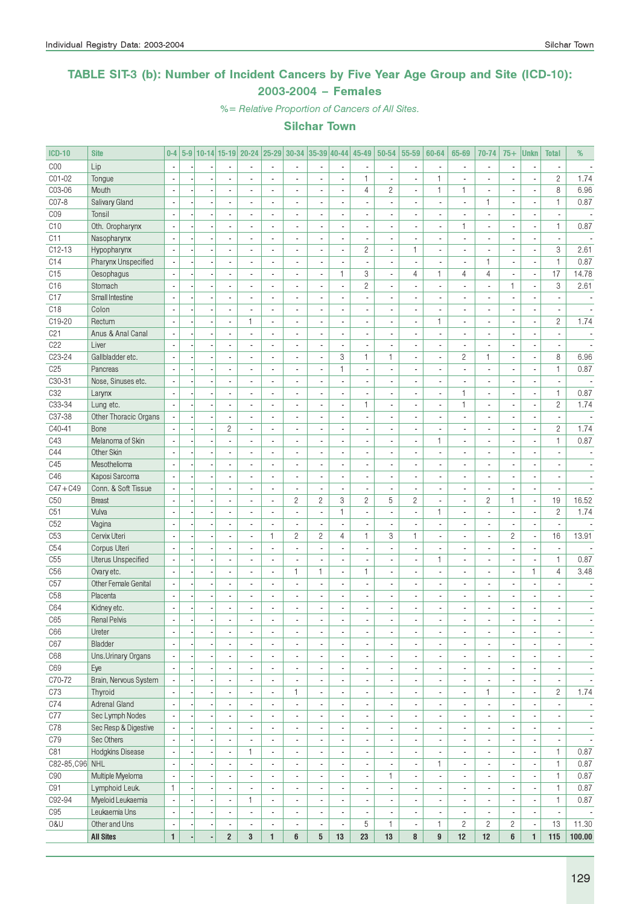### TABLE SIT-3 (b): Number of Incident Cancers by Five Year Age Group and Site (ICD-10): 2003-2004 – Females

%= Relative Proportion of Cancers of All Sites.

| <b>ICD-10</b>   | <b>Site</b>               | $0 - 4$                  | $5-9$ |                          | 10-14 15-19 20-24        |                          | 25-29                    | 30-34                    |                          | $ 35-39 40-44 $              | 45-49                    | 50-54                    | 55-59                    | 60-64                    | 65-69                    | 70-74                    | $75+$                    | <b>Unkn</b>              | <b>Total</b>             | %                        |
|-----------------|---------------------------|--------------------------|-------|--------------------------|--------------------------|--------------------------|--------------------------|--------------------------|--------------------------|------------------------------|--------------------------|--------------------------|--------------------------|--------------------------|--------------------------|--------------------------|--------------------------|--------------------------|--------------------------|--------------------------|
| COO             | Lip                       | $\overline{\phantom{a}}$ |       |                          |                          |                          | ä,                       | $\overline{\phantom{a}}$ |                          | ä,                           |                          |                          | ä,                       |                          |                          | $\overline{\phantom{a}}$ |                          | Ĭ.                       |                          |                          |
| CO1-02          | Tongue                    | $\overline{\phantom{a}}$ |       |                          |                          |                          | $\overline{\phantom{a}}$ | ٠                        |                          | ä,                           | 1                        |                          | ÷,                       | $\mathbf{1}$             | $\overline{\phantom{a}}$ | $\overline{a}$           |                          | $\overline{\phantom{a}}$ | $\overline{c}$           | 1.74                     |
| C03-06          | Mouth                     |                          |       |                          |                          |                          | $\overline{a}$           | ٠                        |                          | $\frac{1}{2}$                | $\overline{4}$           | $\overline{c}$           | $\overline{\phantom{a}}$ | $\mathbf{1}$             | $\mathbf{1}$             | $\overline{\phantom{a}}$ |                          | $\blacksquare$           | 8                        | 6.96                     |
| CO7-8           | Salivary Gland            | $\overline{\phantom{a}}$ |       | ÷,                       | $\overline{a}$           |                          | $\overline{a}$           | $\overline{a}$           |                          | $\overline{\phantom{a}}$     |                          |                          | ÷,                       |                          | $\overline{a}$           | $\mathbf{1}$             | Ĭ.                       | ÷,                       | $\mathbf{1}$             | 0.87                     |
| CO <sub>9</sub> | Tonsil                    | $\overline{\phantom{a}}$ |       | $\overline{a}$           | $\sim$                   | $\overline{a}$           | $\overline{\phantom{a}}$ | $\overline{\phantom{a}}$ | $\blacksquare$           | ÷,                           | ٠                        | $\overline{a}$           | $\overline{\phantom{a}}$ | $\blacksquare$           | $\overline{\phantom{a}}$ | $\blacksquare$           | $\overline{\phantom{a}}$ | $\blacksquare$           | $\blacksquare$           | $\overline{\phantom{a}}$ |
| C10             | Oth. Oropharynx           | $\overline{\phantom{a}}$ |       | ×,                       | $\overline{\phantom{a}}$ | $\overline{\phantom{a}}$ | ä,                       | $\overline{\phantom{a}}$ | $\blacksquare$           | $\blacksquare$               | $\blacksquare$           | $\overline{\phantom{a}}$ | $\overline{\phantom{a}}$ | $\overline{\phantom{a}}$ | $\mathbf{1}$             | $\overline{\phantom{a}}$ | $\overline{a}$           | ÷,                       | 1                        | 0.87                     |
| C11             | Nasopharynx               |                          |       |                          |                          |                          |                          | ٠                        |                          | $\overline{\phantom{a}}$     | $\overline{\phantom{a}}$ |                          | ×,                       | $\overline{\phantom{a}}$ |                          | $\overline{\phantom{a}}$ |                          | ×                        | ä,                       |                          |
| C12-13          | Hypopharynx               |                          |       |                          | $\overline{a}$           |                          | ä,                       | ä,                       |                          | ä,                           | $\overline{c}$           | ÷.                       | 1                        | $\overline{a}$           | $\overline{\phantom{a}}$ | $\overline{\phantom{a}}$ | $\overline{\phantom{a}}$ | $\overline{\phantom{a}}$ | 3                        | 2.61                     |
| C14             | Pharynx Unspecified       |                          |       | J.                       | $\sim$                   |                          | $\overline{a}$           | $\overline{a}$           | $\overline{a}$           | ÷,                           | ÷,                       |                          | ÷,                       | ÷.                       |                          | $\mathbf{1}$             |                          | ÷,                       | $\mathbf{1}$             | 0.87                     |
| C15             | Oesophagus                |                          |       | ×                        |                          |                          | $\overline{a}$           | ٠                        |                          | $\mathbf{1}$                 | 3                        |                          | 4                        | $\mathbf{1}$             | 4                        | $\overline{4}$           |                          | $\overline{\phantom{a}}$ | 17                       | 14.78                    |
| C16             | Stomach                   | $\overline{\phantom{a}}$ |       | Ĭ.                       | $\overline{\phantom{a}}$ | $\overline{a}$           | ÷,                       | $\overline{\phantom{a}}$ | $\blacksquare$           | $\overline{\phantom{a}}$     | $\overline{c}$           | $\overline{a}$           | ÷,                       | $\overline{a}$           | ÷.                       | $\overline{\phantom{a}}$ | $\mathbf{1}$             | ÷,                       | 3                        | 2.61                     |
| C17             | Small Intestine           | $\sim$                   |       | $\overline{a}$           | $\overline{a}$           | $\overline{a}$           | $\overline{a}$           | $\blacksquare$           | $\blacksquare$           | $\blacksquare$               | ÷,                       | $\overline{a}$           | $\blacksquare$           | $\overline{a}$           | $\overline{\phantom{a}}$ | $\overline{\phantom{a}}$ | $\overline{a}$           | $\overline{\phantom{a}}$ | $\overline{\phantom{a}}$ | $\overline{\phantom{a}}$ |
| C <sub>18</sub> | Colon                     |                          |       | ×,                       | $\blacksquare$           |                          | $\overline{a}$           | $\overline{\phantom{a}}$ | $\blacksquare$           | $\overline{\phantom{a}}$     | ä,                       |                          | $\overline{\phantom{a}}$ | $\blacksquare$           |                          | $\blacksquare$           | ä,                       | $\overline{\phantom{a}}$ | $\overline{\phantom{a}}$ | $\overline{\phantom{a}}$ |
| C19-20          | Rectum                    |                          |       |                          | $\overline{a}$           | 1                        | $\overline{a}$           | ÷,                       |                          | ÷,                           |                          |                          | ÷,                       | $\mathbf{1}$             |                          | $\overline{a}$           |                          | Ĭ.                       | $\overline{c}$           | 1.74                     |
| C <sub>21</sub> | Anus & Anal Canal         | $\sim$                   |       |                          | $\overline{\phantom{a}}$ | $\overline{a}$           | $\overline{a}$           | $\blacksquare$           | $\overline{a}$           | ä,                           | ÷,                       |                          | $\blacksquare$           | $\blacksquare$           | $\overline{a}$           | $\overline{\phantom{a}}$ |                          | ÷,                       | $\mathbf{r}$             |                          |
| C <sub>22</sub> | Liver                     |                          |       |                          |                          |                          | L,                       | ٠                        | ÷,                       | $\blacksquare$               |                          |                          | ä,                       |                          |                          | $\blacksquare$           |                          | ÷,                       |                          |                          |
| C23-24          | Gallbladder etc.          |                          |       |                          |                          |                          | $\overline{a}$           | $\blacksquare$           | ÷,                       | 3                            | 1                        | $\mathbf{1}$             | $\overline{\phantom{a}}$ | $\overline{a}$           | $\overline{c}$           | $\mathbf{1}$             |                          | ÷,                       | 8                        | 6.96                     |
| C <sub>25</sub> | Pancreas                  | $\sim$                   |       |                          | $\overline{a}$           | ä,                       | ä,                       | ä,                       | Ĭ.                       | $\mathbf{1}$                 |                          |                          | $\overline{\phantom{a}}$ | ä,                       |                          | $\overline{\phantom{a}}$ |                          | ÷,                       | $\mathbf{1}$             | 0.87                     |
| C30-31          | Nose, Sinuses etc.        | $\overline{\phantom{a}}$ |       | $\overline{a}$           | $\overline{\phantom{a}}$ | ä,                       | ÷.                       | $\overline{\phantom{a}}$ | $\blacksquare$           | $\overline{\phantom{a}}$     | $\blacksquare$           | $\overline{a}$           | $\blacksquare$           | $\overline{\phantom{a}}$ | $\overline{a}$           | $\overline{\phantom{a}}$ | ä,                       | ÷,                       | $\blacksquare$           |                          |
| C32             | Larynx                    |                          |       | ×                        |                          |                          | L,                       | $\overline{\phantom{a}}$ |                          | ٠                            | ٠                        |                          | $\overline{\phantom{a}}$ | $\overline{\phantom{a}}$ | $\mathbf{1}$             | $\blacksquare$           | ٠                        | $\overline{\phantom{a}}$ | $\mathbf{1}$             | 0.87                     |
| C33-34          | Lung etc.                 |                          |       |                          |                          |                          | ÷,                       | ÷,                       |                          | ä,                           | 1                        |                          | $\overline{\phantom{a}}$ |                          | $\mathbf{1}$             | $\overline{a}$           |                          | Ĭ.                       | $\overline{c}$           | 1.74                     |
| C37-38          | Other Thoracic Organs     |                          |       |                          | $\overline{\phantom{a}}$ | $\overline{a}$           | $\overline{a}$           | $\overline{a}$           | $\blacksquare$           | ä,                           | ٠                        | $\overline{a}$           | $\overline{\phantom{a}}$ | $\overline{a}$           | $\overline{a}$           | $\overline{\phantom{a}}$ | $\overline{\phantom{a}}$ | $\overline{\phantom{a}}$ | $\mathbf{r}$             |                          |
| $C40 - 41$      | Bone                      |                          |       | ÷,                       | $\mathbf{2}$             |                          | L,                       | $\overline{\phantom{a}}$ |                          | ÷,                           |                          |                          | ä,                       |                          |                          | $\blacksquare$           |                          | ÷,                       | $\mathbf{2}$             | 1.74                     |
| C43             | Melanoma of Skin          | $\overline{\phantom{a}}$ |       |                          |                          |                          | $\overline{a}$           | $\overline{a}$           |                          | ÷,                           |                          |                          | ÷,                       | $\mathbf{1}$             |                          | $\overline{a}$           |                          | ÷,                       | $\mathbf{1}$             | 0.87                     |
| C44             | Other Skin                | $\overline{\phantom{a}}$ |       | ÷,                       | $\overline{a}$           | $\overline{a}$           | $\overline{a}$           | $\overline{\phantom{a}}$ | $\blacksquare$           | $\blacksquare$               | ٠                        | $\overline{a}$           | $\blacksquare$           | $\overline{a}$           | $\overline{\phantom{a}}$ | $\overline{\phantom{a}}$ | $\overline{a}$           | $\blacksquare$           | $\overline{a}$           | $\overline{\phantom{a}}$ |
| C45             | Mesothelioma              | $\overline{\phantom{a}}$ |       | $\overline{a}$           | $\overline{\phantom{a}}$ | $\overline{a}$           | ä,                       | $\overline{\phantom{a}}$ | $\blacksquare$           | $\blacksquare$               | ٠                        |                          | $\blacksquare$           | ä,                       |                          | $\overline{\phantom{a}}$ | $\overline{a}$           | $\overline{\phantom{a}}$ | $\overline{\phantom{a}}$ | $\sim$                   |
| C46             | Kaposi Sarcoma            |                          |       | ٠                        |                          |                          | ٠                        | $\blacksquare$           |                          | $\qquad \qquad \blacksquare$ | $\overline{\phantom{a}}$ |                          | $\frac{1}{2}$            | $\blacksquare$           |                          | $\overline{\phantom{a}}$ |                          | ×                        |                          |                          |
| $C47 + C49$     | Conn. & Soft Tissue       |                          |       |                          | $\overline{\phantom{a}}$ |                          | i.                       | $\overline{\phantom{a}}$ | ÷,                       | $\overline{\phantom{a}}$     | ä,                       |                          | $\blacksquare$           | $\overline{a}$           |                          | $\overline{\phantom{a}}$ |                          | ÷,                       | $\overline{\phantom{a}}$ |                          |
| C50             | <b>Breast</b>             |                          |       |                          |                          |                          | ÷,                       | $\overline{c}$           | $\overline{c}$           | 3                            | $\overline{c}$           | 5                        | $\overline{c}$           | $\blacksquare$           |                          | $\overline{c}$           | $\mathbf{1}$             | ÷,                       | 19                       | 16.52                    |
| C51             | Vulva                     |                          |       |                          |                          |                          | ä,                       | $\overline{\phantom{a}}$ |                          | $\mathbf{1}$                 |                          |                          | ×,                       | $\mathbf{1}$             |                          | $\blacksquare$           |                          | $\overline{\phantom{a}}$ | $\overline{c}$           | 1.74                     |
| C52             | Vagina                    | $\sim$                   |       |                          | $\overline{a}$           | ÷,                       | $\overline{a}$           | ÷.                       | Ĭ.                       | $\overline{\phantom{a}}$     |                          | $\overline{a}$           | $\blacksquare$           |                          |                          | $\overline{\phantom{a}}$ |                          | ÷,                       | $\overline{a}$           |                          |
| C <sub>53</sub> | Cervix Uteri              | $\sim$                   |       | $\overline{\phantom{a}}$ | ÷                        | ٠                        | 1                        | 2                        | 2                        | $\overline{4}$               | $\mathbf{1}$             | 3                        | 1                        | $\blacksquare$           | $\overline{a}$           | $\overline{\phantom{a}}$ | $\overline{c}$           | i,                       | 16                       | 13.91                    |
| C54             | Corpus Uteri              | Ĭ.                       |       | ÷,                       | $\blacksquare$           | $\overline{\phantom{a}}$ | ä,                       | $\overline{\phantom{a}}$ | ÷,                       | $\frac{1}{2}$                | ä,                       | $\overline{a}$           | $\overline{\phantom{a}}$ | $\blacksquare$           |                          | $\blacksquare$           | $\overline{\phantom{a}}$ | $\overline{\phantom{a}}$ | $\overline{a}$           |                          |
| C55             | <b>Uterus Unspecified</b> |                          |       |                          |                          |                          |                          |                          |                          | ä,                           |                          |                          | Ĭ.                       | $\mathbf{1}$             |                          |                          |                          |                          | $\mathbf{1}$             | 0.87                     |
| C <sub>56</sub> | Ovary etc.                | $\overline{\phantom{a}}$ |       | ÷,                       | $\overline{a}$           | $\overline{a}$           | $\blacksquare$           | $\mathbf{1}$             | $\mathbf{1}$             | $\blacksquare$               | 1                        | $\overline{a}$           | $\overline{\phantom{a}}$ | $\blacksquare$           | $\overline{a}$           | $\blacksquare$           | $\blacksquare$           | $\mathbf{1}$             | $\overline{4}$           | 3.48                     |
| C57             | Other Female Genital      |                          |       | Ĭ.                       |                          |                          | ÷,                       | $\overline{a}$           | ÷,                       | ä,                           | ÷,                       |                          | $\overline{\phantom{a}}$ | $\overline{a}$           |                          | $\overline{\phantom{a}}$ |                          | $\overline{\phantom{a}}$ |                          |                          |
| C <sub>58</sub> | Placenta                  |                          |       | ×                        |                          |                          | $\overline{a}$           | $\overline{\phantom{a}}$ |                          | $\overline{\phantom{a}}$     | ٠                        |                          | $\overline{\phantom{a}}$ | $\blacksquare$           |                          | $\overline{\phantom{a}}$ |                          | ٠                        | $\overline{\phantom{a}}$ |                          |
| C64             | Kidney etc.               | $\overline{\phantom{a}}$ |       |                          | $\blacksquare$           | ä,                       | ä,                       | ä,                       | $\blacksquare$           | $\frac{1}{2}$                | ٠                        |                          | ÷,                       | ä,                       |                          | $\overline{\phantom{a}}$ | $\overline{a}$           | $\overline{\phantom{a}}$ | $\overline{\phantom{a}}$ |                          |
| C65             | <b>Renal Pelvis</b>       | $\overline{\phantom{a}}$ |       | $\overline{\phantom{a}}$ |                          |                          |                          | $\overline{a}$           |                          | ÷,                           |                          |                          | $\overline{a}$           | $\overline{a}$           |                          |                          | $\overline{a}$           | $\overline{\phantom{a}}$ | $\overline{a}$           | $\sim$                   |
| C66             | Ureter                    | $\overline{\phantom{a}}$ |       | $\overline{a}$           | $\overline{\phantom{a}}$ | $\overline{\phantom{a}}$ | ۰                        | $\overline{\phantom{a}}$ | $\overline{\phantom{a}}$ | $\overline{\phantom{a}}$     | ٠                        | $\overline{\phantom{a}}$ | $\overline{\phantom{a}}$ | $\overline{\phantom{a}}$ | $\overline{\phantom{a}}$ | $\overline{\phantom{a}}$ | $\overline{\phantom{a}}$ | $\blacksquare$           | $\overline{\phantom{a}}$ | $\overline{\phantom{a}}$ |
| C67             | <b>Bladder</b>            | $\overline{\phantom{a}}$ |       | $\overline{a}$           | $\overline{\phantom{a}}$ | $\blacksquare$           | $\blacksquare$           | $\overline{\phantom{a}}$ | $\overline{\phantom{a}}$ | $\overline{\phantom{a}}$     | $\overline{\phantom{a}}$ | $\blacksquare$           | $\overline{\phantom{a}}$ | $\overline{\phantom{a}}$ | $\overline{\phantom{a}}$ | $\overline{\phantom{a}}$ | $\overline{a}$           | ٠                        | $\overline{\phantom{a}}$ | $\overline{\phantom{a}}$ |
| C68             | Uns.Urinary Organs        | $\overline{\phantom{a}}$ |       |                          | $\overline{\phantom{a}}$ | $\overline{a}$           | ä,                       | $\overline{\phantom{a}}$ | $\blacksquare$           | $\blacksquare$               | ٠                        | $\overline{\phantom{a}}$ | $\overline{\phantom{a}}$ | ٠                        | $\overline{\phantom{a}}$ | $\overline{\phantom{a}}$ |                          | ÷,                       | $\frac{1}{2}$            | ä,                       |
| C69             | Eye                       | $\overline{\phantom{a}}$ |       | ٠                        | $\blacksquare$           | $\blacksquare$           | $\overline{\phantom{a}}$ | $\overline{\phantom{a}}$ | $\blacksquare$           | $\overline{\phantom{a}}$     | ٠                        | $\blacksquare$           | $\overline{\phantom{a}}$ | $\overline{\phantom{a}}$ | ٠                        | $\overline{\phantom{a}}$ | $\blacksquare$           | $\overline{\phantom{a}}$ | $\overline{\phantom{a}}$ | $\overline{\phantom{a}}$ |
| C70-72          | Brain, Nervous System     |                          |       | ÷,                       | $\overline{\phantom{a}}$ | $\overline{a}$           | $\overline{\phantom{a}}$ | $\blacksquare$           |                          | $\overline{\phantom{a}}$     | ٠                        | $\blacksquare$           | $\overline{\phantom{a}}$ | $\overline{\phantom{a}}$ | $\blacksquare$           | $\overline{\phantom{a}}$ |                          | ÷,                       | $\blacksquare$           | $\overline{\phantom{a}}$ |
| C73             | Thyroid                   |                          |       | ÷,                       | ÷,                       | ÷,                       | $\overline{\phantom{a}}$ | $\mathbf{1}$             | $\overline{a}$           | $\overline{\phantom{a}}$     | ä,                       | $\overline{\phantom{a}}$ | $\blacksquare$           | ÷,                       | $\overline{\phantom{a}}$ | $\mathbf{1}$             | ÷,                       | l,                       | $\overline{c}$           | 1.74                     |
| C74             | Adrenal Gland             | $\sim$                   |       | $\overline{a}$           | $\overline{\phantom{a}}$ | $\overline{a}$           | $\overline{\phantom{a}}$ | $\overline{\phantom{a}}$ | $\blacksquare$           | ÷,                           | ٠                        | $\blacksquare$           | $\overline{\phantom{a}}$ | $\overline{\phantom{a}}$ | $\overline{\phantom{a}}$ | $\overline{\phantom{a}}$ | $\blacksquare$           | ÷,                       | $\blacksquare$           | $\overline{\phantom{a}}$ |
| C77             | Sec Lymph Nodes           | $\overline{\phantom{a}}$ |       | $\overline{a}$           | $\blacksquare$           | $\overline{\phantom{a}}$ | $\blacksquare$           | $\overline{\phantom{a}}$ | $\blacksquare$           | ÷,                           | $\blacksquare$           | $\overline{\phantom{a}}$ | $\overline{\phantom{a}}$ | $\overline{\phantom{a}}$ | $\blacksquare$           | $\blacksquare$           | $\overline{\phantom{a}}$ | $\overline{\phantom{a}}$ | $\blacksquare$           | $\overline{\phantom{a}}$ |
| C78             | Sec Resp & Digestive      |                          |       | ×                        | $\overline{\phantom{a}}$ | $\overline{\phantom{a}}$ | $\overline{\phantom{a}}$ | $\overline{\phantom{a}}$ | $\overline{\phantom{a}}$ | $\overline{\phantom{a}}$     | $\overline{\phantom{a}}$ | $\overline{\phantom{a}}$ | $\overline{\phantom{a}}$ | ٠                        | $\overline{\phantom{a}}$ | $\overline{\phantom{a}}$ | $\overline{\phantom{m}}$ | ٠                        | $\overline{\phantom{a}}$ | $\overline{\phantom{a}}$ |
| C79             | Sec Others                | $\overline{\phantom{a}}$ |       |                          | $\overline{\phantom{a}}$ |                          | $\overline{\phantom{a}}$ | $\overline{\phantom{a}}$ | $\blacksquare$           | $\blacksquare$               | ä,                       | $\overline{\phantom{a}}$ | $\overline{\phantom{a}}$ | ä,                       | ä,                       | $\overline{\phantom{a}}$ |                          | ÷,                       | ÷,                       | $\overline{\phantom{a}}$ |
| C81             | Hodgkins Disease          | $\overline{\phantom{a}}$ |       |                          | $\overline{\phantom{a}}$ | $\mathbf{1}$             | $\overline{\phantom{a}}$ | $\blacksquare$           | $\blacksquare$           | $\overline{\phantom{a}}$     | ٠                        | $\blacksquare$           | $\overline{\phantom{a}}$ | $\overline{a}$           | $\blacksquare$           | $\blacksquare$           | $\blacksquare$           | ÷,                       | $\mathbf{1}$             | 0.87                     |
| C82-85, C96 NHL |                           |                          |       | ÷,                       | $\overline{\phantom{a}}$ |                          | $\overline{\phantom{a}}$ | $\overline{\phantom{a}}$ |                          | $\blacksquare$               |                          | $\blacksquare$           | $\blacksquare$           | $\mathbf{1}$             | $\blacksquare$           | $\overline{\phantom{a}}$ |                          | ÷,                       | $\mathbf{1}$             | 0.87                     |
| C90             | Multiple Myeloma          | $\overline{\phantom{a}}$ |       |                          | $\blacksquare$           |                          | ٠                        | $\overline{\phantom{a}}$ |                          | $\overline{\phantom{a}}$     |                          | $\mathbf{1}$             | $\overline{\phantom{a}}$ |                          |                          | $\overline{\phantom{a}}$ |                          | $\overline{\phantom{a}}$ | $\mathbf{1}$             | 0.87                     |
| C91             | Lymphoid Leuk.            | $\mathbf{1}$             |       |                          | $\blacksquare$           | ÷,                       | $\sim$                   | $\overline{\phantom{a}}$ | $\overline{\phantom{a}}$ | $\blacksquare$               |                          | $\blacksquare$           | $\overline{\phantom{a}}$ | $\overline{a}$           | $\blacksquare$           | $\overline{\phantom{a}}$ | $\overline{\phantom{a}}$ | $\overline{\phantom{a}}$ | $\mathbf{1}$             | 0.87                     |
| C92-94          | Myeloid Leukaemia         | $\overline{\phantom{a}}$ |       | ×,                       | $\overline{\phantom{a}}$ | 1                        | $\overline{\phantom{a}}$ | $\overline{\phantom{a}}$ | $\overline{\phantom{a}}$ | $\overline{\phantom{a}}$     | ٠                        | $\overline{\phantom{a}}$ | $\overline{\phantom{a}}$ | $\blacksquare$           | $\overline{\phantom{a}}$ | $\overline{\phantom{a}}$ | $\blacksquare$           | $\blacksquare$           | $\mathbf{1}$             | 0.87                     |
| C <sub>95</sub> | Leukaemia Uns             | $\overline{\phantom{a}}$ |       | ×,                       | $\overline{\phantom{a}}$ | $\overline{\phantom{a}}$ | $\overline{\phantom{a}}$ | $\overline{\phantom{a}}$ | $\overline{\phantom{a}}$ | $\overline{\phantom{a}}$     | $\overline{\phantom{a}}$ | $\overline{\phantom{a}}$ | $\overline{\phantom{a}}$ | $\overline{\phantom{a}}$ | $\overline{\phantom{a}}$ | $\overline{\phantom{a}}$ | $\overline{\phantom{a}}$ | $\overline{\phantom{a}}$ | $\overline{\phantom{a}}$ | $\overline{\phantom{a}}$ |
| 0&U             | Other and Uns             | $\overline{\phantom{a}}$ |       |                          | $\overline{\phantom{a}}$ |                          | $\overline{\phantom{a}}$ | $\overline{\phantom{a}}$ | $\overline{\phantom{a}}$ | $\overline{\phantom{a}}$     | 5                        | 1                        | $\overline{\phantom{a}}$ | $\mathbf{1}$             | $\overline{c}$           | $\mathbf{2}$             | $\overline{c}$           | ÷                        | 13                       | 11.30                    |
|                 | <b>All Sites</b>          | $\mathbf{1}$             |       |                          | $\overline{2}$           | 3                        | $\mathbf{1}$             | 6                        | $5\phantom{.0}$          | 13                           | 23                       | 13                       | 8                        | $\overline{9}$           | 12                       | 12                       | 6                        | $\mathbf{1}$             | 115                      | 100.00                   |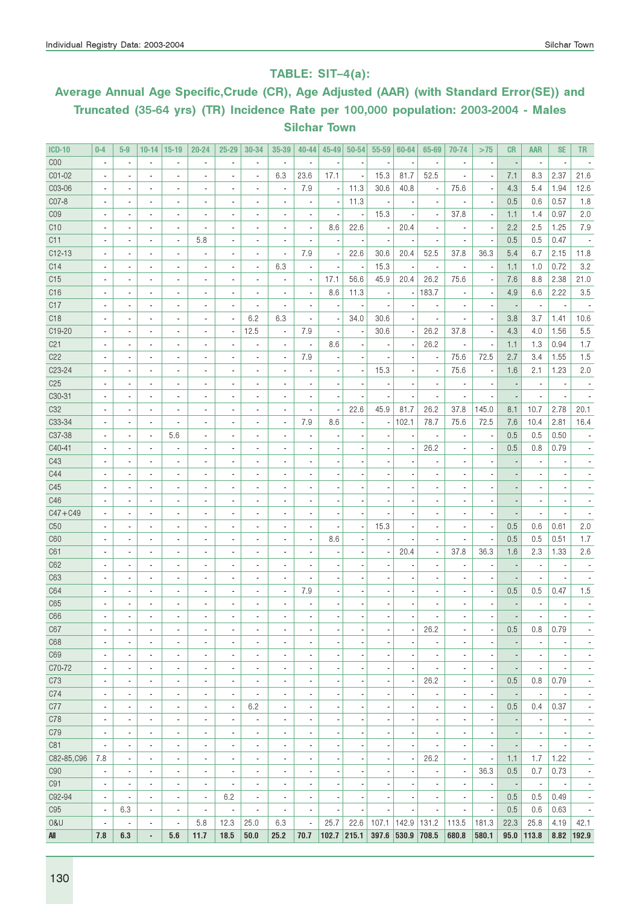### TABLE: SIT–4(a):

# Average Annual Age Specific,Crude (CR), Age Adjusted (AAR) (with Standard Error(SE)) and Truncated (35-64 yrs) (TR) Incidence Rate per 100,000 population: 2003-2004 - Males Silchar Town

| <b>ICD-10</b>   | $0 - 4$                  | $5-9$                    | $10 - 14$                | $ 15-19 $                | $20 - 24$                | $25 - 29$                | 30-34                    | 35-39                        | 40-44                    | $45 - 49$                | $50 - 54$      | $55 - 59$                | 60-64                    | 65-69                        | 70-74                        | >75                      | <b>CR</b>                | <b>AAR</b>               | <b>SE</b>                | <b>TR</b>                    |
|-----------------|--------------------------|--------------------------|--------------------------|--------------------------|--------------------------|--------------------------|--------------------------|------------------------------|--------------------------|--------------------------|----------------|--------------------------|--------------------------|------------------------------|------------------------------|--------------------------|--------------------------|--------------------------|--------------------------|------------------------------|
| C <sub>00</sub> | ÷,                       | $\overline{\phantom{a}}$ | $\blacksquare$           | $\blacksquare$           | $\blacksquare$           | $\overline{\phantom{a}}$ | ×,                       | $\overline{\phantom{a}}$     | $\overline{\phantom{a}}$ |                          |                | ,                        |                          | $\blacksquare$               | $\overline{\phantom{a}}$     | $\overline{\phantom{a}}$ |                          | $\blacksquare$           | ÷,                       |                              |
| CO1-02          | ä,                       | $\overline{\phantom{a}}$ | $\overline{\phantom{a}}$ | $\blacksquare$           | $\overline{a}$           | $\overline{a}$           | ä,                       | 6.3                          | 23.6                     | 17.1                     | ×,             | 15.3                     | 81.7                     | 52.5                         | ÷,                           | $\overline{\phantom{a}}$ | 7.1                      | 8.3                      | 2.37                     | 21.6                         |
| C03-06          | ٠                        | $\overline{\phantom{a}}$ | $\blacksquare$           | $\overline{\phantom{a}}$ | $\overline{\phantom{a}}$ |                          | ä,                       | ÷,                           | 7.9                      | $\overline{\phantom{a}}$ | 11.3           | 30.6                     | 40.8                     | $\overline{\phantom{a}}$     | 75.6                         | $\overline{\phantom{a}}$ | 4.3                      | 5.4                      | 1.94                     | 12.6                         |
| C07-8           |                          | $\overline{\phantom{a}}$ | $\blacksquare$           | $\overline{\phantom{a}}$ | $\overline{a}$           |                          | ä,                       | ÷,                           |                          |                          | 11.3           |                          |                          |                              |                              | ×,                       | 0.5                      | 0.6                      | 0.57                     | 1.8                          |
| CO <sub>9</sub> | ٠                        | $\overline{\phantom{a}}$ | $\blacksquare$           | $\overline{\phantom{a}}$ | $\overline{a}$           |                          | ÷                        | ÷                            |                          |                          |                | 15.3                     |                          | $\overline{\phantom{a}}$     | 37.8                         | $\overline{\phantom{a}}$ | 1.1                      | 1.4                      | 0.97                     | 2.0                          |
| C10             | $\overline{\phantom{a}}$ | $\overline{\phantom{a}}$ | $\blacksquare$           | $\blacksquare$           | $\overline{\phantom{a}}$ | ٠                        | ä,                       | $\overline{\phantom{a}}$     | $\overline{\phantom{a}}$ | 8.6                      | 22.6           | $\overline{\phantom{a}}$ | 20.4                     | $\overline{\phantom{a}}$     | $\overline{\phantom{a}}$     | $\overline{\phantom{a}}$ | 2.2                      | 2.5                      | 1.25                     | 7.9                          |
| C11             |                          | $\overline{\phantom{a}}$ | $\blacksquare$           | $\overline{\phantom{a}}$ | 5.8                      | ٠                        | ä,                       | $\overline{\phantom{a}}$     | $\overline{\phantom{a}}$ |                          |                |                          |                          | $\overline{\phantom{a}}$     | ä,                           | ×,                       | 0.5                      | 0.5                      | 0.47                     |                              |
| C12-13          | $\overline{\phantom{a}}$ | $\overline{\phantom{a}}$ | $\overline{\phantom{a}}$ | $\overline{\phantom{a}}$ | $\overline{\phantom{a}}$ | $\overline{a}$           | ×,                       | $\overline{\phantom{a}}$     | 7.9                      |                          | 22.6           | 30.6                     | 20.4                     | 52.5                         | 37.8                         | 36.3                     | 5.4                      | 6.7                      | 2.15                     | 11.8                         |
| C <sub>14</sub> | ٠                        | $\overline{\phantom{a}}$ | $\overline{\phantom{a}}$ | $\overline{\phantom{a}}$ | $\overline{a}$           | ٠                        | $\overline{\phantom{a}}$ | 6.3                          | $\frac{1}{2}$            |                          |                | 15.3                     |                          | $\overline{\phantom{a}}$     | ×,                           | $\overline{\phantom{a}}$ | 1.1                      | 1.0                      | 0.72                     | 3.2                          |
| C15             | $\overline{a}$           | $\blacksquare$           | $\overline{\phantom{a}}$ | $\blacksquare$           | $\overline{a}$           | ٠                        | $\blacksquare$           | ä,                           | $\blacksquare$           | 17.1                     | 56.6           | 45.9                     | 20.4                     | 26.2                         | 75.6                         | $\overline{\phantom{a}}$ | 7.6                      | 8.8                      | 2.38                     | 21.0                         |
| C16             |                          | $\blacksquare$           | $\blacksquare$           | $\blacksquare$           | $\overline{a}$           | ٠                        | $\blacksquare$           | ä,                           | $\overline{\phantom{a}}$ | 8.6                      | 11.3           | ÷,                       |                          | 183.7                        | ٠                            |                          | 4.9                      | 6.6                      | 2.22                     | 3.5                          |
| C17             |                          | $\blacksquare$           | $\blacksquare$           | $\blacksquare$           | $\overline{a}$           | ä,                       | $\blacksquare$           | ä,                           | $\overline{\phantom{a}}$ |                          |                |                          |                          | $\overline{\phantom{a}}$     |                              | $\overline{\phantom{a}}$ |                          | $\overline{\phantom{a}}$ |                          |                              |
| C <sub>18</sub> |                          | $\overline{\phantom{a}}$ | $\blacksquare$           | $\blacksquare$           | $\overline{\phantom{a}}$ | $\blacksquare$           | 6.2                      | 6.3                          | $\overline{\phantom{a}}$ |                          | 34.0           | 30.6                     |                          | $\overline{\phantom{a}}$     |                              | $\overline{\phantom{a}}$ | 3.8                      | 3.7                      | 1.41                     | 10.6                         |
| C19-20          |                          |                          | $\overline{a}$           | $\overline{a}$           | $\overline{a}$           | ä,                       | 12.5                     | $\overline{\phantom{a}}$     | 7.9                      |                          |                | 30.6                     |                          | 26.2                         | 37.8                         | ÷,                       | 4.3                      | 4.0                      | 1.56                     | 5.5                          |
| C <sub>21</sub> | $\overline{a}$           | $\overline{a}$           | $\overline{a}$           | $\overline{a}$           | $\overline{a}$           |                          | $\overline{\phantom{a}}$ | $\overline{\phantom{a}}$     | $\overline{a}$           | 8.6                      |                | $\overline{\phantom{a}}$ |                          | 26.2                         | ä,                           | ÷,                       | 1.1                      | 1.3                      | 0.94                     | 1.7                          |
| C22             | $\overline{a}$           | $\overline{a}$           | $\overline{a}$           | $\blacksquare$           | $\overline{a}$           |                          |                          | ä,                           | 7.9                      |                          |                |                          |                          | $\overline{\phantom{a}}$     | 75.6                         | 72.5                     | 2.7                      | 3.4                      | 1.55                     | 1.5                          |
| C23-24          |                          | $\overline{a}$           | $\overline{\phantom{a}}$ | $\blacksquare$           | $\overline{a}$           |                          | ×,                       | ä,                           | $\overline{a}$           |                          |                | 15.3                     |                          | ÷,                           | 75.6                         | $\overline{\phantom{a}}$ | 1.6                      | 2.1                      | 1.23                     | 2.0                          |
| C <sub>25</sub> | $\overline{a}$           | $\overline{a}$           | $\overline{\phantom{a}}$ | $\blacksquare$           | $\overline{a}$           |                          |                          | ä,                           | $\blacksquare$           |                          |                |                          |                          | $\overline{\phantom{a}}$     | $\overline{\phantom{a}}$     | ÷,                       |                          | $\overline{\phantom{a}}$ | $\overline{\phantom{a}}$ |                              |
| C30-31          |                          | $\overline{a}$           | $\overline{\phantom{a}}$ | $\blacksquare$           | $\overline{a}$           |                          |                          | ä,                           | $\overline{\phantom{a}}$ |                          |                |                          |                          | ÷,                           | ä,                           | ÷,                       |                          | ä,                       | $\overline{\phantom{a}}$ |                              |
| C <sub>32</sub> |                          |                          | $\overline{\phantom{a}}$ | $\blacksquare$           | $\overline{a}$           |                          |                          | $\overline{\phantom{a}}$     | $\overline{\phantom{a}}$ |                          | 22.6           | 45.9                     | 81.7                     | 26.2                         | 37.8                         | 145.0                    | 8.1                      | 10.7                     | 2.78                     | 20.1                         |
|                 |                          |                          |                          |                          |                          |                          |                          |                              | 7.9                      |                          |                |                          |                          |                              |                              |                          |                          |                          |                          |                              |
| C33-34          |                          |                          | $\overline{a}$           | $\blacksquare$           |                          |                          |                          | ÷,                           |                          | 8.6                      |                | $\overline{a}$           | 102.1                    | 78.7                         | 75.6                         | 72.5                     | 7.6                      | 10.4                     | 2.81                     | 16.4                         |
| C37-38          |                          |                          | $\overline{\phantom{a}}$ | 5.6                      |                          |                          |                          | ä,                           |                          |                          |                |                          |                          | ä,                           | ٠                            |                          | 0.5                      | 0.5                      | 0.50                     |                              |
| C40-41          |                          |                          | $\overline{a}$           | ä,                       |                          |                          |                          | ä,                           |                          |                          |                |                          |                          | 26.2                         |                              | ×,                       | 0.5                      | 0.8                      | 0.79                     |                              |
| C43             |                          |                          | $\overline{\phantom{a}}$ | $\blacksquare$           |                          |                          |                          | ä,                           | $\overline{a}$           |                          |                |                          |                          |                              |                              | ÷,                       |                          |                          |                          |                              |
| C44             |                          |                          | $\overline{\phantom{a}}$ | $\blacksquare$           |                          |                          |                          | ä,                           | $\overline{a}$           |                          |                |                          |                          |                              |                              |                          |                          |                          |                          |                              |
| C45             |                          |                          | $\overline{a}$           | ä,                       |                          |                          |                          | ä,                           |                          |                          |                |                          |                          |                              |                              |                          |                          |                          |                          |                              |
| C46             |                          |                          | $\overline{a}$           | ä,                       |                          |                          |                          | ÷,                           |                          |                          |                |                          |                          |                              |                              |                          |                          |                          |                          |                              |
| $C47 + C49$     |                          |                          | $\blacksquare$           | $\blacksquare$           | $\overline{a}$           |                          |                          | ٠                            | $\frac{1}{2}$            |                          |                |                          |                          |                              | ×,                           | ×                        | $\overline{a}$           | ÷,                       | $\overline{a}$           |                              |
| C50             |                          |                          | $\blacksquare$           | $\blacksquare$           | $\overline{a}$           |                          |                          | $\qquad \qquad \blacksquare$ | $\frac{1}{2}$            |                          |                | 15.3                     |                          | ×,                           | ٠                            | $\overline{\phantom{a}}$ | 0.5                      | 0.6                      | 0.61                     | 2.0                          |
| C60             |                          |                          | $\blacksquare$           | $\blacksquare$           | $\overline{a}$           |                          |                          | $\qquad \qquad \blacksquare$ | $\overline{\phantom{a}}$ | 8.6                      |                |                          |                          | $\blacksquare$               | ÷                            | ÷,                       | 0.5                      | 0.5                      | 0.51                     | 1.7                          |
| C61             |                          |                          | $\blacksquare$           | $\blacksquare$           | $\overline{a}$           |                          |                          | $\qquad \qquad \blacksquare$ | $\overline{\phantom{a}}$ |                          |                | ÷                        | 20.4                     | $\overline{\phantom{a}}$     | 37.8                         | 36.3                     | 1.6                      | 2.3                      | 1.33                     | 2.6                          |
| C62             |                          |                          | $\blacksquare$           | $\overline{\phantom{a}}$ | $\overline{a}$           |                          |                          | $\qquad \qquad \blacksquare$ | $\overline{a}$           |                          |                |                          |                          | $\overline{\phantom{a}}$     | ٠                            | $\overline{\phantom{a}}$ | $\overline{a}$           | ÷                        |                          |                              |
| C63             |                          |                          | $\blacksquare$           | $\overline{\phantom{a}}$ | $\overline{a}$           |                          |                          | $\qquad \qquad \blacksquare$ | $\frac{1}{2}$            |                          |                |                          |                          |                              | ٠                            | ×,                       | $\overline{a}$           |                          |                          | $\qquad \qquad \blacksquare$ |
| C64             |                          |                          | $\blacksquare$           | $\overline{\phantom{a}}$ | $\overline{a}$           |                          | ٠                        | $\overline{\phantom{a}}$     | 7.9                      |                          |                |                          |                          |                              | ٠                            | $\overline{\phantom{a}}$ | 0.5                      | 0.5                      | 0.47                     | 1.5                          |
| C65             |                          |                          | $\overline{a}$           | $\overline{\phantom{a}}$ | $\overline{a}$           |                          |                          | ٠                            | $\frac{1}{2}$            |                          |                |                          |                          | ×,                           | ٠                            | ×                        |                          |                          |                          |                              |
| C66             |                          |                          |                          |                          |                          |                          |                          |                              |                          |                          |                |                          |                          |                              |                              |                          |                          |                          |                          |                              |
| C67             | ٠                        | ٠                        | $\blacksquare$           | $\overline{\phantom{a}}$ | $\overline{\phantom{a}}$ | ٠                        | $\overline{\phantom{a}}$ | $\overline{\phantom{a}}$     | $\overline{\phantom{a}}$ | $\overline{\phantom{a}}$ |                | $\overline{\phantom{a}}$ | $\overline{\phantom{a}}$ | 26.2                         | $\overline{\phantom{a}}$     | $\overline{\phantom{a}}$ | 0.5                      | 0.8                      | 0.79                     | $\overline{\phantom{a}}$     |
| C68             | $\overline{\phantom{a}}$ | $\overline{\phantom{a}}$ | $\overline{\phantom{a}}$ | $\overline{\phantom{a}}$ | $\overline{\phantom{a}}$ | $\overline{\phantom{a}}$ | $\overline{\phantom{a}}$ | $\overline{\phantom{a}}$     | $\frac{1}{2}$            | $\overline{a}$           | $\overline{a}$ | $\overline{\phantom{a}}$ | $\overline{\phantom{a}}$ | $\blacksquare$               | $\qquad \qquad \blacksquare$ | $\overline{\phantom{a}}$ | $\overline{\phantom{m}}$ | $\overline{\phantom{a}}$ | $\overline{\phantom{a}}$ | $\blacksquare$               |
| C69             | $\overline{\phantom{a}}$ | $\overline{\phantom{a}}$ | $\overline{\phantom{a}}$ | $\overline{\phantom{a}}$ | $\overline{\phantom{a}}$ | $\overline{\phantom{a}}$ | $\overline{\phantom{a}}$ | $\overline{\phantom{a}}$     |                          | ×                        | $\overline{a}$ | $\overline{\phantom{a}}$ | $\overline{\phantom{a}}$ | $\overline{\phantom{a}}$     | $\qquad \qquad \blacksquare$ | $\overline{\phantom{a}}$ | $\overline{\phantom{m}}$ |                          | $\overline{\phantom{a}}$ | $\overline{\phantom{a}}$     |
| C70-72          | $\overline{\phantom{a}}$ | $\overline{\phantom{a}}$ | $\overline{\phantom{a}}$ | $\overline{\phantom{a}}$ | $\overline{\phantom{a}}$ | $\frac{1}{2}$            | $\overline{\phantom{a}}$ | $\overline{\phantom{a}}$     |                          | ٠                        | $\overline{a}$ | $\overline{\phantom{a}}$ |                          | $\overline{\phantom{a}}$     | $\qquad \qquad \blacksquare$ | $\overline{\phantom{a}}$ | $\overline{\phantom{m}}$ | $\overline{\phantom{a}}$ | $\overline{\phantom{a}}$ | $\overline{\phantom{a}}$     |
| C73             | $\overline{\phantom{a}}$ | $\overline{\phantom{a}}$ | $\overline{\phantom{a}}$ | $\overline{\phantom{a}}$ | $\overline{\phantom{a}}$ | $\overline{\phantom{a}}$ | $\overline{\phantom{a}}$ | $\overline{\phantom{a}}$     |                          | ٠                        | $\overline{a}$ | $\overline{a}$           | $\overline{\phantom{a}}$ | 26.2                         | $\qquad \qquad \blacksquare$ | $\overline{\phantom{a}}$ | 0.5                      | 0.8                      | 0.79                     | $\blacksquare$               |
| C74             | $\overline{\phantom{a}}$ | $\overline{\phantom{a}}$ | $\overline{\phantom{a}}$ | $\overline{\phantom{a}}$ | $\overline{\phantom{a}}$ | $\overline{\phantom{a}}$ | $\overline{\phantom{a}}$ | $\overline{\phantom{a}}$     |                          | ٠                        | $\overline{a}$ | $\overline{\phantom{a}}$ | $\overline{\phantom{a}}$ | $\overline{\phantom{a}}$     | $\qquad \qquad \blacksquare$ | $\overline{\phantom{a}}$ | $\overline{a}$           | $\overline{\phantom{a}}$ | $\overline{\phantom{a}}$ | $\blacksquare$               |
| C77             | $\overline{\phantom{a}}$ | $\overline{\phantom{a}}$ | $\overline{\phantom{a}}$ | $\overline{\phantom{a}}$ |                          | $\overline{\phantom{a}}$ | 6.2                      | $\overline{\phantom{a}}$     |                          | ,                        | $\overline{a}$ | $\overline{\phantom{a}}$ |                          | $\qquad \qquad \blacksquare$ | $\qquad \qquad \blacksquare$ | $\overline{\phantom{a}}$ | 0.5                      | 0.4                      | 0.37                     | $\blacksquare$               |
| C78             | $\overline{\phantom{a}}$ | $\overline{\phantom{a}}$ | $\overline{\phantom{a}}$ | $\overline{\phantom{a}}$ | ۰                        | $\overline{\phantom{a}}$ | $\overline{\phantom{a}}$ | $\overline{\phantom{a}}$     |                          | г.                       | $\overline{a}$ | $\overline{\phantom{a}}$ |                          | $\qquad \qquad \blacksquare$ | $\qquad \qquad \blacksquare$ | $\overline{\phantom{a}}$ | $\overline{\phantom{m}}$ | $\overline{\phantom{a}}$ | $\overline{\phantom{a}}$ | $\blacksquare$               |
| C79             | $\overline{\phantom{a}}$ | $\overline{\phantom{a}}$ | $\overline{\phantom{a}}$ | $\overline{\phantom{a}}$ | ۰                        | $\overline{\phantom{m}}$ | $\overline{\phantom{a}}$ | $\overline{\phantom{a}}$     |                          | ,                        | $\overline{a}$ | ,                        | $\overline{\phantom{a}}$ | $\qquad \qquad \blacksquare$ | $\qquad \qquad \blacksquare$ | $\overline{\phantom{a}}$ | $\overline{\phantom{m}}$ | $\overline{\phantom{a}}$ | $\overline{\phantom{a}}$ | $\blacksquare$               |
| C81             | $\overline{\phantom{a}}$ | $\overline{\phantom{a}}$ | $\overline{\phantom{a}}$ | $\overline{\phantom{a}}$ | ۰                        | $\frac{1}{2}$            | $\overline{\phantom{a}}$ | $\overline{\phantom{a}}$     |                          | ,                        | $\overline{a}$ | ,                        | $\overline{\phantom{a}}$ | $\qquad \qquad \blacksquare$ | $\qquad \qquad \blacksquare$ | $\overline{\phantom{a}}$ | $\overline{\phantom{m}}$ | $\overline{\phantom{a}}$ | $\overline{\phantom{a}}$ | $\blacksquare$               |
| C82-85, C96     | 7.8                      | $\overline{\phantom{a}}$ | $\overline{\phantom{a}}$ | $\overline{\phantom{a}}$ | $\overline{\phantom{a}}$ | $\frac{1}{2}$            | $\overline{\phantom{a}}$ | $\overline{\phantom{a}}$     |                          |                          | $\overline{a}$ | $\overline{a}$           | $\overline{\phantom{a}}$ | 26.2                         | $\overline{\phantom{a}}$     | $\overline{\phantom{a}}$ | 1.1                      | 1.7                      | 1.22                     | $\blacksquare$               |
| C90             | $\overline{\phantom{a}}$ | $\overline{\phantom{a}}$ | $\overline{\phantom{a}}$ | $\overline{\phantom{a}}$ | $\overline{\phantom{a}}$ | $\frac{1}{2}$            | $\overline{\phantom{a}}$ | $\overline{\phantom{a}}$     |                          |                          | $\overline{a}$ | ٠                        | $\overline{\phantom{a}}$ | ÷,                           | $\blacksquare$               | 36.3                     | 0.5                      | 0.7                      | 0.73                     | $\blacksquare$               |
| C91             | $\overline{\phantom{a}}$ | $\overline{\phantom{a}}$ | $\overline{\phantom{a}}$ | $\overline{\phantom{a}}$ | $\overline{\phantom{a}}$ | $\frac{1}{2}$            | $\overline{\phantom{a}}$ | $\overline{\phantom{a}}$     |                          |                          | $\overline{a}$ | $\overline{\phantom{a}}$ |                          | $\qquad \qquad \blacksquare$ | $\blacksquare$               | $\overline{\phantom{a}}$ | $\overline{\phantom{a}}$ | $\overline{\phantom{a}}$ | $\overline{\phantom{a}}$ | $\blacksquare$               |
| C92-94          | $\overline{\phantom{a}}$ | $\overline{\phantom{a}}$ | $\overline{\phantom{a}}$ | $\overline{\phantom{a}}$ | $\overline{\phantom{a}}$ | 6.2                      | $\overline{\phantom{a}}$ | $\overline{\phantom{a}}$     |                          | г.                       | $\overline{a}$ | ,                        | ٠                        | $\qquad \qquad \blacksquare$ | $\overline{\phantom{a}}$     | $\overline{\phantom{a}}$ | 0.5                      | 0.5                      | 0.49                     | $\blacksquare$               |
| C <sub>95</sub> | $\overline{\phantom{a}}$ | 6.3                      | $\overline{\phantom{a}}$ | $\overline{\phantom{a}}$ | $\overline{\phantom{a}}$ | $\overline{\phantom{a}}$ | $\overline{\phantom{a}}$ | $\overline{\phantom{a}}$     | $\overline{\phantom{a}}$ | $\overline{\phantom{a}}$ | $\overline{a}$ | ÷                        | $\overline{\phantom{a}}$ | $\overline{\phantom{a}}$     | $\blacksquare$               | $\overline{\phantom{a}}$ | 0.5                      | 0.6                      | 0.63                     | $\overline{\phantom{a}}$     |
| 0&U             | $\overline{\phantom{a}}$ | $\overline{\phantom{a}}$ | $\overline{\phantom{a}}$ | $\overline{\phantom{a}}$ | 5.8                      | 12.3                     | 25.0                     | 6.3                          | $\overline{\phantom{a}}$ | 25.7                     | 22.6           | 107.1   142.9   131.2    |                          |                              | 113.5                        | 181.3                    | 22.3                     | 25.8                     | 4.19                     | 42.1                         |
| All             | 7.8                      | 6.3                      | $\overline{\phantom{a}}$ | 5.6                      | 11.7                     | 18.5                     | 50.0                     | 25.2                         | 70.7                     |                          | $102.7$ 215.1  |                          | 397.6 530.9 708.5        |                              | 680.8                        | 580.1                    | 95.0                     | 113.8                    |                          | 8.82 192.9                   |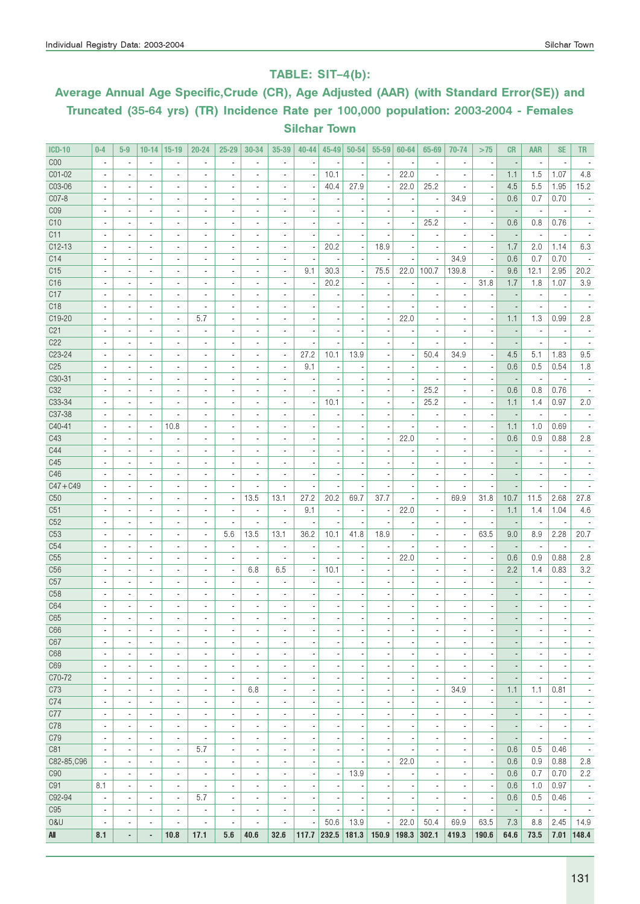### TABLE: SIT–4(b):

# Average Annual Age Specific,Crude (CR), Age Adjusted (AAR) (with Standard Error(SE)) and Truncated (35-64 yrs) (TR) Incidence Rate per 100,000 population: 2003-2004 - Females Silchar Town

| <b>ICD-10</b>   | $0 - 4$                  | $5-9$                    | $10 - 14$                | $15-19$                      | $20 - 24$                | $25 - 29$                | 30-34                        | 35-39                    | $40 - 44$                | $45 - 49$                | $50 - 54$                | 55-59                    | 60-64                    | 65-69                        | 70-74                    | >75                      | <b>CR</b>                | <b>AAR</b>               | <b>SE</b>                | TR.                          |
|-----------------|--------------------------|--------------------------|--------------------------|------------------------------|--------------------------|--------------------------|------------------------------|--------------------------|--------------------------|--------------------------|--------------------------|--------------------------|--------------------------|------------------------------|--------------------------|--------------------------|--------------------------|--------------------------|--------------------------|------------------------------|
| C <sub>00</sub> | $\blacksquare$           | $\blacksquare$           | $\overline{\phantom{a}}$ | $\overline{\phantom{a}}$     | $\overline{a}$           | ÷,                       |                              | ä,                       |                          |                          |                          |                          |                          | $\blacksquare$               | ä,                       | ٠.                       |                          | $\blacksquare$           |                          |                              |
| CO1-02          |                          |                          | $\overline{\phantom{a}}$ | ×,                           |                          |                          |                              |                          |                          | 10.1                     |                          |                          | 22.0                     |                              |                          | $\overline{\phantom{a}}$ | 1.1                      | 1.5                      | 1.07                     | 4.8                          |
| C03-06          | $\overline{\phantom{a}}$ | $\blacksquare$           | $\overline{\phantom{a}}$ | ä,                           | ÷,                       | $\overline{a}$           | ٠                            | ä,                       |                          | 40.4                     | 27.9                     | ÷,                       | 22.0                     | 25.2                         | $\overline{\phantom{a}}$ | ÷,                       | 4.5                      | 5.5                      | 1.95                     | 15.2                         |
| C07-8           | $\blacksquare$           | $\blacksquare$           | $\overline{\phantom{a}}$ | $\overline{\phantom{a}}$     | $\blacksquare$           | $\overline{a}$           | $\blacksquare$               | $\overline{\phantom{a}}$ | $\overline{\phantom{a}}$ |                          |                          | $\overline{\phantom{a}}$ | ÷,                       | $\overline{\phantom{a}}$     | 34.9                     | $\overline{\phantom{a}}$ | 0.6                      | 0.7                      | 0.70                     |                              |
| CO9             | $\overline{\phantom{a}}$ | $\blacksquare$           | $\overline{\phantom{a}}$ | $\overline{\phantom{a}}$     | $\blacksquare$           | $\overline{a}$           | $\blacksquare$               | $\overline{\phantom{a}}$ | ä,                       |                          |                          | $\overline{\phantom{a}}$ | ä,                       | $\overline{\phantom{a}}$     | $\blacksquare$           | $\overline{\phantom{a}}$ | ÷,                       | $\overline{\phantom{a}}$ | $\overline{a}$           |                              |
| C10             |                          | $\overline{\phantom{a}}$ | $\overline{\phantom{a}}$ | $\overline{\phantom{a}}$     | ٠                        | $\frac{1}{2}$            | ٠                            | ٠                        |                          |                          |                          |                          |                          | 25.2                         | $\overline{\phantom{a}}$ | $\overline{\phantom{a}}$ | 0.6                      | 0.8                      | 0.76                     |                              |
| C11             |                          |                          | $\overline{\phantom{a}}$ | ä,                           | $\overline{a}$           |                          |                              | ä,                       |                          |                          |                          |                          |                          |                              | ÷,                       | ÷,                       |                          | $\blacksquare$           |                          |                              |
| $C12-13$        |                          | $\overline{\phantom{a}}$ | $\overline{\phantom{a}}$ | ٠                            | $\blacksquare$           | $\overline{a}$           | $\overline{\phantom{a}}$     | ä,                       | $\overline{a}$           | 20.2                     |                          | 18.9                     |                          | $\blacksquare$               | ä,                       | $\overline{\phantom{a}}$ | 1.7                      | 2.0                      | 1.14                     | 6.3                          |
| C14             |                          | $\blacksquare$           | $\overline{\phantom{a}}$ | $\overline{\phantom{a}}$     | $\blacksquare$           | $\overline{a}$           | $\blacksquare$               | ä,                       | $\overline{\phantom{a}}$ |                          |                          |                          |                          |                              | 34.9                     | $\overline{\phantom{a}}$ | 0.6                      | 0.7                      | 0.70                     |                              |
| C15             |                          | $\blacksquare$           | $\overline{\phantom{a}}$ | $\overline{\phantom{a}}$     | $\blacksquare$           | ٠                        | ٠                            | $\overline{\phantom{a}}$ | 9.1                      | 30.3                     |                          | 75.5                     | 22.0                     | 100.7                        | 139.8                    | г.                       | 9.6                      | 12.1                     | 2.95                     | 20.2                         |
| C16             | $\overline{\phantom{a}}$ | $\blacksquare$           | $\overline{\phantom{a}}$ | $\blacksquare$               |                          | $\overline{a}$           |                              | ä,                       |                          | 20.2                     |                          |                          |                          | ä,                           | $\overline{a}$           | 31.8                     | 1.7                      | 1.8                      | 1.07                     | 3.9                          |
| C17             | $\blacksquare$           | $\blacksquare$           | $\overline{\phantom{a}}$ | $\sim$                       | $\blacksquare$           | $\blacksquare$           | $\blacksquare$               | ٠                        | $\overline{\phantom{a}}$ |                          |                          | $\overline{\phantom{a}}$ | $\overline{\phantom{a}}$ | $\blacksquare$               | $\overline{\phantom{a}}$ | ×                        |                          | $\overline{\phantom{a}}$ | $\overline{\phantom{a}}$ | $\overline{\phantom{a}}$     |
| C <sub>18</sub> | $\overline{\phantom{a}}$ | $\overline{\phantom{a}}$ | $\overline{\phantom{a}}$ | $\overline{\phantom{a}}$     | $\overline{\phantom{a}}$ | $\frac{1}{2}$            | $\blacksquare$               | ٠                        | $\overline{\phantom{a}}$ |                          |                          |                          |                          | $\qquad \qquad \blacksquare$ | $\overline{\phantom{a}}$ | г.                       |                          | $\overline{\phantom{a}}$ | $\overline{\phantom{a}}$ | $\overline{\phantom{a}}$     |
| C19-20          |                          |                          | ٠                        | ä,                           | 5.7                      |                          |                              |                          |                          |                          |                          | ×,                       | 22.0                     |                              |                          | ,                        | 1.1                      | 1.3                      | 0.99                     | 2.8                          |
| C <sub>21</sub> | $\overline{a}$           | $\blacksquare$           | $\overline{\phantom{a}}$ | ٠                            | $\overline{a}$           | $\overline{a}$           | ٠                            | ٠                        |                          |                          |                          |                          |                          | $\overline{\phantom{a}}$     | $\overline{\phantom{a}}$ |                          |                          | $\blacksquare$           |                          | $\overline{\phantom{a}}$     |
| C22             |                          | $\blacksquare$           | $\overline{\phantom{a}}$ | ٠                            | $\overline{\phantom{a}}$ |                          | $\overline{\phantom{a}}$     | ÷,                       |                          |                          |                          |                          |                          |                              |                          |                          |                          |                          |                          |                              |
| $C23-24$        |                          | $\blacksquare$           | $\overline{\phantom{a}}$ | $\qquad \qquad \blacksquare$ | $\blacksquare$           |                          | ٠                            | $\overline{\phantom{a}}$ | 27.2                     | 10.1                     | 13.9                     |                          |                          | 50.4                         | 34.9                     |                          | 4.5                      | 5.1                      | 1.83                     | 9.5                          |
| C <sub>25</sub> | $\overline{\phantom{a}}$ | $\blacksquare$           | $\blacksquare$           | $\overline{\phantom{a}}$     | $\blacksquare$           | $\overline{a}$           |                              | ä,                       | 9.1                      |                          |                          |                          | ä,                       | ä,                           |                          |                          | 0.6                      | 0.5                      | 0.54                     | 1.8                          |
| C30-31          | $\overline{\phantom{a}}$ | $\blacksquare$           | $\overline{\phantom{a}}$ | $\sim$                       | $\blacksquare$           | $\blacksquare$           | $\blacksquare$               | ٠                        | ä,                       |                          |                          | $\overline{\phantom{a}}$ | $\blacksquare$           | $\overline{\phantom{a}}$     | ٠                        | $\overline{\phantom{a}}$ | $\overline{\phantom{a}}$ | $\overline{\phantom{a}}$ | $\overline{\phantom{a}}$ |                              |
| C <sub>32</sub> | $\overline{\phantom{a}}$ | $\overline{\phantom{a}}$ | $\overline{\phantom{a}}$ | $\overline{\phantom{a}}$     | $\blacksquare$           | $\frac{1}{2}$            | $\blacksquare$               | ٠                        | ×,                       |                          |                          |                          |                          | 25.2                         | $\blacksquare$           | $\overline{\phantom{a}}$ | 0.6                      | 0.8                      | 0.76                     |                              |
| C33-34          |                          |                          | $\overline{\phantom{a}}$ | ä,                           |                          | ٠                        |                              | ÷,                       | $\overline{\phantom{a}}$ | 10.1                     |                          |                          |                          | 25.2                         |                          | $\overline{\phantom{a}}$ | 1.1                      | 1.4                      | 0.97                     | 2.0                          |
| C37-38          | $\overline{a}$           | $\blacksquare$           | $\overline{\phantom{a}}$ | $\overline{\phantom{a}}$     | $\overline{a}$           | ٠                        | ٠                            | ä,                       |                          |                          |                          |                          |                          | $\overline{\phantom{a}}$     |                          |                          |                          | $\blacksquare$           |                          |                              |
| C40-41          |                          | $\blacksquare$           | $\overline{\phantom{a}}$ | 10.8                         | $\blacksquare$           | $\overline{a}$           | ٠                            | ä,                       | ä,                       |                          |                          |                          |                          | $\overline{a}$               |                          | $\overline{\phantom{a}}$ | 1.1                      | 1.0                      | 0.69                     |                              |
| C43             |                          | $\blacksquare$           | $\overline{\phantom{m}}$ |                              | $\overline{a}$           |                          |                              |                          |                          |                          |                          |                          | 22.0                     |                              |                          |                          | 0.6                      | 0.9                      | 0.88                     | 2.8                          |
| C44             | $\overline{a}$           | $\blacksquare$           | $\overline{\phantom{a}}$ | $\overline{\phantom{a}}$     | $\blacksquare$           | $\overline{a}$           |                              | ä,                       |                          |                          |                          |                          |                          |                              |                          |                          |                          | $\blacksquare$           |                          |                              |
| C45             | $\blacksquare$           | $\blacksquare$           | $\overline{\phantom{a}}$ | ٠                            | $\blacksquare$           | $\blacksquare$           | $\overline{\phantom{a}}$     | ٠                        | ä,                       |                          |                          | $\overline{\phantom{a}}$ | $\blacksquare$           | $\overline{\phantom{a}}$     | ٠                        |                          |                          | $\blacksquare$           |                          |                              |
| C46             | $\overline{a}$           | $\overline{\phantom{a}}$ | $\overline{\phantom{a}}$ | $\overline{\phantom{a}}$     | $\blacksquare$           | $\overline{\phantom{a}}$ | $\overline{\phantom{a}}$     | $\overline{\phantom{a}}$ | ×,                       |                          |                          |                          | $\overline{\phantom{a}}$ | ٠                            | ä,                       | $\overline{\phantom{a}}$ |                          | $\overline{\phantom{a}}$ | $\overline{\phantom{a}}$ |                              |
| $C47 + C49$     |                          | $\blacksquare$           | $\overline{\phantom{a}}$ | $\qquad \qquad \blacksquare$ | $\blacksquare$           |                          |                              | ٠                        |                          |                          |                          |                          |                          | $\blacksquare$               | $\overline{\phantom{a}}$ |                          |                          | $\overline{\phantom{a}}$ |                          |                              |
| C50             | ٠                        | $\blacksquare$           | $\overline{\phantom{a}}$ | $\blacksquare$               | ä,                       | $\overline{\phantom{a}}$ | 13.5                         | 13.1                     | 27.2                     | 20.2                     | 69.7                     | 37.7                     |                          | $\overline{\phantom{a}}$     | 69.9                     | 31.8                     | 10.7                     | 11.5                     | 2.68                     | 27.8                         |
| C51             | ٠                        | $\blacksquare$           | $\overline{\phantom{a}}$ | $\blacksquare$               | $\overline{a}$           | $\overline{\phantom{a}}$ | $\blacksquare$               | $\blacksquare$           | 9.1                      |                          | ×,                       | ÷,                       | 22.0                     | $\overline{\phantom{a}}$     | $\overline{\phantom{a}}$ | $\overline{\phantom{a}}$ | 1.1                      | 1.4                      | 1.04                     | 4.6                          |
| C52             |                          |                          | $\overline{\phantom{a}}$ | $\qquad \qquad \blacksquare$ | $\overline{a}$           |                          |                              |                          |                          |                          |                          |                          |                          |                              |                          |                          |                          | $\overline{\phantom{a}}$ |                          |                              |
| C53             | $\overline{\phantom{a}}$ | $\blacksquare$           | $\overline{\phantom{a}}$ | ä,                           | $\blacksquare$           | 5.6                      | 13.5                         | 13.1                     | 36.2                     | 10.1                     | 41.8                     | 18.9                     |                          |                              | $\overline{\phantom{a}}$ | 63.5                     | 9.0                      | 8.9                      | 2.28                     | 20.7                         |
| C54             | $\overline{\phantom{a}}$ | $\blacksquare$           | $\overline{\phantom{a}}$ | $\overline{\phantom{a}}$     | $\blacksquare$           | $\overline{\phantom{m}}$ | $\blacksquare$               | $\overline{\phantom{a}}$ | $\overline{\phantom{a}}$ |                          |                          |                          |                          | $\blacksquare$               | ٠                        | ×                        | $\overline{\phantom{a}}$ | $\overline{\phantom{a}}$ | $\overline{\phantom{a}}$ |                              |
| C55             | $\overline{\phantom{a}}$ | $\overline{\phantom{a}}$ | $\overline{\phantom{a}}$ | $\overline{\phantom{a}}$     | $\blacksquare$           | $\overline{\phantom{a}}$ | $\overline{\phantom{a}}$     | ÷,                       | ×,                       |                          |                          | $\overline{\phantom{a}}$ | 22.0                     | $\overline{\phantom{a}}$     | $\overline{\phantom{a}}$ | $\overline{\phantom{a}}$ | 0.6                      | 0.9                      | 0.88                     | 2.8                          |
| C56             |                          | $\overline{\phantom{a}}$ | $\blacksquare$           | $\blacksquare$               | $\blacksquare$           | $\frac{1}{2}$            | 6.8                          | 6.5                      | $\overline{\phantom{a}}$ | 10.1                     |                          |                          |                          |                              |                          |                          | 2.2                      | 1.4                      | 0.83                     | 3.2                          |
| C57             |                          |                          | $\overline{\phantom{a}}$ | ä,                           | ×,                       | ٠                        |                              | ٠                        |                          |                          |                          |                          |                          |                              |                          |                          |                          |                          |                          |                              |
| C <sub>58</sub> | $\overline{a}$           | $\blacksquare$           | $\overline{\phantom{a}}$ | $\overline{\phantom{a}}$     | $\blacksquare$           | $\overline{a}$           | $\blacksquare$               | $\blacksquare$           |                          |                          |                          |                          |                          |                              |                          |                          |                          |                          |                          |                              |
| C64             |                          |                          | $\overline{\phantom{a}}$ | $\overline{\phantom{a}}$     |                          |                          |                              |                          |                          |                          |                          |                          |                          |                              |                          |                          |                          |                          |                          |                              |
| C65             |                          |                          |                          |                              |                          |                          |                              |                          |                          |                          |                          |                          |                          |                              |                          |                          |                          |                          |                          |                              |
| C66             | $\overline{\phantom{a}}$ | $\overline{\phantom{a}}$ | $\overline{\phantom{a}}$ | $\overline{\phantom{a}}$     | $\overline{\phantom{a}}$ | $\overline{\phantom{a}}$ | $\qquad \qquad \blacksquare$ | $\overline{\phantom{a}}$ | $\overline{\phantom{a}}$ | $\overline{a}$           | $\overline{\phantom{a}}$ | $\overline{\phantom{a}}$ | $\overline{\phantom{a}}$ | ٠                            | $\overline{\phantom{a}}$ | $\overline{a}$           | $\overline{\phantom{a}}$ | $\overline{\phantom{a}}$ | $\overline{\phantom{a}}$ | $\blacksquare$               |
| C67             | $\overline{\phantom{a}}$ | $\overline{\phantom{a}}$ | $\overline{\phantom{a}}$ | $\overline{\phantom{a}}$     | $\overline{\phantom{a}}$ | $\overline{\phantom{a}}$ | $\overline{\phantom{a}}$     | $\overline{\phantom{a}}$ | $\overline{\phantom{a}}$ | $\overline{\phantom{a}}$ | ×,                       | $\overline{\phantom{a}}$ | $\overline{\phantom{a}}$ | $\overline{\phantom{a}}$     | $\overline{\phantom{a}}$ | $\overline{\phantom{a}}$ | $\overline{\phantom{a}}$ | $\overline{\phantom{a}}$ | $\overline{\phantom{a}}$ | $\overline{\phantom{a}}$     |
| C68             | $\overline{\phantom{a}}$ | $\overline{\phantom{a}}$ | ٠                        | $\overline{\phantom{a}}$     | $\overline{\phantom{a}}$ | $\overline{\phantom{a}}$ | $\qquad \qquad \blacksquare$ | $\overline{\phantom{a}}$ | $\overline{\phantom{m}}$ | ٠                        | $\overline{\phantom{m}}$ | $\overline{\phantom{a}}$ | $\frac{1}{2}$            | $\blacksquare$               | $\overline{\phantom{a}}$ | г.                       | $\overline{\phantom{a}}$ | $\overline{\phantom{a}}$ | $\overline{\phantom{a}}$ | $\qquad \qquad \blacksquare$ |
| C69             | ٠                        | $\blacksquare$           | $\overline{\phantom{a}}$ | $\overline{\phantom{a}}$     | $\blacksquare$           | $\overline{\phantom{a}}$ | $\overline{\phantom{a}}$     | $\overline{\phantom{a}}$ | ÷,                       |                          |                          | $\overline{\phantom{a}}$ | $\overline{a}$           | $\overline{\phantom{a}}$     | $\overline{\phantom{a}}$ | ×,                       |                          | $\overline{\phantom{a}}$ | ×,                       | $\overline{\phantom{a}}$     |
| C70-72          | ٠                        | $\blacksquare$           | $\overline{\phantom{a}}$ | ٠                            | $\overline{\phantom{a}}$ | $\overline{\phantom{a}}$ | $\blacksquare$               | $\overline{\phantom{a}}$ | $\overline{\phantom{a}}$ | ٠                        | $\blacksquare$           | $\overline{\phantom{a}}$ | $\overline{\phantom{a}}$ | $\blacksquare$               | $\blacksquare$           | $\overline{\phantom{a}}$ | $\overline{a}$           | $\overline{\phantom{a}}$ | $\blacksquare$           | $\blacksquare$               |
| C73             | $\overline{\phantom{a}}$ | $\overline{\phantom{a}}$ | $\overline{\phantom{a}}$ | $\overline{\phantom{a}}$     | $\overline{\phantom{a}}$ | $\overline{\phantom{a}}$ | 6.8                          | $\overline{\phantom{a}}$ | $\overline{\phantom{a}}$ | ×                        |                          | $\overline{\phantom{a}}$ | ٠                        | $\overline{\phantom{a}}$     | 34.9                     | $\overline{\phantom{a}}$ | 1.1                      | 1.1                      | 0.81                     | $\overline{\phantom{a}}$     |
| C74             | $\blacksquare$           | $\overline{\phantom{a}}$ | $\blacksquare$           | ÷,                           | $\blacksquare$           | $\overline{\phantom{a}}$ | $\blacksquare$               | $\overline{\phantom{a}}$ | ÷,                       | ×                        | ×,                       | ÷                        | ÷                        | ä,                           | ÷,                       | $\overline{\phantom{a}}$ |                          | $\overline{\phantom{a}}$ |                          | $\overline{\phantom{a}}$     |
| C77             | $\overline{\phantom{a}}$ | $\overline{\phantom{a}}$ | $\overline{\phantom{a}}$ | $\overline{\phantom{a}}$     | $\overline{\phantom{a}}$ | $\overline{\phantom{a}}$ | $\overline{\phantom{a}}$     | $\overline{\phantom{a}}$ | ٠                        | $\overline{\phantom{a}}$ | $\blacksquare$           | $\overline{\phantom{a}}$ | $\overline{\phantom{a}}$ | ÷,                           | $\overline{\phantom{a}}$ | $\overline{\phantom{a}}$ | $\blacksquare$           | $\overline{\phantom{a}}$ | $\overline{\phantom{a}}$ | $\overline{\phantom{a}}$     |
| C78             | $\overline{\phantom{a}}$ | $\overline{\phantom{a}}$ | $\overline{\phantom{a}}$ | $\overline{\phantom{a}}$     | $\overline{\phantom{a}}$ | $\overline{\phantom{a}}$ | $\overline{\phantom{a}}$     | $\overline{\phantom{a}}$ | $\overline{\phantom{a}}$ | $\overline{\phantom{a}}$ | $\overline{\phantom{a}}$ | $\overline{\phantom{a}}$ | $\overline{\phantom{a}}$ | $\overline{\phantom{a}}$     | $\overline{\phantom{a}}$ | $\overline{\phantom{a}}$ | $\overline{\phantom{m}}$ | $\overline{\phantom{a}}$ | $\overline{\phantom{a}}$ | $\overline{\phantom{a}}$     |
| C79             | $\overline{\phantom{a}}$ | $\overline{\phantom{a}}$ | $\overline{\phantom{a}}$ | $\overline{\phantom{a}}$     | $\overline{\phantom{a}}$ | $\overline{\phantom{a}}$ | $\overline{\phantom{a}}$     | $\overline{\phantom{a}}$ | $\overline{\phantom{m}}$ | ,                        | ٠                        | $\overline{\phantom{a}}$ | $\frac{1}{2}$            | $\qquad \qquad \blacksquare$ | $\overline{\phantom{a}}$ | $\overline{\phantom{a}}$ | $\overline{\phantom{m}}$ | $\overline{\phantom{a}}$ | $\overline{\phantom{a}}$ | $\overline{\phantom{a}}$     |
| C81             | ä,                       | $\blacksquare$           | $\blacksquare$           | $\overline{\phantom{a}}$     | 5.7                      | $\blacksquare$           | $\overline{\phantom{a}}$     | $\overline{\phantom{a}}$ | ÷,                       |                          |                          | $\overline{\phantom{a}}$ |                          | $\overline{\phantom{a}}$     | $\frac{1}{2}$            | $\overline{\phantom{a}}$ | 0.6                      | 0.5                      | 0.46                     | $\overline{\phantom{a}}$     |
| C82-85, C96     | ٠                        | $\blacksquare$           | $\blacksquare$           | $\blacksquare$               | $\overline{\phantom{a}}$ | $\overline{\phantom{a}}$ | $\blacksquare$               | $\overline{\phantom{a}}$ | $\overline{\phantom{a}}$ | ٠                        |                          | $\overline{\phantom{a}}$ | 22.0                     | $\overline{\phantom{a}}$     | $\blacksquare$           | $\overline{\phantom{a}}$ | 0.6                      | 0.9                      | 0.88                     | 2.8                          |
| <b>C90</b>      | $\overline{\phantom{a}}$ | $\overline{\phantom{a}}$ | $\overline{\phantom{a}}$ | $\overline{\phantom{a}}$     | $\overline{\phantom{a}}$ | $\overline{a}$           | $\qquad \qquad \blacksquare$ | $\overline{\phantom{a}}$ | $\overline{\phantom{a}}$ |                          | 13.9                     | ÷                        | $\overline{a}$           | $\qquad \qquad \blacksquare$ | $\overline{\phantom{a}}$ | $\overline{\phantom{a}}$ | 0.6                      | 0.7                      | 0.70                     | 2.2                          |
| C91             | 8.1                      | $\blacksquare$           | ä,                       | ÷,                           | $\blacksquare$           | $\blacksquare$           | $\overline{\phantom{a}}$     | $\blacksquare$           | $\overline{\phantom{a}}$ | ×                        |                          | ÷,                       | Ĭ.                       | $\overline{\phantom{a}}$     | $\overline{\phantom{a}}$ | $\overline{\phantom{a}}$ | 0.6                      | 1.0                      | 0.97                     | $\overline{\phantom{a}}$     |
| C92-94          | $\overline{\phantom{a}}$ | $\overline{\phantom{a}}$ | $\overline{\phantom{a}}$ | $\overline{\phantom{a}}$     | 5.7                      | $\overline{\phantom{a}}$ | $\overline{\phantom{a}}$     | $\overline{\phantom{a}}$ | $\overline{\phantom{a}}$ | ٠                        |                          | $\overline{\phantom{a}}$ | $\overline{\phantom{a}}$ | $\overline{\phantom{a}}$     | $\overline{\phantom{a}}$ | $\overline{\phantom{a}}$ | 0.6                      | 0.5                      | 0.46                     | $\overline{\phantom{a}}$     |
| C <sub>95</sub> | $\overline{\phantom{a}}$ | $\overline{\phantom{a}}$ | $\overline{\phantom{a}}$ | $\overline{\phantom{a}}$     | $\overline{\phantom{a}}$ | $\overline{\phantom{a}}$ | $\overline{\phantom{a}}$     | $\overline{\phantom{a}}$ | $\overline{\phantom{a}}$ | $\overline{\phantom{a}}$ | ×,                       | $\overline{\phantom{a}}$ | $\blacksquare$           | $\overline{\phantom{a}}$     | $\overline{\phantom{a}}$ | $\overline{\phantom{a}}$ | $\overline{\phantom{a}}$ | $\overline{\phantom{a}}$ | $\overline{\phantom{a}}$ | $\overline{\phantom{a}}$     |
| 0&U             | $\overline{\phantom{a}}$ | $\overline{\phantom{a}}$ | $\overline{\phantom{a}}$ | ä,                           | $\blacksquare$           | $\overline{\phantom{a}}$ | $\overline{\phantom{a}}$     | $\overline{\phantom{a}}$ | $\blacksquare$           | 50.6                     | 13.9                     | ÷,                       | 22.0                     | 50.4                         | 69.9                     | 63.5                     | 7.3                      | 8.8                      | 2.45                     | 14.9                         |
| All             | 8.1                      | ٠                        | ٠                        | 10.8                         | 17.1                     | 5.6                      | 40.6                         | 32.6                     | 117.7                    | 232.5                    | 181.3                    | 150.9                    | 198.3                    | 302.1                        | 419.3                    | 190.6                    | 64.6                     | 73.5                     |                          | $7.01$   148.4               |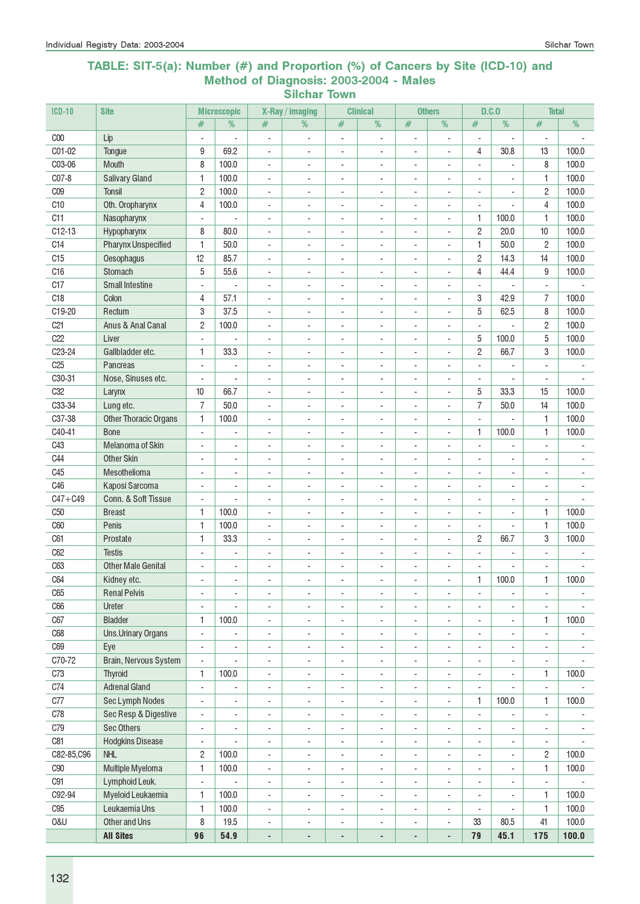#### TABLE: SIT-5(a): Number (#) and Proportion (%) of Cancers by Site (ICD-10) and Method of Diagnosis: 2003-2004 - Males Silchar Town

| $ICD-10$            | <b>Site</b>                           |                          | <b>Microscopic</b>       |                              | X-Ray / imaging          |                              | <b>Clinical</b>          |                          | <b>Others</b>            |                          | D.C.0                    | <b>Total</b>                 |                          |
|---------------------|---------------------------------------|--------------------------|--------------------------|------------------------------|--------------------------|------------------------------|--------------------------|--------------------------|--------------------------|--------------------------|--------------------------|------------------------------|--------------------------|
|                     |                                       | #                        | %                        | #                            | $\frac{9}{6}$            | #                            | %                        | #                        | $\frac{9}{6}$            | #                        | %                        | #                            | $\overline{\%}$          |
| C <sub>00</sub>     | Lip                                   | $\overline{\phantom{a}}$ | ÷,                       | ÷,                           | $\overline{\phantom{a}}$ | $\blacksquare$               | $\blacksquare$           | ÷,                       | $\overline{\phantom{a}}$ | ÷,                       |                          | ÷,                           |                          |
| C01-02              | Tongue                                | 9                        | 69.2                     | $\blacksquare$               | ÷,                       | $\overline{\phantom{a}}$     | $\overline{\phantom{a}}$ | ÷,                       | ÷,                       | 4                        | 30.8                     | 13                           | 100.0                    |
| C03-06              | Mouth                                 | 8                        | 100.0                    | $\blacksquare$               | $\blacksquare$           | ÷.                           | ÷                        | $\blacksquare$           | $\blacksquare$           | ÷.                       | ÷.                       | 8                            | 100.0                    |
| C07-8               | <b>Salivary Gland</b>                 | 1                        | 100.0                    | $\overline{\phantom{a}}$     | ÷,                       | $\overline{a}$               | $\overline{a}$           | ÷,                       | ÷,                       | ÷,                       | ä,                       | 1                            | 100.0                    |
| C <sub>09</sub>     | <b>Tonsil</b>                         | $\overline{c}$           | 100.0                    | $\overline{\phantom{a}}$     | ä,                       | ÷,                           |                          | ÷,                       | ÷,                       | ÷,                       |                          | $\overline{c}$               | 100.0                    |
| C <sub>10</sub>     | Oth. Oropharynx                       | 4                        | 100.0                    | $\overline{a}$               | ÷,                       | ÷,                           | $\blacksquare$           | ÷,                       | ÷,                       |                          |                          | 4                            | 100.0                    |
| C11                 | Nasopharynx                           | $\overline{\phantom{a}}$ |                          | $\overline{\phantom{a}}$     | ÷,                       | ٠                            | $\overline{a}$           | $\overline{a}$           | $\blacksquare$           | 1                        | 100.0                    | $\mathbf{1}$                 | 100.0                    |
| $C12-13$            | Hypopharynx                           | 8                        | 80.0                     | $\overline{\phantom{a}}$     | $\overline{\phantom{a}}$ | $\overline{\phantom{a}}$     | $\overline{a}$           | ÷,                       | $\overline{\phantom{a}}$ | $\mathbf{2}$             | 20.0                     | 10                           | 100.0                    |
| C <sub>14</sub>     | <b>Pharynx Unspecified</b>            | 1                        | 50.0                     | $\overline{\phantom{a}}$     | $\overline{\phantom{a}}$ | $\overline{\phantom{a}}$     | $\overline{\phantom{a}}$ | $\overline{a}$           | $\frac{1}{2}$            | 1                        | 50.0                     | $\overline{c}$               | 100.0                    |
| C15                 | Oesophagus                            | 12                       | 85.7                     | $\blacksquare$               | $\overline{\phantom{a}}$ | $\frac{1}{2}$                | $\overline{\phantom{a}}$ | $\overline{a}$           | ÷,                       | $\overline{c}$           | 14.3                     | 14                           | 100.0                    |
| C16                 | Stomach                               | 5                        | 55.6                     | $\blacksquare$               | $\overline{\phantom{a}}$ | $\blacksquare$               | $\overline{\phantom{a}}$ | $\blacksquare$           | ÷,                       | 4                        | 44.4                     | 9                            | 100.0                    |
| C17                 | <b>Small Intestine</b>                | ÷,                       | L,                       | ÷,                           | ÷,                       | $\overline{\phantom{a}}$     | $\overline{a}$           | ÷,                       | ÷,                       | $\blacksquare$           |                          | $\overline{\phantom{a}}$     |                          |
| C18                 | Colon                                 | 4                        | 57.1                     | $\overline{a}$               | $\overline{a}$           | $\overline{\phantom{a}}$     | $\overline{\phantom{a}}$ | $\overline{\phantom{a}}$ | $\blacksquare$           | 3                        | 42.9                     | $\overline{7}$               | 100.0                    |
| C19-20              | Rectum                                | 3                        | 37.5                     | $\overline{\phantom{a}}$     | $\overline{a}$           | $\overline{\phantom{a}}$     | $\overline{\phantom{a}}$ | $\overline{\phantom{a}}$ | $\overline{\phantom{a}}$ | 5                        | 62.5                     | 8                            | 100.0                    |
| C <sub>21</sub>     | Anus & Anal Canal                     | $\overline{c}$           | 100.0                    | $\overline{\phantom{a}}$     | ÷,                       | $\overline{\phantom{a}}$     | $\overline{\phantom{a}}$ | $\overline{\phantom{a}}$ | $\overline{\phantom{a}}$ | $\blacksquare$           |                          | $\overline{c}$               | 100.0                    |
| C22                 | Liver                                 | $\blacksquare$           |                          | $\overline{\phantom{a}}$     | $\sim$                   | $\overline{\phantom{a}}$     | $\overline{\phantom{a}}$ | $\sim$                   | $\blacksquare$           | 5                        | 100.0                    | 5                            | 100.0                    |
| C <sub>23</sub> -24 | Gallbladder etc.                      | 1                        | 33.3                     | $\blacksquare$               | ÷,                       | $\overline{a}$               | $\overline{a}$           | ÷,                       | ÷,                       | $\overline{c}$           | 66.7                     | 3                            | 100.0                    |
| C <sub>25</sub>     | Pancreas                              | $\overline{a}$           | $\blacksquare$           | $\overline{a}$               | ä,                       | ÷,                           |                          | ÷,                       | ÷,                       | $\blacksquare$           |                          | ä,                           |                          |
| C30-31              | Nose, Sinuses etc.                    |                          |                          | ÷,                           | $\overline{\phantom{a}}$ | $\sim$                       |                          | ÷,                       | ä,                       |                          |                          | $\overline{\phantom{a}}$     |                          |
| C <sub>32</sub>     | Larynx                                | 10                       | 66.7                     | $\overline{\phantom{a}}$     | ÷,                       | ٠                            | $\blacksquare$           | $\overline{\phantom{a}}$ | ÷,                       | 5                        | 33.3                     | 15                           | 100.0                    |
| C33-34              | Lung etc.                             | 7                        | 50.0                     | $\overline{\phantom{a}}$     | ÷,                       | $\overline{\phantom{a}}$     | $\overline{a}$           | ÷,                       | $\blacksquare$           | $\overline{7}$           | 50.0                     | 14                           | 100.0                    |
| C37-38              | <b>Other Thoracic Organs</b>          | 1                        | 100.0                    | $\blacksquare$               | $\blacksquare$           | $\overline{\phantom{a}}$     | $\overline{\phantom{a}}$ | $\sim$                   | $\blacksquare$           | $\blacksquare$           |                          | 1                            | 100.0                    |
| C40-41              | <b>Bone</b>                           | $\sim$                   | ä,                       | $\blacksquare$               | $\blacksquare$           | ÷,                           | ÷                        | $\blacksquare$           | ÷,                       | 1                        | 100.0                    | 1                            | 100.0                    |
| C43                 | Melanoma of Skin                      | $\overline{\phantom{a}}$ | L.                       | ÷,                           | $\blacksquare$           | $\overline{a}$               | $\overline{\phantom{a}}$ | ÷,                       | ÷,                       | $\mathbf{r}$             | ÷.                       | $\overline{\phantom{a}}$     | $\overline{\phantom{a}}$ |
| C44                 | <b>Other Skin</b>                     | ÷,                       | ÷,                       | L,                           | $\overline{\phantom{a}}$ | $\blacksquare$               | $\overline{a}$           | $\sim$                   | ÷,                       | ä,                       | ÷,                       | $\overline{\phantom{a}}$     |                          |
| C45                 | Mesothelioma                          | ÷.                       | $\blacksquare$           | ÷,                           | $\blacksquare$           | $\blacksquare$               | $\overline{\phantom{a}}$ | $\blacksquare$           | ÷,                       | ÷.                       | ä,                       | ä,                           |                          |
| C46                 | Kaposi Sarcoma                        | $\overline{\phantom{a}}$ | ÷,                       | $\overline{\phantom{a}}$     | $\overline{\phantom{a}}$ | $\blacksquare$               | $\overline{\phantom{a}}$ | $\overline{\phantom{a}}$ | ÷,                       | $\overline{\phantom{a}}$ | $\overline{\phantom{a}}$ | $\overline{\phantom{a}}$     |                          |
| $C47 + C49$         | Conn. & Soft Tissue                   | $\overline{\phantom{a}}$ |                          | ÷,                           | ÷,                       | ÷,                           | $\overline{\phantom{a}}$ | ÷,                       | ÷,                       | $\blacksquare$           | $\blacksquare$           | ä,                           |                          |
| C <sub>50</sub>     | <b>Breast</b>                         | 1                        | 100.0                    | $\overline{\phantom{a}}$     | $\sim$                   | $\blacksquare$               | $\overline{\phantom{a}}$ | $\sim$                   | $\blacksquare$           | $\blacksquare$           | $\overline{\phantom{a}}$ | 1                            | 100.0                    |
| C60                 | Penis                                 | $\mathbf{1}$             | 100.0                    | $\blacksquare$               | ÷,                       | ÷,                           | ÷.                       | $\blacksquare$           | ä,                       | ÷.                       | J.                       | $\mathbf{1}$                 | 100.0                    |
| C61                 | Prostate                              | 1                        | 33.3                     | ÷,                           | ä,                       | ÷,                           |                          | ä,                       | ÷,                       | 2                        | 66.7                     | 3                            | 100.0                    |
| C62                 | <b>Testis</b>                         |                          |                          | $\qquad \qquad \blacksquare$ | $\overline{a}$           | $\qquad \qquad \blacksquare$ |                          | ÷                        | ÷                        |                          |                          |                              |                          |
| C63                 | <b>Other Male Genital</b>             | $\overline{\phantom{a}}$ | $\overline{\phantom{a}}$ | $\frac{1}{2}$                | $\overline{a}$           | $\overline{\phantom{a}}$     | $\overline{\phantom{a}}$ | $\overline{\phantom{a}}$ | $\overline{\phantom{a}}$ | $\overline{a}$           | ÷                        | $\qquad \qquad \blacksquare$ |                          |
| C64                 | Kidney etc.                           |                          |                          | $\overline{a}$               |                          | $\overline{a}$               |                          |                          | $\overline{a}$           | 1                        | 100.0                    | 1                            | 100.0                    |
| C65                 | <b>Renal Pelvis</b>                   | $\blacksquare$           | $\overline{\phantom{a}}$ | ÷,                           | $\overline{\phantom{a}}$ | $\overline{\phantom{0}}$     | $\overline{\phantom{a}}$ | ٠                        | $\blacksquare$           | $\overline{\phantom{a}}$ | $\overline{\phantom{a}}$ | $\overline{\phantom{a}}$     | $\overline{\phantom{a}}$ |
| C66                 | Ureter                                | $\overline{\phantom{a}}$ | ÷,                       | ٠                            | $\blacksquare$           | $\blacksquare$               | $\overline{\phantom{a}}$ | $\overline{a}$           | ÷,                       | ÷,                       | $\overline{\phantom{a}}$ | $\overline{\phantom{a}}$     |                          |
| C67                 | <b>Bladder</b>                        | 1                        | 100.0                    | $\overline{\phantom{a}}$     | $\overline{\phantom{a}}$ | $\blacksquare$               | $\overline{\phantom{a}}$ | ÷,                       | ÷,                       | ÷,                       | $\blacksquare$           | 1                            | 100.0                    |
| C68                 | <b>Uns.Urinary Organs</b>             | $\blacksquare$           | $\blacksquare$           | $\overline{\phantom{a}}$     | $\blacksquare$           | $\blacksquare$               | $\blacksquare$           | $\blacksquare$           | ÷,                       | ÷,                       | $\blacksquare$           | $\blacksquare$               |                          |
| C69                 | Eye                                   | $\overline{\phantom{a}}$ | ÷,                       | $\blacksquare$               | ÷,                       | $\blacksquare$               | $\overline{\phantom{a}}$ | ÷,                       | ÷,                       | $\overline{a}$           | $\overline{\phantom{a}}$ | $\overline{\phantom{a}}$     | $\overline{\phantom{a}}$ |
| C70-72              | Brain, Nervous System                 | $\overline{\phantom{a}}$ |                          | ÷,                           | $\blacksquare$           | $\overline{\phantom{a}}$     | $\overline{\phantom{a}}$ | $\blacksquare$           | ÷,                       | $\blacksquare$           | $\overline{\phantom{a}}$ | $\blacksquare$               |                          |
| C73                 | <b>Thyroid</b>                        | 1                        | 100.0                    | $\blacksquare$               | $\blacksquare$           | $\blacksquare$               | $\overline{\phantom{a}}$ | $\overline{\phantom{a}}$ | ÷,                       | $\blacksquare$           | $\overline{\phantom{a}}$ | 1                            | 100.0                    |
| C74                 | <b>Adrenal Gland</b>                  | $\overline{\phantom{a}}$ | $\overline{a}$           | $\blacksquare$               | ÷,                       | ÷,                           | ÷,                       | $\overline{\phantom{a}}$ | ÷,                       | ÷,                       |                          | L.                           |                          |
| C77                 | Sec Lymph Nodes                       | $\blacksquare$           | ÷,                       | $\blacksquare$               | $\blacksquare$           | $\blacksquare$               | $\overline{\phantom{a}}$ | $\blacksquare$           | $\blacksquare$           | 1                        | 100.0                    | 1                            | 100.0                    |
| C78                 | Sec Resp & Digestive                  |                          |                          |                              |                          |                              |                          |                          |                          |                          |                          |                              |                          |
|                     |                                       | $\blacksquare$           | $\overline{\phantom{a}}$ | $\qquad \qquad \blacksquare$ | $\frac{1}{2}$            | $\overline{\phantom{a}}$     | $\frac{1}{2}$            | $\frac{1}{2}$            | $\frac{1}{2}$            | $\overline{\phantom{a}}$ | $\overline{\phantom{a}}$ | $\overline{\phantom{a}}$     | $\overline{\phantom{a}}$ |
| C79<br>C81          | Sec Others<br><b>Hodgkins Disease</b> | $\overline{\phantom{a}}$ | $\overline{\phantom{a}}$ | $\overline{\phantom{a}}$     | $\frac{1}{2}$            | $\overline{\phantom{a}}$     | $\overline{\phantom{a}}$ | $\frac{1}{2}$            | $\overline{\phantom{a}}$ | $\overline{\phantom{a}}$ | $\overline{\phantom{a}}$ | $\overline{\phantom{a}}$     | $\overline{\phantom{a}}$ |
|                     |                                       | $\blacksquare$           | ÷,                       | $\frac{1}{2}$                | $\frac{1}{2}$            | $\overline{\phantom{0}}$     | $\overline{\phantom{a}}$ | $\blacksquare$           | $\overline{\phantom{a}}$ | $\overline{\phantom{a}}$ | $\overline{\phantom{a}}$ | $\overline{\phantom{a}}$     | $\overline{\phantom{a}}$ |
| C82-85,C96          | <b>NHL</b>                            | 2                        | 100.0                    | $\blacksquare$               | $\blacksquare$           | $\blacksquare$               | $\overline{\phantom{a}}$ | $\overline{a}$           | ÷,                       | $\overline{\phantom{a}}$ | $\blacksquare$           | $\overline{c}$               | 100.0                    |
| C90                 | Multiple Myeloma                      | 1                        | 100.0                    | $\overline{\phantom{a}}$     | $\overline{\phantom{a}}$ | $\overline{\phantom{a}}$     | $\overline{\phantom{a}}$ | $\overline{a}$           | $\overline{a}$           |                          | $\blacksquare$           | $\mathbf{1}$                 | 100.0                    |
| C91                 | Lymphoid Leuk.                        | $\overline{\phantom{a}}$ |                          | $\overline{\phantom{a}}$     | $\frac{1}{2}$            | $\overline{\phantom{a}}$     | $\overline{\phantom{a}}$ | $\overline{\phantom{a}}$ | $\overline{a}$           | $\blacksquare$           | $\overline{\phantom{a}}$ | $\blacksquare$               |                          |
| C92-94              | Myeloid Leukaemia                     | 1                        | 100.0                    | $\blacksquare$               | ÷,                       | $\overline{\phantom{a}}$     | $\overline{\phantom{a}}$ | ÷,                       | ÷,                       | $\blacksquare$           | $\overline{\phantom{a}}$ | $\mathbf{1}$                 | 100.0                    |
| C95                 | Leukaemia Uns                         | 1                        | 100.0                    | $\blacksquare$               | $\overline{\phantom{a}}$ | $\blacksquare$               | $\overline{\phantom{a}}$ | $\overline{\phantom{a}}$ | ÷,                       | $\overline{\phantom{a}}$ |                          | $\mathbf{1}$                 | 100.0                    |
| <b>0&amp;U</b>      | Other and Uns                         | 8                        | 19.5                     | $\blacksquare$               | ÷,                       | $\blacksquare$               | $\overline{a}$           | $\blacksquare$           | $\blacksquare$           | 33                       | 80.5                     | 41                           | 100.0                    |
|                     | <b>All Sites</b>                      | 96                       | 54.9                     | $\overline{\phantom{a}}$     | $\frac{1}{2}$            | ä,                           | ٠                        | $\overline{\phantom{a}}$ | ÷,                       | 79                       | 45.1                     | 175                          | 100.0                    |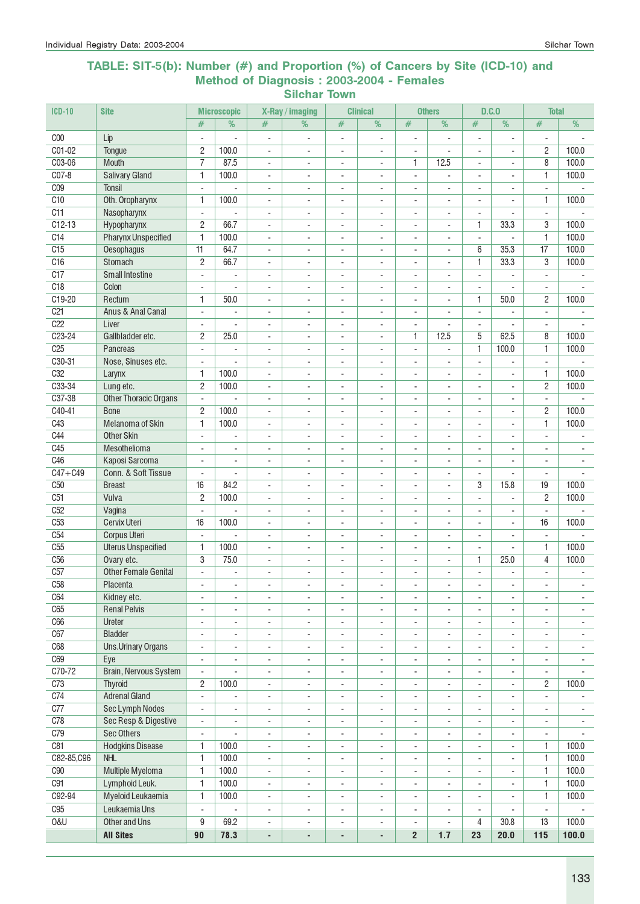#### TABLE: SIT-5(b): Number (#) and Proportion (%) of Cancers by Site (ICD-10) and Method of Diagnosis : 2003-2004 - Females Silchar Town

| $ICD-10$        | <b>Site</b>                            |                                                      | <b>Microscopic</b>                                   |                                                      | X-Ray / imaging                                      |                                            | <b>Clinical</b>               |                                                      | <b>Others</b>                  | D.C.0                              |                          | <b>Total</b>                               |                                            |
|-----------------|----------------------------------------|------------------------------------------------------|------------------------------------------------------|------------------------------------------------------|------------------------------------------------------|--------------------------------------------|-------------------------------|------------------------------------------------------|--------------------------------|------------------------------------|--------------------------|--------------------------------------------|--------------------------------------------|
|                 |                                        | #                                                    | $\frac{9}{6}$                                        | #                                                    | %                                                    | $\#$                                       | %                             | #                                                    | $\frac{9}{6}$                  | #                                  | %                        | #                                          | %                                          |
| C <sub>00</sub> | Lip                                    | $\overline{a}$                                       |                                                      | $\overline{a}$                                       |                                                      | ÷,                                         |                               | ÷,                                                   | $\overline{a}$                 |                                    |                          | ÷,                                         |                                            |
| $CO1-02$        | Tongue                                 | $\overline{c}$                                       | 100.0                                                | $\overline{\phantom{a}}$                             | $\overline{\phantom{a}}$                             | ÷,                                         | ÷,                            | $\overline{\phantom{a}}$                             | $\blacksquare$                 | $\overline{\phantom{a}}$           | $\overline{\phantom{a}}$ | $\overline{c}$                             | 100.0                                      |
| C03-06          | <b>Mouth</b>                           | 7                                                    | 87.5                                                 | $\blacksquare$                                       | $\overline{\phantom{a}}$                             | $\blacksquare$                             | $\mathbf{r}$                  | 1                                                    | 12.5                           | $\overline{\phantom{a}}$           | $\mathbf{r}$             | 8                                          | 100.0                                      |
| $CO7-8$         | <b>Salivary Gland</b>                  | 1                                                    | 100.0                                                | $\mathbf{r}$                                         | $\blacksquare$                                       | $\blacksquare$                             | $\blacksquare$                | $\blacksquare$                                       | ÷,                             | $\blacksquare$                     | $\blacksquare$           | 1                                          | 100.0                                      |
| C <sub>09</sub> | <b>Tonsil</b>                          | $\blacksquare$                                       | ÷.                                                   | $\blacksquare$                                       | $\sim$                                               | ÷,                                         | ÷,                            | $\sim$                                               | ÷,                             | $\sim$                             | ä,                       | $\overline{\phantom{a}}$                   |                                            |
| C10             | Oth. Oropharynx                        | 1                                                    | 100.0                                                | $\overline{\phantom{a}}$                             | $\overline{\phantom{a}}$                             | $\overline{\phantom{a}}$                   | $\overline{\phantom{a}}$      | $\overline{\phantom{a}}$                             | $\overline{\phantom{a}}$       | $\overline{\phantom{a}}$           | $\overline{a}$           | 1                                          | 100.0                                      |
| C11             | Nasopharynx                            | $\blacksquare$                                       |                                                      | $\overline{a}$                                       |                                                      | $\overline{\phantom{a}}$                   | L,                            | $\sim$                                               | ÷,                             |                                    |                          | $\mathbf{r}$                               |                                            |
| $C12-13$        | Hypopharynx                            | $\overline{c}$                                       | 66.7                                                 | $\blacksquare$                                       | $\blacksquare$                                       | $\blacksquare$                             | L.                            | $\blacksquare$                                       | $\blacksquare$                 | 1                                  | 33.3                     | 3                                          | 100.0                                      |
| C14             | <b>Pharynx Unspecified</b>             | $\overline{1}$                                       | 100.0                                                | $\overline{\phantom{a}}$                             | $\sim$                                               | $\sim$                                     | $\sim$                        | $\overline{\phantom{a}}$                             | $\overline{\phantom{a}}$       | ÷,                                 | $\sim$                   | 1                                          | 100.0                                      |
| C15             | Oesophagus                             | 11                                                   | 64.7                                                 | $\overline{\phantom{a}}$                             | $\blacksquare$                                       | $\overline{\phantom{a}}$                   | $\blacksquare$                | $\overline{\phantom{a}}$                             | $\overline{\phantom{a}}$       | 6                                  | 35.3                     | $\overline{17}$                            | 100.0                                      |
| C16             | Stomach                                | $\mathbf{2}$                                         | 66.7                                                 | $\blacksquare$                                       | $\blacksquare$                                       | $\sim$                                     | $\blacksquare$                | $\blacksquare$                                       | $\blacksquare$                 | 1                                  | 33.3                     | 3                                          | 100.0                                      |
| C17             | <b>Small Intestine</b>                 | $\blacksquare$                                       | $\blacksquare$                                       | $\blacksquare$                                       | $\blacksquare$                                       | $\blacksquare$                             | L.                            | $\blacksquare$                                       | $\blacksquare$                 | $\overline{\phantom{a}}$           |                          | $\bar{a}$                                  |                                            |
| C18             | Colon                                  | $\blacksquare$                                       |                                                      | $\overline{\phantom{a}}$                             | $\overline{\phantom{a}}$                             | $\overline{\phantom{a}}$                   | $\overline{\phantom{0}}$      | $\overline{\phantom{a}}$                             | $\overline{\phantom{a}}$       |                                    |                          | $\overline{\phantom{a}}$                   |                                            |
| C19-20          | Rectum                                 | 1                                                    | 50.0                                                 | $\overline{\phantom{a}}$                             | $\overline{\phantom{a}}$                             | $\overline{\phantom{a}}$                   | ÷,                            | $\overline{\phantom{a}}$                             | $\overline{\phantom{a}}$       | 1                                  | 50.0                     | $\overline{c}$                             | 100.0                                      |
| C <sub>21</sub> | Anus & Anal Canal                      | $\blacksquare$                                       | $\blacksquare$                                       | $\blacksquare$                                       | $\blacksquare$                                       | $\blacksquare$                             | L.                            | $\blacksquare$                                       | $\blacksquare$                 | $\overline{\phantom{a}}$           | ÷.                       | $\blacksquare$                             |                                            |
| C22<br>$C23-24$ | Liver<br>Gallbladder etc.              | $\overline{\phantom{a}}$                             | ÷.                                                   | $\blacksquare$                                       | $\sim$                                               | $\blacksquare$                             | $\overline{\phantom{a}}$      | $\blacksquare$                                       | ä,<br>12.5                     | $\blacksquare$<br>5                | ÷,<br>62.5               | $\blacksquare$                             | 100.0                                      |
| C <sub>25</sub> | Pancreas                               | 2                                                    | 25.0                                                 | $\overline{\phantom{a}}$                             | $\overline{\phantom{a}}$                             | $\overline{\phantom{a}}$                   | $\overline{\phantom{a}}$      | 1                                                    |                                | 1                                  |                          | 8<br>1                                     | 100.0                                      |
| C30-31          | Nose, Sinuses etc.                     | $\overline{\phantom{a}}$                             | ÷,                                                   | $\overline{\phantom{a}}$                             | $\overline{\phantom{a}}$                             | ÷,                                         | $\overline{\phantom{a}}$      | $\blacksquare$                                       | ÷,                             |                                    | 100.0                    |                                            |                                            |
| C32             | Larynx                                 | $\overline{\phantom{a}}$<br>1                        | 100.0                                                | $\overline{\phantom{a}}$<br>$\overline{\phantom{a}}$ | $\overline{\phantom{a}}$<br>$\blacksquare$           | $\overline{\phantom{a}}$<br>$\sim$         | $\overline{\phantom{0}}$<br>÷ | $\overline{\phantom{a}}$<br>$\sim$                   | ÷,<br>$\overline{\phantom{a}}$ | $\overline{\phantom{a}}$<br>÷      | $\overline{a}$           | $\overline{\phantom{a}}$<br>1              | 100.0                                      |
| C33-34          | Lung etc.                              | $\mathbf{2}$                                         | 100.0                                                | $\blacksquare$                                       | $\sim$                                               | ÷,                                         | L,                            | $\sim$                                               | ÷,                             | ÷,                                 | ÷,                       | $\overline{c}$                             | 100.0                                      |
| C37-38          | <b>Other Thoracic Organs</b>           | $\blacksquare$                                       |                                                      | $\overline{\phantom{a}}$                             |                                                      | $\overline{\phantom{a}}$                   | L,                            | $\sim$                                               | $\overline{\phantom{a}}$       | ÷,                                 | ÷,                       | $\blacksquare$                             |                                            |
| $C40-41$        | <b>Bone</b>                            | $\overline{c}$                                       | 100.0                                                | $\overline{\phantom{a}}$                             | ÷.                                                   | $\sim$                                     | $\overline{a}$                | $\sim$                                               | $\overline{\phantom{a}}$       | ÷                                  | $\overline{a}$           | $\overline{c}$                             | 100.0                                      |
| C43             | Melanoma of Skin                       | $\mathbf{1}$                                         | 100.0                                                | $\mathbf{r}$                                         | $\overline{\phantom{a}}$                             | $\overline{\phantom{a}}$                   | $\blacksquare$                | ä,                                                   | ÷,                             | $\overline{a}$                     | $\overline{a}$           | 1                                          | 100.0                                      |
| C44             | <b>Other Skin</b>                      | $\blacksquare$                                       | $\blacksquare$                                       | $\blacksquare$                                       | $\sim$                                               | $\blacksquare$                             | ÷,                            | $\blacksquare$                                       | ÷.                             | $\blacksquare$                     | ä,                       | $\blacksquare$                             | $\blacksquare$                             |
| C45             | Mesothelioma                           | $\overline{\phantom{a}}$                             | $\overline{\phantom{a}}$                             | $\qquad \qquad \blacksquare$                         | $\overline{\phantom{a}}$                             | $\overline{a}$                             | $\overline{\phantom{a}}$      | $\overline{\phantom{a}}$                             | ٠                              | $\overline{\phantom{a}}$           |                          | $\blacksquare$                             |                                            |
| C46             | Kaposi Sarcoma                         | $\blacksquare$                                       | $\sim$                                               | $\overline{\phantom{a}}$                             | $\overline{\phantom{a}}$                             | $\overline{\phantom{a}}$                   | ÷,                            | $\overline{\phantom{a}}$                             | ÷,                             | $\blacksquare$                     | ÷,                       | $\overline{\phantom{a}}$                   |                                            |
| $C47 + C49$     | Conn. & Soft Tissue                    | $\blacksquare$                                       | $\mathbf{r}$                                         | $\blacksquare$                                       | $\blacksquare$                                       | $\blacksquare$                             | L.                            | $\blacksquare$                                       | ä,                             | $\mathbf{r}$                       | $\mathbf{r}$             | $\mathbf{r}$                               |                                            |
| C <sub>50</sub> | <b>Breast</b>                          | 16                                                   | 84.2                                                 | $\overline{\phantom{a}}$                             | $\overline{\phantom{a}}$                             | $\overline{\phantom{a}}$                   | ÷,                            | $\overline{\phantom{a}}$                             | $\overline{\phantom{a}}$       | 3                                  | 15.8                     | 19                                         | 100.0                                      |
| C51             | Vulva                                  | $\overline{c}$                                       | 100.0                                                | $\overline{\phantom{a}}$                             | $\overline{\phantom{a}}$                             | $\overline{\phantom{a}}$                   | $\overline{\phantom{a}}$      | $\overline{\phantom{a}}$                             | $\overline{\phantom{a}}$       | ÷,                                 | $\sim$                   | $\overline{c}$                             | 100.0                                      |
| C52             | Vagina                                 | $\blacksquare$                                       | $\overline{a}$                                       | $\blacksquare$                                       | $\overline{\phantom{a}}$                             | $\blacksquare$                             | $\overline{\phantom{a}}$      | $\overline{\phantom{a}}$                             | $\blacksquare$                 | $\blacksquare$                     | $\sim$                   | $\blacksquare$                             |                                            |
| C <sub>53</sub> | <b>Cervix Uteri</b>                    | 16                                                   | 100.0                                                | $\blacksquare$                                       | $\sim$                                               | $\blacksquare$                             | ÷,                            | $\sim$                                               | ÷,                             | $\sim$                             | ÷,                       | 16                                         | 100.0                                      |
| C54             | <b>Corpus Uteri</b>                    | $\overline{\phantom{a}}$                             |                                                      | $\overline{\phantom{a}}$                             | $\overline{\phantom{a}}$                             | $\overline{\phantom{a}}$                   | $\overline{\phantom{0}}$      | $\overline{\phantom{a}}$                             | $\overline{\phantom{a}}$       | $\overline{\phantom{a}}$           | $\overline{\phantom{a}}$ | $\overline{\phantom{a}}$                   |                                            |
| C <sub>55</sub> | <b>Uterus Unspecified</b>              | 1                                                    | 100.0                                                | $\overline{a}$                                       | $\blacksquare$                                       | $\overline{a}$                             | ÷,                            | $\overline{\phantom{a}}$                             | $\overline{\phantom{a}}$       | $\overline{\phantom{a}}$           |                          | 1                                          | 100.0                                      |
| C56             | Ovary etc.                             | 3                                                    | 75.0                                                 | $\blacksquare$                                       | $\sim$                                               | ÷,                                         | L,                            | $\overline{a}$                                       | ÷,                             | 1                                  | 25.0                     | 4                                          | 100.0                                      |
| C57             | <b>Other Female Genital</b>            | $\overline{a}$                                       | ÷.                                                   | $\overline{\phantom{a}}$                             | ÷.                                                   | $\overline{\phantom{a}}$                   | $\sim$                        | $\sim$                                               | ÷.                             | ÷.                                 | $\overline{a}$           | $\sim$                                     | $\sim$                                     |
| C58             | Placenta                               |                                                      |                                                      |                                                      |                                                      |                                            | $\overline{\phantom{0}}$      | $\overline{\phantom{a}}$                             | ۰                              | $\overline{\phantom{a}}$           | $\overline{\phantom{a}}$ | $\overline{\phantom{a}}$                   |                                            |
| C64             | Kidney etc.                            | $\overline{\phantom{a}}$                             | $\overline{\phantom{a}}$                             | $\overline{\phantom{a}}$                             | $\overline{\phantom{a}}$                             | $\overline{\phantom{a}}$                   | $\overline{\phantom{a}}$      | $\overline{\phantom{a}}$                             | $\overline{\phantom{a}}$       | $\overline{\phantom{a}}$           | $\overline{\phantom{a}}$ | $\overline{\phantom{a}}$                   | $\overline{\phantom{a}}$                   |
| C65             | <b>Renal Pelvis</b>                    | $\overline{\phantom{a}}$                             | $\overline{\phantom{a}}$                             | $\overline{\phantom{a}}$                             | $\overline{\phantom{a}}$                             | $\blacksquare$                             | $\overline{\phantom{a}}$      | $\overline{\phantom{a}}$                             | ÷,                             | $\overline{\phantom{a}}$           | $\overline{\phantom{a}}$ | $\overline{\phantom{a}}$                   | $\overline{\phantom{a}}$                   |
| C66             | Ureter                                 | $\blacksquare$                                       | $\overline{\phantom{a}}$                             | $\overline{\phantom{a}}$                             | $\overline{\phantom{a}}$                             | $\blacksquare$                             | $\overline{\phantom{a}}$      | $\overline{\phantom{a}}$                             | $\overline{\phantom{a}}$       | $\blacksquare$                     | ÷,                       | $\overline{\phantom{a}}$                   | $\overline{\phantom{a}}$                   |
| C67             | <b>Bladder</b>                         | $\blacksquare$                                       | $\blacksquare$                                       | $\blacksquare$                                       | $\blacksquare$                                       | $\blacksquare$                             | ÷,                            | $\blacksquare$                                       | ÷,                             | $\overline{\phantom{a}}$           | ÷,                       | $\blacksquare$                             | $\overline{\phantom{a}}$                   |
| C68             | <b>Uns.Urinary Organs</b>              | $\overline{\phantom{a}}$                             | $\overline{\phantom{a}}$                             | $\overline{\phantom{a}}$                             | $\overline{\phantom{a}}$                             | $\overline{\phantom{a}}$                   | ÷,                            | $\overline{\phantom{a}}$                             | $\overline{\phantom{a}}$       | $\overline{\phantom{a}}$           | $\blacksquare$           | $\overline{\phantom{a}}$                   | $\overline{\phantom{a}}$                   |
| C69             | Eye                                    | $\overline{\phantom{a}}$                             | $\overline{\phantom{a}}$                             | $\overline{\phantom{a}}$                             | $\overline{\phantom{a}}$                             | $\overline{\phantom{a}}$                   | $\overline{\phantom{a}}$      | $\overline{\phantom{a}}$                             | $\overline{\phantom{a}}$       | $\blacksquare$                     | $\overline{\phantom{a}}$ | $\overline{\phantom{a}}$                   | $\blacksquare$                             |
| $C70-72$        | Brain, Nervous System                  | ÷,                                                   | $\overline{\phantom{a}}$                             | $\blacksquare$                                       | $\overline{\phantom{a}}$                             | $\blacksquare$                             | $\overline{\phantom{a}}$      | $\overline{\phantom{a}}$                             | $\overline{\phantom{a}}$       | $\blacksquare$                     | $\overline{\phantom{a}}$ | $\overline{\phantom{a}}$                   | $\blacksquare$                             |
| C73             | <b>Thyroid</b><br><b>Adrenal Gland</b> | 2                                                    | 100.0                                                | $\blacksquare$                                       | $\overline{\phantom{a}}$                             | $\overline{\phantom{a}}$                   | $\overline{\phantom{a}}$      | $\overline{\phantom{a}}$                             | $\overline{\phantom{a}}$       | $\overline{\phantom{a}}$           | ÷,                       | $\overline{c}$                             | 100.0                                      |
| C74<br>C77      | Sec Lymph Nodes                        | $\blacksquare$                                       |                                                      | ۰                                                    | $\overline{\phantom{a}}$                             | $\overline{\phantom{a}}$                   | $\overline{\phantom{a}}$      | $\overline{\phantom{a}}$                             | ۰                              | $\overline{\phantom{a}}$<br>$\sim$ | $\mathbf{r}$             | $\blacksquare$                             |                                            |
| C78             | Sec Resp & Digestive                   | $\overline{\phantom{a}}$<br>$\overline{\phantom{a}}$ | $\overline{\phantom{a}}$<br>$\overline{\phantom{a}}$ | $\overline{\phantom{a}}$<br>$\blacksquare$           | $\overline{\phantom{a}}$<br>$\overline{\phantom{a}}$ | $\overline{\phantom{a}}$<br>$\blacksquare$ | ÷,<br>$\blacksquare$          | $\overline{\phantom{a}}$<br>$\overline{\phantom{a}}$ | $\overline{\phantom{a}}$<br>÷, | $\blacksquare$                     | $\blacksquare$           | $\overline{\phantom{a}}$<br>$\blacksquare$ | $\overline{\phantom{a}}$<br>$\blacksquare$ |
| C79             | <b>Sec Others</b>                      | $\overline{\phantom{a}}$                             | $\overline{\phantom{a}}$                             | $\overline{\phantom{a}}$                             | $\overline{\phantom{a}}$                             | $\overline{\phantom{a}}$                   | ÷,                            | $\overline{\phantom{a}}$                             | $\frac{1}{2}$                  | $\overline{\phantom{a}}$           | $\overline{\phantom{a}}$ | $\overline{\phantom{a}}$                   |                                            |
| C81             | <b>Hodgkins Disease</b>                | 1                                                    | 100.0                                                | $\blacksquare$                                       | $\overline{\phantom{a}}$                             | $\overline{\phantom{a}}$                   | $\overline{\phantom{a}}$      | $\overline{\phantom{a}}$                             | ۰                              | $\overline{\phantom{a}}$           | $\overline{\phantom{a}}$ | 1                                          | 100.0                                      |
| C82-85,C96      | NHL                                    | $\overline{1}$                                       | 100.0                                                | $\blacksquare$                                       | $\overline{\phantom{a}}$                             | $\sim$                                     | $\overline{\phantom{a}}$      | $\overline{\phantom{a}}$                             | $\blacksquare$                 | $\blacksquare$                     | $\blacksquare$           | 1                                          | 100.0                                      |
| C90             | Multiple Myeloma                       | $\overline{1}$                                       | 100.0                                                | $\blacksquare$                                       | $\overline{\phantom{a}}$                             | $\overline{\phantom{a}}$                   | ÷.                            | $\blacksquare$                                       | ÷.                             | $\blacksquare$                     | $\blacksquare$           | 1                                          | 100.0                                      |
| C91             | Lymphoid Leuk.                         | $\mathbf{1}$                                         | 100.0                                                | $\overline{\phantom{a}}$                             | $\overline{\phantom{a}}$                             | ÷,                                         | ÷,                            | $\overline{\phantom{a}}$                             | ÷                              |                                    |                          | 1                                          | 100.0                                      |
| C92-94          | Myeloid Leukaemia                      | $\mathbf{1}$                                         | 100.0                                                | $\blacksquare$                                       | $\overline{\phantom{a}}$                             | ÷,                                         | ÷,                            | $\overline{\phantom{a}}$                             | $\overline{\phantom{a}}$       | $\overline{\phantom{a}}$           |                          | 1                                          | 100.0                                      |
| C <sub>95</sub> | Leukaemia Uns                          | $\overline{\phantom{a}}$                             |                                                      | $\overline{\phantom{a}}$                             | $\overline{\phantom{a}}$                             | $\overline{\phantom{a}}$                   | $\overline{\phantom{a}}$      | $\overline{\phantom{a}}$                             | $\overline{\phantom{a}}$       | $\overline{\phantom{a}}$           |                          | $\overline{\phantom{a}}$                   |                                            |
| <b>0&amp;U</b>  | Other and Uns                          | 9                                                    | 69.2                                                 | $\overline{\phantom{a}}$                             | $\overline{\phantom{a}}$                             | $\overline{\phantom{a}}$                   | $\overline{\phantom{a}}$      | $\overline{\phantom{a}}$                             |                                | 4                                  | 30.8                     | 13                                         | 100.0                                      |
|                 | <b>All Sites</b>                       | 90                                                   | 78.3                                                 | $\overline{\phantom{a}}$                             | ÷,                                                   | ÷,                                         | ÷,                            | $\mathbf{2}$                                         | 1.7                            | 23                                 | 20.0                     | 115                                        | 100.0                                      |
|                 |                                        |                                                      |                                                      |                                                      |                                                      |                                            |                               |                                                      |                                |                                    |                          |                                            |                                            |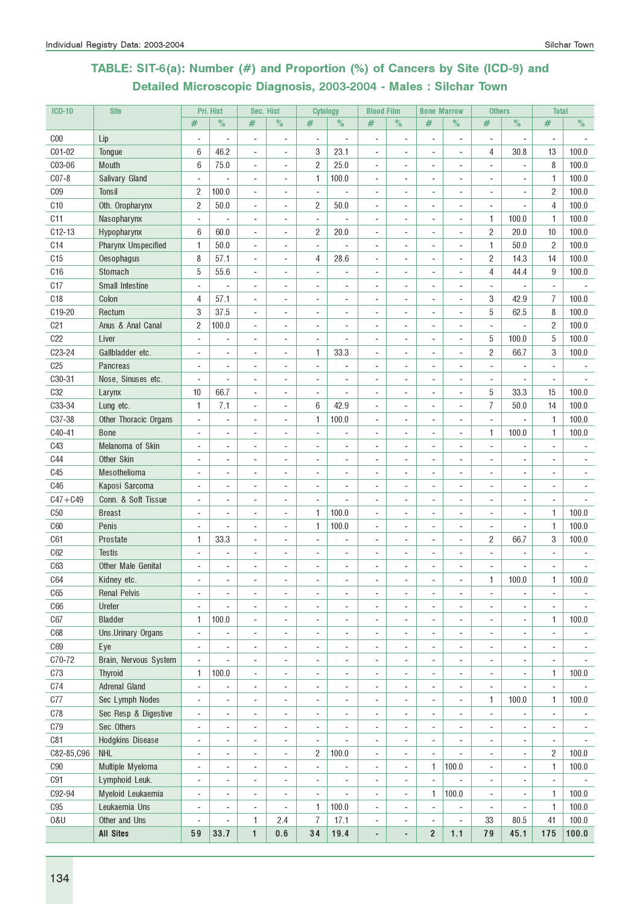# TABLE: SIT-6(a): Number (#) and Proportion (%) of Cancers by Site (ICD-9) and Detailed Microscopic Diagnosis, 2003-2004 - Males : Silchar Town

| <b>ICD-10</b>   | <b>Site</b>                |                          | Pri. Hist                | Sec. Hist                |                              | <b>Cytology</b>          |                | <b>Blood Film</b>        |                          | <b>Bone Marrow</b>       |                          | <b>Others</b>            |                              | <b>Total</b>             |                          |
|-----------------|----------------------------|--------------------------|--------------------------|--------------------------|------------------------------|--------------------------|----------------|--------------------------|--------------------------|--------------------------|--------------------------|--------------------------|------------------------------|--------------------------|--------------------------|
|                 |                            | #                        | $\%$                     | #                        | $\%$                         | #                        | $\%$           | #                        | $\%$                     | #                        | $\%$                     | $\#$                     | $\%$                         | #                        | $\%$                     |
| C <sub>00</sub> | Lip                        |                          |                          | $\overline{a}$           | ÷                            | $\overline{\phantom{a}}$ |                | $\overline{a}$           | $\overline{\phantom{a}}$ |                          | $\overline{a}$           | $\overline{\phantom{a}}$ | ٠                            | $\overline{\phantom{a}}$ |                          |
| C01-02          | Tongue                     | 6                        | 46.2                     | $\overline{a}$           | ÷,                           | 3                        | 23.1           | ÷,                       |                          |                          | ÷,                       | 4                        | 30.8                         | 13                       | 100.0                    |
| C03-06          | Mouth                      | 6                        | 75.0                     | ÷,                       | ä,                           | $\overline{c}$           | 25.0           |                          |                          |                          | $\overline{\phantom{a}}$ |                          |                              | 8                        | 100.0                    |
| $C07-8$         | Salivary Gland             |                          |                          | ÷,                       | ÷,                           | 1                        | 100.0          |                          |                          |                          | $\overline{a}$           | ä,                       |                              | 1                        | 100.0                    |
| C <sub>09</sub> | Tonsil                     | 2                        | 100.0                    | ÷,                       | $\overline{\phantom{a}}$     | ÷,                       |                |                          |                          |                          | ÷,                       | ÷,                       |                              | $\overline{2}$           | 100.0                    |
| C10             | Oth. Oropharynx            | 2                        | 50.0                     | ÷,                       | ä,                           | $\overline{c}$           | 50.0           | ÷,                       |                          |                          | $\overline{\phantom{a}}$ | ÷,                       |                              | 4                        | 100.0                    |
| C <sub>11</sub> | Nasopharynx                | $\blacksquare$           |                          | ÷,                       | ä,                           | $\blacksquare$           |                | $\overline{\phantom{a}}$ | ÷.                       | $\sim$                   | $\overline{\phantom{a}}$ | 1                        | 100.0                        | 1                        | 100.0                    |
| $C12-13$        | Hypopharynx                | 6                        | 60.0                     | ÷,                       | ä,                           | $\overline{2}$           | 20.0           |                          |                          |                          | $\overline{\phantom{a}}$ | $\overline{c}$           | 20.0                         | 10                       | 100.0                    |
| C <sub>14</sub> | <b>Pharynx Unspecified</b> | 1                        | 50.0                     | ÷,                       |                              | L.                       |                |                          |                          |                          |                          | $\mathbf{1}$             | 50.0                         | $\overline{2}$           | 100.0                    |
| C15             | Oesophagus                 | 8                        | 57.1                     | ÷,                       | L,                           | 4                        | 28.6           |                          |                          |                          | $\overline{\phantom{a}}$ | $\overline{c}$           | 14.3                         | 14                       | 100.0                    |
| C16             | Stomach                    | 5                        | 55.6                     | ÷,                       | $\overline{a}$               | ÷,                       |                |                          |                          |                          | $\blacksquare$           | $\overline{4}$           | 44.4                         | 9                        | 100.0                    |
| C17             | Small Intestine            |                          | $\overline{\phantom{a}}$ | $\overline{a}$           | ÷                            | $\overline{a}$           | ÷              |                          |                          |                          | $\overline{\phantom{a}}$ | $\overline{\phantom{a}}$ | ٠                            | $\overline{\phantom{a}}$ |                          |
| C <sub>18</sub> | Colon                      | 4                        | 57.1                     | $\overline{a}$           | ÷                            | $\blacksquare$           | ۰              | ٠                        |                          |                          | $\overline{a}$           | 3                        | 42.9                         | 7                        | 100.0                    |
| C19-20          | Rectum                     | 3                        | 37.5                     | $\overline{a}$           | ÷                            | $\overline{\phantom{a}}$ | ٠              | $\blacksquare$           |                          |                          | $\overline{a}$           | 5                        | 62.5                         | 8                        | 100.0                    |
| C <sub>21</sub> | Anus & Anal Canal          | 2                        | 100.0                    | ÷,                       | $\overline{a}$               |                          |                |                          |                          |                          | $\overline{a}$           | $\overline{\phantom{a}}$ |                              | $\overline{2}$           | 100.0                    |
| C22             | Liver                      |                          |                          | ÷,                       | L,                           |                          |                |                          |                          |                          | ÷,                       | 5                        | 100.0                        | 5                        | 100.0                    |
| C23-24          | Gallbladder etc.           |                          |                          | $\overline{a}$           | ÷                            | 1                        | 33.3           |                          |                          |                          | $\overline{a}$           | $\overline{2}$           | 66.7                         | 3                        | 100.0                    |
| C <sub>25</sub> | Pancreas                   |                          |                          | ÷,                       | ÷                            |                          |                |                          |                          |                          | $\overline{a}$           | $\overline{\phantom{a}}$ |                              |                          |                          |
| C30-31          | Nose, Sinuses etc.         | ÷,                       |                          | ÷,                       | ä,                           |                          | ä,             |                          |                          |                          | $\overline{\phantom{a}}$ | ÷,                       |                              | $\blacksquare$           |                          |
| C <sub>32</sub> | Larynx                     | 10                       | 66.7                     | ÷,                       | $\overline{a}$               | $\blacksquare$           |                | ä,                       |                          | $\sim$                   | $\overline{\phantom{a}}$ | 5                        | 33.3                         | 15                       | 100.0                    |
| C33-34          | Lung etc.                  | 1                        | 7.1                      | ä,                       | ÷                            | 6                        | 42.9           |                          |                          |                          | $\overline{a}$           | $\overline{1}$           | 50.0                         | 14                       | 100.0                    |
| C37-38          | Other Thoracic Organs      | ÷,                       |                          |                          |                              | 1                        | 100.0          |                          |                          |                          |                          | L.                       |                              | 1                        | 100.0                    |
| C40-41          | <b>Bone</b>                |                          |                          | ÷.                       |                              |                          |                |                          |                          |                          | $\overline{\phantom{a}}$ | $\mathbf{1}$             | 100.0                        | 1                        | 100.0                    |
| C43             | Melanoma of Skin           |                          |                          | ٠                        | ÷,                           |                          |                |                          |                          |                          |                          | ÷.                       |                              | ÷                        |                          |
| <b>C44</b>      | Other Skin                 |                          |                          | $\overline{a}$           | ÷,                           |                          |                |                          |                          |                          |                          | $\overline{a}$           |                              | $\blacksquare$           |                          |
| C45             | Mesothelioma               |                          | $\blacksquare$           | $\overline{\phantom{a}}$ | $\overline{\phantom{a}}$     | $\blacksquare$           |                |                          |                          |                          | $\overline{\phantom{a}}$ | $\overline{\phantom{a}}$ | ٠                            | $\overline{\phantom{a}}$ |                          |
| C46             | Kaposi Sarcoma             | ٠                        | $\overline{\phantom{a}}$ | $\overline{a}$           | $\overline{a}$               | $\overline{\phantom{a}}$ | ٠              | $\overline{a}$           |                          |                          | $\overline{\phantom{a}}$ | ÷,                       | ٠                            | ٠                        |                          |
| $C47 + C49$     | Conn. & Soft Tissue        |                          |                          | $\overline{a}$           | $\overline{a}$               | $\overline{\phantom{a}}$ |                |                          |                          |                          | $\overline{a}$           |                          |                              | $\overline{\phantom{a}}$ |                          |
| C50             | <b>Breast</b>              |                          |                          | ÷                        | ä,                           | 1                        | 100.0          |                          |                          |                          | ÷,                       |                          |                              | $\mathbf{1}$             | 100.0                    |
| C60             | Penis                      |                          |                          | ÷                        | ä,                           | 1                        | 100.0          |                          |                          |                          | ÷,                       |                          |                              | 1                        | 100.0                    |
| C61             | Prostate                   | 1                        | 33.3                     | ÷,                       | $\overline{a}$               |                          |                |                          |                          |                          | ÷,                       | $\overline{2}$           | 66.7                         | 3                        | 100.0                    |
| C62             | <b>Testis</b>              |                          | $\overline{\phantom{a}}$ | ÷,                       | ÷,                           | ÷,                       | ä,             | ä,                       |                          | $\blacksquare$           | ÷,                       | $\overline{\phantom{a}}$ | ٠                            |                          |                          |
| C63             | Other Male Genital         |                          | $\blacksquare$           | ÷,                       | ä,                           |                          |                |                          |                          |                          | $\blacksquare$           |                          |                              |                          |                          |
| C64             | Kidney etc.                |                          |                          |                          |                              |                          |                |                          |                          |                          |                          | $\mathbf{1}$             | 100.0                        | 1                        | 100.0                    |
| C65             | <b>Renal Pelvis</b>        | ä,                       | ä,                       | $\overline{a}$           | ÷,                           |                          |                | $\overline{a}$           | ٠                        | $\sim$                   | ÷,                       | ÷,                       | ٠                            | $\blacksquare$           | $\overline{\phantom{a}}$ |
| C66             | Ureter                     | ÷,                       |                          | ÷,                       | ä,                           | $\overline{\phantom{a}}$ | ٠              | ÷,                       |                          | ä,                       | $\overline{\phantom{a}}$ | $\sim$                   | ٠                            | ÷,                       |                          |
| C67             | <b>Bladder</b>             | 1                        | 100.0                    | $\overline{a}$           | ÷,                           | $\overline{a}$           | ä,             | $\blacksquare$           | $\sim$                   | $\overline{\phantom{a}}$ | $\overline{a}$           | $\overline{\phantom{a}}$ | ٠                            | 1                        | 100.0                    |
| C68             | Uns.Urinary Organs         | $\overline{\phantom{a}}$ | $\blacksquare$           | $\blacksquare$           | $\overline{\phantom{a}}$     | $\overline{\phantom{a}}$ | ÷,             | ÷,                       | $\overline{\phantom{a}}$ | $\overline{\phantom{a}}$ | $\overline{\phantom{a}}$ | $\blacksquare$           | $\qquad \qquad \blacksquare$ | $\overline{\phantom{a}}$ |                          |
| C69             | Eye                        | ÷,                       | $\overline{\phantom{a}}$ | ÷,                       | ÷,                           | $\overline{\phantom{a}}$ | ÷,             | ä,                       | $\sim$                   | $\sim$                   | ÷,                       | $\overline{\phantom{a}}$ | ÷,                           | $\overline{\phantom{a}}$ | $\overline{\phantom{a}}$ |
| C70-72          | Brain, Nervous System      | $\overline{\phantom{a}}$ | $\overline{\phantom{a}}$ | $\overline{a}$           | $\qquad \qquad \blacksquare$ | $\overline{\phantom{a}}$ | $\overline{a}$ | $\overline{\phantom{a}}$ | $\overline{\phantom{a}}$ | $\overline{\phantom{a}}$ | $\overline{a}$           | $\overline{\phantom{a}}$ | ٠                            | ۰                        | $\blacksquare$           |
| C73             | <b>Thyroid</b>             | 1                        | 100.0                    | $\overline{a}$           | ÷                            | $\overline{\phantom{a}}$ | ٠              | ÷,                       | ÷,                       | $\overline{a}$           | $\overline{\phantom{a}}$ | ÷,                       | ÷,                           | $\mathbf{1}$             | 100.0                    |
| C74             | Adrenal Gland              | $\blacksquare$           |                          | $\overline{a}$           | ÷,                           | ÷,                       | ÷              |                          |                          |                          | ÷,                       | $\overline{\phantom{a}}$ |                              | $\overline{\phantom{a}}$ |                          |
| C77             | Sec Lymph Nodes            | $\overline{a}$           |                          | $\overline{a}$           | $\overline{a}$               | $\overline{a}$           | ÷              |                          |                          |                          | $\overline{a}$           | 1                        | 100.0                        | $\mathbf{1}$             | 100.0                    |
| C78             | Sec Resp & Digestive       | $\overline{\phantom{a}}$ | $\overline{\phantom{a}}$ | $\overline{a}$           | $\overline{\phantom{a}}$     | $\overline{a}$           | $\overline{a}$ | $\overline{a}$           | $\overline{\phantom{a}}$ | $\overline{\phantom{a}}$ | $\overline{a}$           | $\overline{\phantom{a}}$ |                              | $\overline{\phantom{a}}$ |                          |
| C79             | Sec Others                 | $\overline{\phantom{a}}$ | $\overline{\phantom{a}}$ | $\overline{a}$           | $\overline{\phantom{a}}$     | $\overline{\phantom{a}}$ | $\overline{a}$ | $\overline{\phantom{a}}$ | $\overline{\phantom{a}}$ | $\overline{\phantom{a}}$ | $\overline{\phantom{a}}$ | $\overline{\phantom{a}}$ | ÷,                           | $\overline{\phantom{a}}$ | $\blacksquare$           |
| C81             | Hodgkins Disease           | $\sim$                   | $\overline{\phantom{a}}$ | ÷,                       | ÷,                           | $\overline{\phantom{a}}$ |                | $\overline{\phantom{a}}$ | $\overline{\phantom{a}}$ | $\overline{\phantom{a}}$ | $\overline{a}$           | $\overline{\phantom{a}}$ | ٠                            | $\overline{\phantom{a}}$ |                          |
| C82-85,C96      | <b>NHL</b>                 | $\overline{\phantom{a}}$ | $\blacksquare$           | $\overline{a}$           | ÷,                           | 2                        | 100.0          | $\sim$                   | $\sim$                   | $\sim$                   | $\overline{\phantom{a}}$ | $\blacksquare$           | ÷.                           | $\overline{2}$           | 100.0                    |
| C90             | Multiple Myeloma           | ÷,                       | ä,                       | ÷,                       | ÷,                           | ÷,                       | ÷              | ÷,                       | $\overline{\phantom{a}}$ | 1                        | 100.0                    | ÷,                       |                              | $\mathbf{1}$             | 100.0                    |
| C91             | Lymphoid Leuk.             | ÷,                       | $\overline{\phantom{a}}$ | ÷,                       | ÷,                           | ÷,                       | ÷              | ä,                       | $\sim$                   | $\blacksquare$           | ÷,                       | $\overline{\phantom{a}}$ | ä,                           | $\blacksquare$           | $\overline{\phantom{a}}$ |
| C92-94          | Myeloid Leukaemia          | $\overline{\phantom{a}}$ | $\overline{\phantom{a}}$ | $\overline{a}$           | $\overline{\phantom{a}}$     | $\overline{a}$           | ÷              | $\sim$                   | $\overline{\phantom{a}}$ | 1                        | 100.0                    | $\blacksquare$           | ٠                            | 1                        | 100.0                    |
| C95             | Leukaemia Uns              | ÷,                       | $\overline{\phantom{a}}$ | $\blacksquare$           | $\overline{\phantom{a}}$     | 1                        | 100.0          | $\overline{\phantom{a}}$ | $\overline{\phantom{a}}$ | $\blacksquare$           | $\overline{\phantom{a}}$ | $\overline{\phantom{a}}$ | ٠                            | $\mathbf{1}$             | 100.0                    |
| 0&U             | Other and Uns              | ä,                       | $\overline{\phantom{a}}$ | 1                        | 2.4                          | $\overline{I}$           | 17.1           | $\blacksquare$           | $\overline{\phantom{a}}$ | $\blacksquare$           | $\overline{\phantom{a}}$ | 33                       | 80.5                         | 41                       | 100.0                    |
|                 | <b>All Sites</b>           | 59                       | 33.7                     | $\mathbf{1}$             | $0.6\,$                      | 34                       | 19.4           | $\blacksquare$           | ä,                       | $\overline{2}$           | 1.1                      | 79                       | 45.1                         | 175                      | 100.0                    |
|                 |                            |                          |                          |                          |                              |                          |                |                          |                          |                          |                          |                          |                              |                          |                          |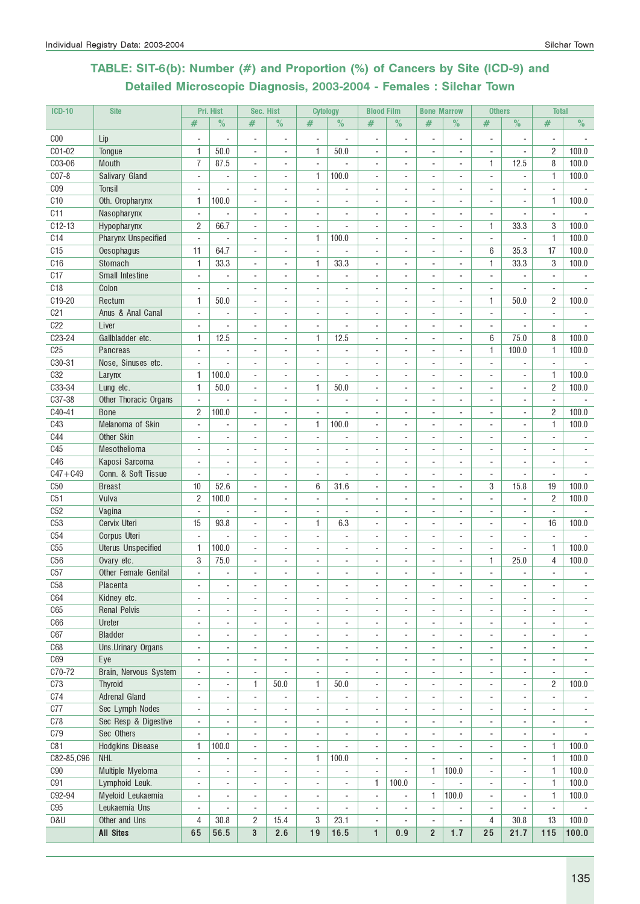# TABLE: SIT-6(b): Number (#) and Proportion (%) of Cancers by Site (ICD-9) and Detailed Microscopic Diagnosis, 2003-2004 - Females : Silchar Town

| <b>ICD-10</b>          | <b>Site</b>                      |                               | Pri. Hist                | Sec. Hist                                            |                          | <b>Cytology</b>               |                                  | <b>Blood Film</b>              |                          | <b>Bone Marrow</b>       |                                    | <b>Others</b>            |                                  | <b>Total</b>             |                          |
|------------------------|----------------------------------|-------------------------------|--------------------------|------------------------------------------------------|--------------------------|-------------------------------|----------------------------------|--------------------------------|--------------------------|--------------------------|------------------------------------|--------------------------|----------------------------------|--------------------------|--------------------------|
|                        |                                  | #                             | $\%$                     | #                                                    | $\%$                     | $\#$                          | $\%$                             | #                              | $\%$                     | #                        | $\%$                               | #                        | $\frac{1}{2}$                    | #                        | $\%$                     |
| C <sub>00</sub>        | Lip                              |                               |                          |                                                      |                          | $\overline{\phantom{a}}$      |                                  | ÷,                             |                          |                          |                                    |                          |                                  |                          |                          |
| C01-02                 | Tongue                           | 1                             | 50.0                     | $\overline{\phantom{a}}$                             | $\blacksquare$           | 1                             | 50.0                             | $\blacksquare$                 | $\blacksquare$           | $\blacksquare$           | $\overline{\phantom{a}}$           | $\frac{1}{2}$            | ÷,                               | $\overline{2}$           | 100.0                    |
| C03-06                 | Mouth                            | $\overline{7}$                | 87.5                     | $\sim$                                               | $\overline{\phantom{a}}$ | $\overline{\phantom{a}}$      |                                  | $\sim$                         | $\overline{\phantom{a}}$ | ÷                        | $\sim$                             | $\mathbf{1}$             | 12.5                             | 8                        | 100.0                    |
| $C07-8$                | Salivary Gland                   | ÷,                            | ÷,                       | ä,                                                   | ä,                       | 1                             | 100.0                            | ä,                             |                          |                          |                                    | ÷.                       | ÷,                               | 1                        | 100.0                    |
| C <sub>09</sub>        | <b>Tonsil</b>                    |                               | $\overline{\phantom{a}}$ | ٠                                                    | $\overline{\phantom{a}}$ | $\overline{\phantom{a}}$      |                                  |                                |                          |                          | ÷                                  |                          |                                  | ٠                        |                          |
| C <sub>10</sub>        | Oth. Oropharynx                  | 1                             | 100.0                    |                                                      |                          |                               |                                  |                                |                          |                          |                                    |                          |                                  | 1                        | 100.0                    |
| C11                    | Nasopharynx                      | $\blacksquare$                |                          | $\overline{\phantom{a}}$                             |                          |                               |                                  |                                |                          |                          |                                    |                          |                                  |                          |                          |
| $C12-13$               | Hypopharynx                      | $\overline{c}$                | 66.7                     | $\sim$                                               | $\overline{a}$           | ÷                             |                                  | ÷,                             | $\overline{a}$           |                          | $\overline{a}$                     | 1                        | 33.3                             | 3                        | 100.0                    |
| C14                    | <b>Pharynx Unspecified</b>       | $\overline{\phantom{a}}$      | ÷,                       | $\overline{a}$                                       | $\overline{a}$           | 1                             | 100.0                            | ÷.                             | $\overline{a}$           | $\overline{a}$           | $\sim$                             | ×.                       | $\blacksquare$                   | $\mathbf{1}$             | 100.0                    |
| C <sub>15</sub>        | Oesophagus                       | 11                            | 64.7                     | ÷,                                                   | $\overline{a}$           | $\overline{\phantom{a}}$      |                                  | ÷.                             |                          |                          | $\overline{a}$                     | $6\phantom{1}$           | 35.3                             | 17                       | 100.0                    |
| C16                    | Stomach                          | $\mathbf{1}$                  | 33.3                     | $\overline{\phantom{a}}$                             | $\overline{a}$           | 1                             | 33.3                             |                                |                          |                          |                                    | $\mathbf{1}$             | 33.3                             | 3                        | 100.0                    |
| C17                    | <b>Small Intestine</b>           |                               |                          |                                                      | ÷                        |                               |                                  |                                |                          |                          |                                    | $\overline{a}$           |                                  |                          |                          |
| C18                    | Colon                            | ÷.                            |                          | ÷.                                                   | ÷                        | ä,                            |                                  | ä,                             | ÷                        | $\overline{a}$           | ÷.                                 | ä,                       |                                  | ä,                       |                          |
| C19-20                 | Rectum                           | 1                             | 50.0                     | ÷,                                                   |                          |                               |                                  |                                |                          |                          | ÷,                                 | $\mathbf{1}$             | 50.0                             | $\overline{2}$           | 100.0                    |
| C <sub>21</sub><br>C22 | Anus & Anal Canal                |                               |                          | ÷,                                                   |                          | ÷,                            |                                  |                                |                          |                          |                                    |                          |                                  |                          |                          |
| C <sub>23</sub> -24    | Liver<br>Gallbladder etc.        | $\overline{\phantom{a}}$<br>1 | ÷,<br>12.5               | $\overline{\phantom{a}}$                             | $\blacksquare$           | $\overline{\phantom{a}}$<br>1 | $\overline{\phantom{a}}$<br>12.5 | ä,<br>$\overline{\phantom{a}}$ | $\overline{a}$           | ÷.                       | $\overline{\phantom{a}}$<br>$\sim$ | $\overline{a}$<br>6      | $\overline{\phantom{a}}$<br>75.0 | ÷,<br>8                  | 100.0                    |
| C <sub>25</sub>        | Pancreas                         | $\blacksquare$                | ä,                       | $\overline{\phantom{a}}$<br>$\overline{\phantom{a}}$ | $\overline{\phantom{a}}$ | $\overline{\phantom{a}}$      | ä,                               | $\blacksquare$                 | ä,                       | ÷,                       | $\sim$                             | 1                        | 100.0                            | $\mathbf{1}$             | 100.0                    |
| C30-31                 | Nose, Sinuses etc.               | ÷                             |                          | ÷,                                                   |                          | ÷,                            |                                  | ä,                             |                          |                          | ä,                                 | ÷.                       |                                  | ÷,                       |                          |
| <b>C32</b>             | Larynx                           | 1.                            | 100.0                    | ÷                                                    | $\overline{\phantom{a}}$ |                               |                                  |                                |                          |                          |                                    | ٠                        | $\overline{\phantom{a}}$         | $\mathbf{1}$             | 100.0                    |
| C33-34                 | Lung etc.                        | 1                             | 50.0                     |                                                      |                          | 1                             | 50.0                             |                                |                          |                          |                                    |                          |                                  | $\overline{2}$           | 100.0                    |
| C37-38                 | Other Thoracic Organs            | $\mathbf{r}$                  |                          | ä,                                                   |                          | ÷,                            |                                  |                                |                          |                          |                                    |                          |                                  | ä,                       |                          |
| C40-41                 | <b>Bone</b>                      | $\overline{c}$                | 100.0                    | ÷.                                                   | $\sim$                   | ÷                             |                                  | $\overline{a}$                 | $\overline{a}$           | $\overline{a}$           | $\sim$                             | ÷                        | ÷                                | $\overline{2}$           | 100.0                    |
| C43                    | Melanoma of Skin                 | $\blacksquare$                |                          | $\blacksquare$                                       | ä,                       | 1                             | 100.0                            | ä,                             | ÷,                       |                          | $\overline{\phantom{a}}$           | ٠                        |                                  | $\mathbf{1}$             | 100.0                    |
| <b>C44</b>             | Other Skin                       | ÷.                            | ÷,                       | ٠                                                    | $\overline{a}$           | ÷,                            |                                  |                                |                          |                          | ٠                                  | ٠                        |                                  |                          |                          |
| C45                    | Mesothelioma                     | ÷                             | ÷.                       | $\overline{a}$                                       | $\sim$                   | ä,                            |                                  | ÷                              |                          | $\overline{a}$           | $\overline{a}$                     | ÷                        | ÷                                |                          |                          |
| C46                    | Kaposi Sarcoma                   | $\blacksquare$                |                          | ÷,                                                   |                          |                               |                                  |                                |                          |                          | L.                                 |                          |                                  |                          |                          |
| $C47 + C49$            | Conn. & Soft Tissue              | $\blacksquare$                |                          | ÷,                                                   |                          | ÷,                            |                                  |                                |                          |                          |                                    |                          | $\overline{\phantom{a}}$         | ä,                       |                          |
| C50                    | <b>Breast</b>                    | 10                            | 52.6                     | $\overline{\phantom{a}}$                             | $\blacksquare$           | 6                             | 31.6                             | $\mathbf{r}$                   | $\overline{\phantom{a}}$ | $\sim$                   | $\overline{\phantom{a}}$           | 3                        | 15.8                             | 19                       | 100.0                    |
| C51                    | Vulva                            | $\overline{c}$                | 100.0                    | $\overline{\phantom{a}}$                             | $\overline{\phantom{a}}$ | $\blacksquare$                | ÷,                               | $\blacksquare$                 | $\overline{\phantom{a}}$ | ÷                        | $\sim$                             | ÷.                       | $\blacksquare$                   | $\overline{2}$           | 100.0                    |
| C52                    | Vagina                           | $\blacksquare$                | ä,                       | ÷,                                                   | ä,                       | ÷,                            | ÷,                               | ä,                             |                          |                          | ä,                                 |                          | $\overline{\phantom{a}}$         | ÷,                       |                          |
| C <sub>53</sub>        | Cervix Uteri                     | 15                            | 93.8                     | $\overline{\phantom{a}}$                             | $\overline{\phantom{a}}$ | 1                             | 6.3                              |                                |                          |                          |                                    | ٠                        | $\overline{a}$                   | 16                       | 100.0                    |
| C54                    | Corpus Uteri                     |                               |                          |                                                      |                          |                               |                                  |                                |                          |                          |                                    |                          |                                  |                          |                          |
| C55                    | <b>Uterus Unspecified</b>        | 1                             | 100.0                    | ÷,                                                   |                          |                               |                                  |                                |                          |                          |                                    |                          |                                  | 1                        | 100.0                    |
| C56                    | Ovary etc.                       | 3<br>÷.                       | 75.0<br>÷,               | $\overline{a}$                                       | $\overline{a}$           |                               | $\overline{a}$                   | $\overline{a}$                 | $\overline{a}$           | $\overline{a}$           | ÷                                  | 1<br>ä,                  | 25.0                             | $\overline{4}$           | 100.0                    |
| C57<br>C58             | Other Female Genital<br>Placenta |                               |                          |                                                      |                          |                               |                                  |                                |                          |                          |                                    |                          | $\blacksquare$                   |                          |                          |
| C64                    | Kidney etc.                      | ۰                             | $\overline{a}$           | $\overline{\phantom{a}}$                             | $\overline{\phantom{a}}$ | $\overline{a}$                | $\overline{\phantom{a}}$         | $\overline{\phantom{a}}$       |                          |                          |                                    | $\overline{a}$           | $\overline{\phantom{a}}$         | ٠                        |                          |
| C65                    | <b>Renal Pelvis</b>              | $\blacksquare$                | $\blacksquare$           | $\overline{\phantom{a}}$                             | $\mathbf{r}$             | $\blacksquare$                | $\blacksquare$                   | $\blacksquare$                 | $\blacksquare$           | $\blacksquare$           | $\sim$                             | ÷.                       | ÷,                               | ÷.                       | $\sim$                   |
| C66                    | Ureter                           | ÷,                            | ÷,                       | $\overline{\phantom{a}}$                             | $\overline{\phantom{a}}$ | ÷,                            | $\blacksquare$                   | ÷,                             | ÷,                       | $\blacksquare$           | $\sim$                             | ÷,                       | ÷,                               | ÷,                       | $\blacksquare$           |
| C67                    | <b>Bladder</b>                   | ÷,                            | $\overline{a}$           | $\overline{\phantom{a}}$                             | $\overline{\phantom{a}}$ | ÷,                            | $\overline{\phantom{a}}$         | ÷,                             | ٠                        | ÷,                       | $\overline{\phantom{a}}$           | $\overline{a}$           | $\overline{\phantom{a}}$         | ۰                        | $\overline{\phantom{a}}$ |
| C68                    | Uns.Urinary Organs               | ٠                             | ۰                        | $\overline{\phantom{a}}$                             | $\overline{\phantom{a}}$ | $\overline{\phantom{a}}$      | ٠                                | ٠                              | $\overline{\phantom{a}}$ | $\overline{\phantom{a}}$ | $\overline{\phantom{a}}$           | ٠                        | $\overline{\phantom{a}}$         | $\overline{\phantom{a}}$ | $\overline{\phantom{a}}$ |
| C69                    | Eye                              | ÷                             | $\overline{\phantom{a}}$ | ÷,                                                   | $\overline{\phantom{a}}$ | $\blacksquare$                | $\blacksquare$                   | $\blacksquare$                 | $\sim$                   | $\blacksquare$           | $\sim$                             | ÷                        | $\overline{\phantom{a}}$         | ÷.                       | $\sim$                   |
| C70-72                 | Brain, Nervous System            | $\overline{\phantom{a}}$      | $\overline{\phantom{a}}$ | $\overline{\phantom{a}}$                             | $\overline{\phantom{a}}$ | $\overline{\phantom{a}}$      | ÷,                               | $\overline{a}$                 | ٠                        | $\overline{a}$           | $\overline{\phantom{a}}$           | $\overline{a}$           | $\blacksquare$                   | $\frac{1}{2}$            |                          |
| C73                    | <b>Thyroid</b>                   | ٠                             | $\overline{\phantom{a}}$ | 1                                                    | 50.0                     | 1                             | $50.0\,$                         | $\overline{\phantom{a}}$       | $\overline{\phantom{a}}$ | $\overline{a}$           | $\overline{\phantom{a}}$           | $\overline{a}$           | $\overline{\phantom{a}}$         | $\overline{2}$           | 100.0                    |
| C74                    | <b>Adrenal Gland</b>             | $\blacksquare$                |                          | $\blacksquare$                                       | $\overline{\phantom{a}}$ | ÷,                            | $\blacksquare$                   |                                |                          |                          |                                    | ٠                        | $\blacksquare$                   | $\frac{1}{2}$            |                          |
| C77                    | Sec Lymph Nodes                  | $\overline{\phantom{a}}$      | ÷,                       | $\overline{\phantom{a}}$                             | $\blacksquare$           | $\sim$                        | $\overline{\phantom{a}}$         | ä,                             | $\overline{\phantom{a}}$ | $\overline{\phantom{a}}$ | $\sim$                             | ÷,                       | $\overline{\phantom{a}}$         | $\overline{a}$           | $\overline{\phantom{a}}$ |
| C78                    | Sec Resp & Digestive             | $\blacksquare$                | $\overline{\phantom{a}}$ | $\blacksquare$                                       | $\overline{\phantom{a}}$ | ÷,                            | $\overline{\phantom{a}}$         | ä,                             | $\blacksquare$           | $\sim$                   | $\blacksquare$                     | ٠                        | $\overline{\phantom{a}}$         | ÷                        | $\sim$                   |
| C79                    | Sec Others                       | $\blacksquare$                |                          | $\sim$                                               | $\blacksquare$           | $\sim$                        | $\overline{\phantom{a}}$         | $\overline{\phantom{a}}$       | $\sim$                   | $\sim$                   | $\blacksquare$                     | $\overline{a}$           | $\overline{\phantom{a}}$         | $\frac{1}{2}$            |                          |
| C81                    | Hodgkins Disease                 | 1                             | 100.0                    | $\overline{\phantom{a}}$                             | $\overline{\phantom{a}}$ |                               |                                  | $\overline{\phantom{a}}$       |                          | $\overline{\phantom{a}}$ |                                    | $\overline{\phantom{a}}$ |                                  | 1                        | 100.0                    |
| C82-85,C96             | <b>NHL</b>                       | $\blacksquare$                |                          | $\overline{\phantom{a}}$                             | $\frac{1}{2}$            | 1                             | 100.0                            | $\blacksquare$                 | $\blacksquare$           | $\overline{\phantom{a}}$ |                                    | ÷.                       | ÷,                               | $\mathbf{1}$             | 100.0                    |
| C90                    | Multiple Myeloma                 | $\overline{\phantom{a}}$      | $\blacksquare$           | $\overline{\phantom{a}}$                             | $\overline{a}$           | ÷,                            | ÷,                               | ä,                             | $\overline{a}$           | 1                        | 100.0                              | ÷.                       | $\blacksquare$                   | $\mathbf{1}$             | 100.0                    |
| C91                    | Lymphoid Leuk.                   | ÷,                            | $\overline{\phantom{a}}$ | $\overline{\phantom{a}}$                             | $\overline{\phantom{a}}$ | $\overline{\phantom{a}}$      | ÷,                               | 1                              | 100.0                    | $\omega$                 |                                    | $\frac{1}{2}$            | ÷,                               | 1                        | 100.0                    |
| C92-94                 | Myeloid Leukaemia                | $\overline{\phantom{a}}$      | $\overline{\phantom{a}}$ | $\overline{\phantom{a}}$                             | $\overline{\phantom{a}}$ | $\overline{\phantom{a}}$      | $\overline{\phantom{a}}$         | $\overline{\phantom{a}}$       | $\overline{\phantom{a}}$ | 1                        | 100.0                              | $\overline{\phantom{a}}$ | $\blacksquare$                   | $\mathbf{1}$             | 100.0                    |
| C95                    | Leukaemia Uns                    | $\blacksquare$                | $\overline{\phantom{a}}$ | $\blacksquare$                                       | $\overline{\phantom{a}}$ | $\blacksquare$                | $\blacksquare$                   | $\blacksquare$                 | $\overline{\phantom{a}}$ | $\overline{\phantom{a}}$ | ÷,                                 | $\blacksquare$           | $\overline{\phantom{a}}$         | $\overline{\phantom{a}}$ | $\blacksquare$           |
| 0&U                    | Other and Uns                    | 4<br>65                       | 30.8                     | 2                                                    | 15.4<br>2.6              | 3<br>19                       | 23.1<br>16.5                     | $\blacksquare$                 | ä,                       | $\blacksquare$           | $\overline{a}$                     | 4                        | 30.8                             | 13                       | 100.0<br>100.0           |
|                        | <b>All Sites</b>                 |                               | 56.5                     | 3                                                    |                          |                               |                                  | 1                              | 0.9                      | $\overline{2}$           | $1.7$                              | 25                       | 21.7                             | 115                      |                          |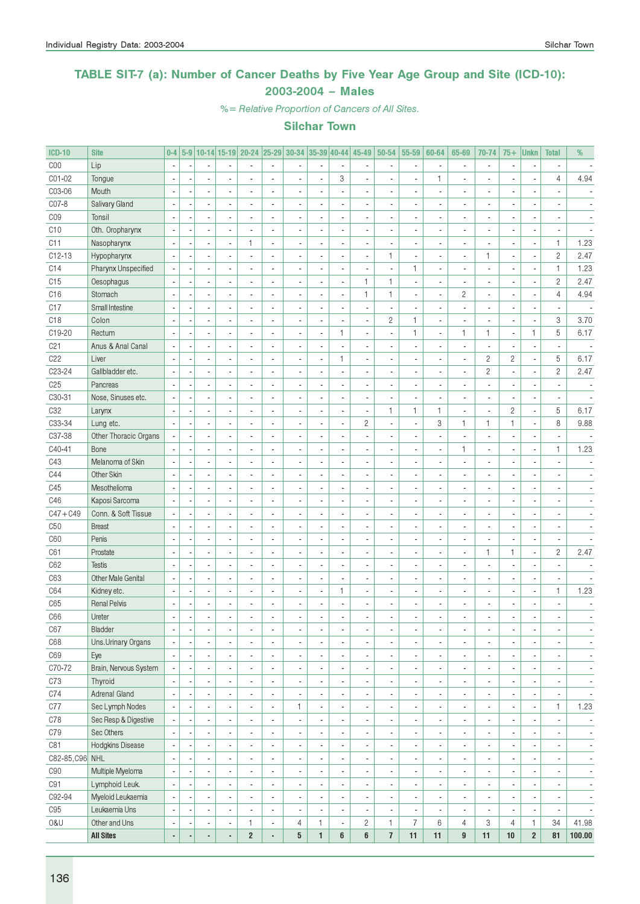### TABLE SIT-7 (a): Number of Cancer Deaths by Five Year Age Group and Site (ICD-10): 2003-2004 – Males

%= Relative Proportion of Cancers of All Sites.

| <b>ICD-10</b>   | <b>Site</b>           | $0-4$                    |   |                          |                          | 5-9 10-14 15-19 20-24 25-29 30-34 35-39 40-44 45-49 |                |                |                          |                          |                          | $50 - 54$               | 55-59                    | 60-64                    | 65-69                    | 70-74                    | $75+$                    | <b>Unkn</b>              | <b>Total</b>                 | %      |
|-----------------|-----------------------|--------------------------|---|--------------------------|--------------------------|-----------------------------------------------------|----------------|----------------|--------------------------|--------------------------|--------------------------|-------------------------|--------------------------|--------------------------|--------------------------|--------------------------|--------------------------|--------------------------|------------------------------|--------|
| C <sub>00</sub> | Lip                   | $\sim$                   |   | $\overline{a}$           |                          |                                                     | $\blacksquare$ | $\overline{a}$ | $\overline{a}$           | $\blacksquare$           |                          |                         | $\overline{\phantom{a}}$ | $\overline{\phantom{a}}$ | $\overline{\phantom{a}}$ | $\blacksquare$           | $\overline{\phantom{a}}$ | ÷,                       | $\overline{\phantom{a}}$     |        |
| C01-02          | Tongue                | $\overline{\phantom{a}}$ |   |                          |                          |                                                     | ÷,             |                | $\overline{a}$           | 3                        |                          |                         | ÷,                       | $\mathbf{1}$             |                          | $\overline{a}$           |                          |                          | 4                            | 4.94   |
| C03-06          | Mouth                 | $\overline{\phantom{a}}$ |   | $\overline{a}$           |                          |                                                     | Ĭ.             |                |                          | $\overline{a}$           | $\overline{\phantom{a}}$ |                         | ä,                       | ä,                       |                          | $\overline{\phantom{a}}$ |                          |                          | $\overline{a}$               |        |
| C07-8           | Salivary Gland        | $\overline{\phantom{a}}$ |   | $\overline{a}$           |                          |                                                     | Ĭ.             | $\overline{a}$ |                          | $\overline{a}$           |                          |                         | ÷,                       |                          |                          | $\overline{\phantom{a}}$ |                          |                          | $\overline{a}$               |        |
| CO <sub>9</sub> | Tonsil                | $\overline{\phantom{a}}$ |   | $\overline{a}$           |                          |                                                     |                | $\overline{a}$ |                          | $\overline{a}$           | ÷,                       |                         | ÷,                       | Ĭ.                       |                          | $\overline{\phantom{a}}$ |                          |                          | $\overline{a}$               |        |
| C10             | Oth. Oropharynx       | $\overline{\phantom{a}}$ |   | $\overline{a}$           |                          |                                                     | ÷,             | $\overline{a}$ |                          | ÷,                       | ÷,                       |                         | ÷,                       | Ĭ.                       |                          | $\overline{\phantom{a}}$ |                          |                          |                              |        |
| C11             | Nasopharynx           | $\overline{\phantom{a}}$ |   | ä,                       |                          | 1                                                   | ÷,             | $\overline{a}$ |                          | ÷,                       | ÷,                       |                         | ÷,                       | Ĭ.                       |                          | $\overline{a}$           |                          | $\overline{\phantom{a}}$ | $\mathbf{1}$                 | 1.23   |
| $C12-13$        | Hypopharynx           | $\overline{\phantom{a}}$ |   | $\overline{a}$           |                          |                                                     | ÷,             | $\overline{a}$ |                          | ÷,                       | ÷,                       | $\mathbf{1}$            | ÷,                       | $\overline{\phantom{a}}$ | ÷,                       | $\mathbf{1}$             | $\overline{a}$           | $\overline{\phantom{a}}$ | $\overline{c}$               | 2.47   |
| C14             | Pharynx Unspecified   | $\overline{\phantom{a}}$ |   | $\overline{a}$           |                          |                                                     | Ĭ.             | $\overline{a}$ | $\overline{a}$           | ÷,                       | ÷,                       |                         | $\mathbf{1}$             | $\overline{\phantom{a}}$ |                          | $\overline{\phantom{a}}$ |                          | Ĭ.                       | $\mathbf{1}$                 | 1.23   |
| C15             | Oesophagus            | $\overline{\phantom{a}}$ |   | ÷,                       |                          |                                                     | Ĭ.             | $\overline{a}$ | $\overline{a}$           | $\overline{a}$           | 1                        | $\mathbf{1}$            | $\overline{\phantom{a}}$ | $\overline{a}$           |                          | $\overline{\phantom{a}}$ |                          | ÷                        | $\overline{c}$               | 2.47   |
| C16             | Stomach               | $\sim$                   |   | $\overline{a}$           |                          |                                                     | Ĭ.             | $\overline{a}$ | $\overline{a}$           | ÷,                       | 1                        | $\mathbf{1}$            | ÷,                       | $\overline{\phantom{a}}$ | $\overline{c}$           | $\overline{\phantom{a}}$ |                          | ÷,                       | $\overline{4}$               | 4.94   |
| C17             | Small Intestine       | ÷,                       |   | $\overline{a}$           |                          |                                                     | ä,             | $\overline{a}$ | $\overline{a}$           | ÷,                       | ÷,                       |                         | ÷,                       | $\overline{a}$           | ÷,                       | $\overline{\phantom{a}}$ |                          | ÷,                       | $\overline{a}$               |        |
| C <sub>18</sub> | Colon                 | ÷,                       |   | $\overline{a}$           |                          |                                                     | Ĭ.             | $\overline{a}$ | $\overline{a}$           | ÷,                       | ÷,                       | $\mathbf{2}$            | $\mathbf{1}$             | $\overline{\phantom{a}}$ |                          | $\overline{a}$           |                          | Ĭ.                       | 3                            | 3.70   |
|                 |                       | ÷,                       |   | $\overline{a}$           |                          |                                                     | Ĭ.             | $\overline{a}$ | $\overline{a}$           | $\mathbf{1}$             | ÷,                       |                         | $\mathbf{1}$             |                          | $\mathbf{1}$             |                          |                          | $\mathbf{1}$             | 5                            |        |
| C19-20          | Rectum                |                          |   |                          |                          |                                                     |                |                |                          |                          |                          |                         |                          | $\overline{\phantom{a}}$ |                          | $\mathbf{1}$             | ×,                       |                          |                              | 6.17   |
| C <sub>21</sub> | Anus & Anal Canal     | $\overline{\phantom{a}}$ |   | $\overline{a}$           |                          |                                                     |                | $\overline{a}$ |                          | ÷,                       |                          |                         | ÷,                       |                          |                          | $\overline{a}$           |                          | ÷,                       | $\overline{a}$               |        |
| C22             | Liver                 | $\sim$                   |   | ÷,                       |                          |                                                     | Ĭ.             | $\overline{a}$ | ÷,                       | $\mathbf{1}$             | ÷,                       |                         | ÷,                       |                          |                          | $\overline{c}$           | $\overline{c}$           | Ĭ.                       | 5                            | 6.17   |
| C23-24          | Gallbladder etc.      | $\sim$                   |   | ÷,                       |                          |                                                     | Ĭ.             | $\overline{a}$ |                          | ÷,                       | ÷,                       |                         | ÷,                       | Ĭ.                       |                          | $\overline{c}$           | ÷,                       | Ĭ.                       | $\overline{c}$               | 2.47   |
| C <sub>25</sub> | Pancreas              | $\overline{\phantom{a}}$ |   | $\overline{a}$           |                          |                                                     | Ĭ.             | $\overline{a}$ |                          | $\overline{a}$           | ÷,                       |                         | ÷,                       | $\overline{a}$           |                          | $\overline{\phantom{a}}$ |                          |                          | $\overline{\phantom{a}}$     |        |
| C30-31          | Nose, Sinuses etc.    | $\overline{\phantom{a}}$ |   | $\overline{a}$           |                          | $\overline{a}$                                      | Ĭ.             | $\overline{a}$ |                          | $\overline{a}$           | ÷,                       |                         | ÷,                       | ä,                       |                          | $\overline{\phantom{a}}$ |                          | ÷,                       | ä,                           |        |
| C32             | Larynx                | $\overline{\phantom{a}}$ |   | $\overline{a}$           |                          |                                                     | Ĭ.             | $\overline{a}$ |                          | $\overline{a}$           | ä,                       | $\mathbf{1}$            | $\mathbf{1}$             | $\mathbf{1}$             | ÷,                       | $\overline{\phantom{a}}$ | $\overline{c}$           | Ĭ.                       | 5                            | 6.17   |
| C33-34          | Lung etc.             | $\sim$                   |   | $\overline{a}$           |                          |                                                     | Ĭ.             | $\overline{a}$ | $\overline{a}$           | $\overline{a}$           | $\overline{c}$           |                         | ÷,                       | 3                        | $\mathbf{1}$             | $\mathbf{1}$             | 1                        | Ĭ.                       | 8                            | 9.88   |
| C37-38          | Other Thoracic Organs | $\overline{\phantom{a}}$ |   | $\overline{a}$           |                          |                                                     | ä,             | $\overline{a}$ |                          | ÷,                       | ÷,                       |                         | $\mathcal{L}$            | $\overline{a}$           |                          | $\overline{\phantom{a}}$ |                          | ÷,                       | $\overline{\phantom{a}}$     |        |
| C40-41          | Bone                  | ÷,                       |   | ÷,                       |                          |                                                     | ä,             | $\overline{a}$ |                          | ÷,                       |                          |                         | ÷,                       | ä,                       | $\mathbf{1}$             | $\overline{\phantom{a}}$ |                          | Ĭ.                       | $\mathbf{1}$                 | 1.23   |
| C43             | Melanoma of Skin      | $\sim$                   |   | $\overline{a}$           |                          |                                                     |                | $\overline{a}$ |                          | ÷,                       | $\overline{\phantom{a}}$ |                         | ÷,                       |                          |                          | $\overline{\phantom{a}}$ |                          |                          | $\overline{\phantom{a}}$     |        |
| C44             | Other Skin            | ÷,                       |   | $\overline{a}$           |                          |                                                     |                | $\overline{a}$ |                          | ÷,                       |                          |                         | ÷,                       |                          |                          | $\overline{\phantom{a}}$ |                          |                          | $\overline{a}$               |        |
| C45             | Mesothelioma          | ÷,                       |   | ÷,                       |                          |                                                     |                | $\overline{a}$ |                          | ÷,                       |                          |                         | $\mathcal{L}$            |                          |                          | $\overline{a}$           |                          |                          | $\overline{a}$               |        |
| C46             | Kaposi Sarcoma        | ÷,                       |   | ÷,                       |                          |                                                     | Ĭ.             | $\overline{a}$ |                          | ÷,                       |                          |                         | $\mathcal{L}$            |                          |                          | $\overline{a}$           |                          |                          | $\overline{a}$               |        |
| $C47 + C49$     | Conn. & Soft Tissue   | ÷,                       |   | $\overline{a}$           |                          |                                                     | Ĭ.             | $\overline{a}$ |                          | ÷,                       |                          |                         | ÷,                       |                          |                          | $\overline{a}$           |                          |                          | $\overline{a}$               |        |
| C <sub>50</sub> | <b>Breast</b>         | $\overline{\phantom{a}}$ |   | $\overline{a}$           |                          |                                                     | Ĭ.             | $\overline{a}$ |                          | ÷,                       |                          |                         | ÷,                       | Ĭ.                       |                          | $\overline{a}$           |                          |                          | $\overline{a}$               |        |
| C60             | Penis                 | $\overline{\phantom{a}}$ |   | ÷,                       |                          |                                                     | Ĭ.             | $\overline{a}$ |                          | ÷,                       |                          |                         | ÷,                       | Ĭ.                       |                          | $\overline{a}$           |                          | ÷,                       | $\overline{\phantom{a}}$     |        |
| C61             | Prostate              | ÷,                       |   | ÷,                       |                          |                                                     | Ĭ.             | $\overline{a}$ |                          | ÷,                       |                          |                         | ÷,                       | Ĭ.                       |                          | $\mathbf{1}$             | 1                        | Ĭ.                       | $\mathbf{2}$                 | 2.47   |
| C62             | <b>Testis</b>         | ÷,                       |   | ÷.                       |                          |                                                     | Ĭ.             | $\overline{a}$ |                          | ÷,                       | ÷,                       |                         | ÷,                       | Ĭ.                       |                          | $\overline{\phantom{a}}$ |                          |                          | $\overline{a}$               |        |
| C63             | Other Male Genital    | ÷,                       |   | $\overline{a}$           |                          |                                                     | Ĭ.             | $\overline{a}$ |                          | ÷,                       | ÷,                       |                         | ÷,                       | Ĭ.                       |                          | $\overline{\phantom{a}}$ |                          |                          | $\overline{\phantom{a}}$     |        |
| C64             | Kidney etc.           | ÷,                       |   | ä,                       |                          |                                                     | Ĭ.             | $\overline{a}$ | ÷,                       | $\mathbf{1}$             | ÷,                       |                         | ÷,                       | Ĭ.                       |                          | $\overline{\phantom{a}}$ | $\overline{a}$           | ÷,                       | $\mathbf{1}$                 | 1.23   |
| C65             | <b>Renal Pelvis</b>   | ÷,                       |   | ä,                       |                          |                                                     | Ĭ.             | ÷.             |                          | L                        | ÷,                       |                         | ÷,                       | Ĭ.                       |                          | $\overline{\phantom{a}}$ | ÷,                       |                          | $\overline{a}$               |        |
| C66             | Ureter                | $\overline{\phantom{a}}$ |   | $\overline{a}$           |                          |                                                     | $\overline{a}$ |                |                          | $\overline{a}$           |                          |                         |                          |                          |                          | $\overline{a}$           | ÷.                       |                          | $\overline{a}$               |        |
| C67             | Bladder               | $\overline{\phantom{a}}$ | ٠ | $\overline{\phantom{a}}$ |                          |                                                     |                | ×,             | $\overline{\phantom{a}}$ | $\overline{\phantom{a}}$ | ٠                        |                         | ×,                       | $\overline{\phantom{a}}$ | ٠                        | $\overline{\phantom{a}}$ | ٠                        | $\overline{\phantom{a}}$ | $\qquad \qquad \blacksquare$ |        |
| C68             | Uns. Urinary Organs   | $\overline{\phantom{a}}$ |   | ä,                       |                          |                                                     | ٠              | ä,             |                          | $\blacksquare$           | ä,                       |                         | ÷,                       | $\overline{a}$           | ä,                       | $\overline{\phantom{a}}$ |                          | ÷,                       | ä,                           |        |
| C69             | Eye                   | $\overline{\phantom{a}}$ |   | ä,                       |                          |                                                     | ٠              | ÷,             |                          | $\blacksquare$           | ä,                       |                         | ÷,                       | ٠                        | $\overline{\phantom{a}}$ | $\overline{\phantom{a}}$ |                          | $\overline{\phantom{a}}$ | $\overline{\phantom{a}}$     |        |
| C70-72          | Brain, Nervous System |                          |   | ä,                       |                          |                                                     | L,             |                |                          |                          |                          |                         | ÷,                       |                          |                          | $\overline{\phantom{a}}$ |                          |                          |                              |        |
|                 |                       |                          |   |                          |                          |                                                     |                | ×,             |                          | $\blacksquare$           | ٠                        |                         |                          | ٠                        | ٠                        |                          |                          | ×,                       |                              |        |
| C73             | Thyroid               | $\overline{\phantom{a}}$ |   | ä,                       |                          |                                                     | L,             | ×,             |                          | $\frac{1}{2}$            |                          |                         | ÷,                       | ٠                        |                          | $\overline{\phantom{a}}$ |                          | ×,                       |                              | ÷,     |
| C74             | <b>Adrenal Gland</b>  | $\overline{\phantom{a}}$ |   | ä,                       |                          |                                                     | ٠              | $\overline{a}$ |                          | $\blacksquare$           |                          |                         | ÷,                       | ٠                        |                          | $\overline{\phantom{a}}$ |                          | $\overline{\phantom{a}}$ | ٠                            |        |
| C77             | Sec Lymph Nodes       |                          |   | ä,                       |                          |                                                     | ٠              | $\mathbf{1}$   |                          | $\blacksquare$           | ٠                        |                         | ÷,                       | ٠                        |                          | $\overline{\phantom{a}}$ |                          | ÷,                       | $\mathbf{1}$                 | 1.23   |
| C78             | Sec Resp & Digestive  |                          |   | $\frac{1}{2}$            |                          |                                                     | ä,             | ÷,             |                          | $\blacksquare$           | ٠                        |                         | ÷,                       | ٠                        |                          | $\overline{\phantom{a}}$ |                          | ÷,                       | ÷,                           |        |
| C79             | Sec Others            | $\overline{\phantom{a}}$ |   | ä,                       |                          |                                                     | ٠              | ×,             |                          | $\blacksquare$           | ٠                        |                         | ÷,                       | ٠                        |                          | $\overline{\phantom{a}}$ |                          | ÷,                       | ٠                            | ÷,     |
| C81             | Hodgkins Disease      | $\overline{\phantom{a}}$ |   | ä,                       |                          |                                                     | ٠              | ×,             |                          | $\blacksquare$           | ٠                        |                         | ÷,                       | ٠                        |                          | $\overline{\phantom{a}}$ |                          | ÷,                       | ٠                            | ÷,     |
| C82-85, C96 NHL |                       | $\overline{\phantom{a}}$ |   | ä,                       |                          |                                                     | ä,             | ×,             |                          | $\blacksquare$           | ٠                        |                         | ÷,                       | ٠                        |                          | $\overline{\phantom{a}}$ |                          | ÷,                       | ٠                            |        |
| C90             | Multiple Myeloma      | $\overline{\phantom{a}}$ |   | ä,                       |                          |                                                     | ä,             | ×,             |                          | $\blacksquare$           | ٠                        |                         | ÷,                       | ٠                        |                          | $\overline{\phantom{a}}$ |                          | ÷,                       | $\overline{a}$               |        |
| C91             | Lymphoid Leuk.        | ÷,                       |   | ä,                       |                          |                                                     | ä,             | ÷,             |                          | $\blacksquare$           | ٠                        |                         | ÷,                       | $\overline{\phantom{a}}$ | ٠                        | $\overline{\phantom{a}}$ |                          | ÷,                       |                              |        |
| C92-94          | Myeloid Leukaemia     | $\overline{\phantom{a}}$ |   | ä,                       |                          |                                                     | ä,             | ÷,             |                          | $\blacksquare$           | ٠                        |                         | ÷,                       | $\overline{\phantom{a}}$ | ٠                        | $\overline{\phantom{a}}$ |                          | ×,                       |                              |        |
| $C95\,$         | Leukaemia Uns         | ÷,                       |   | $\frac{1}{2}$            |                          |                                                     | ٠              | $\overline{a}$ |                          | $\blacksquare$           |                          |                         | $\overline{\phantom{a}}$ | ٠                        | $\overline{\phantom{a}}$ | $\overline{\phantom{a}}$ |                          | ÷,                       |                              |        |
| 0&U             | Other and Uns         | ×                        |   | $\overline{\phantom{a}}$ | $\overline{\phantom{a}}$ | 1                                                   | ٠              | 4              | 1                        | $\overline{\phantom{a}}$ | $\overline{c}$           | 1                       | $\boldsymbol{7}$         | 6                        | 4                        | 3                        | 4                        | $\mathbf{1}$             | 34                           | 41.98  |
|                 | <b>All Sites</b>      |                          |   | ä,                       |                          | $\overline{2}$                                      |                | $\bf 5$        | $\mathbf{1}$             | $\boldsymbol{6}$         | 6                        | $\overline{\mathbf{r}}$ | 11                       | 11                       | $\boldsymbol{9}$         | 11                       | $10\,$                   | $\overline{\mathbf{2}}$  | 81                           | 100.00 |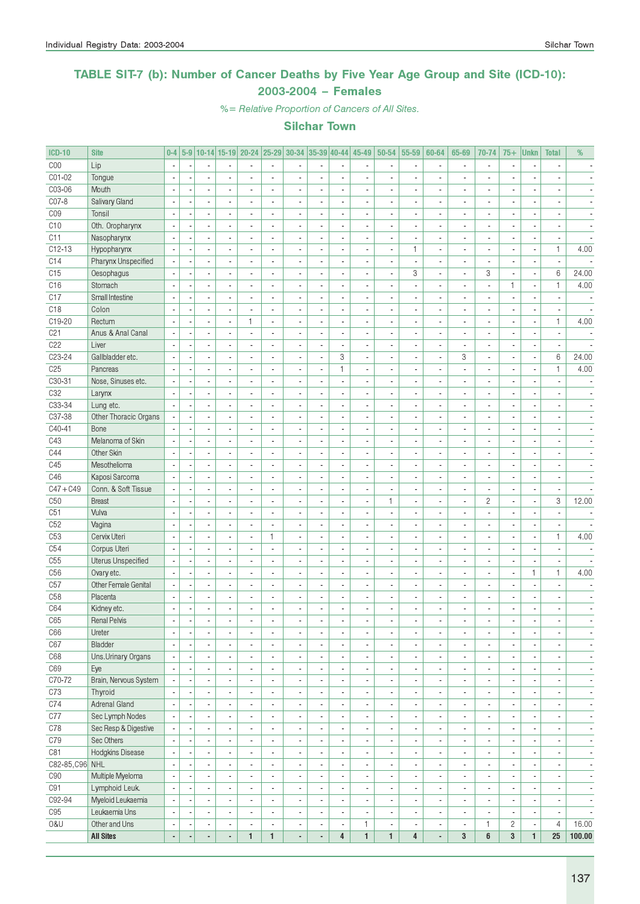### TABLE SIT-7 (b): Number of Cancer Deaths by Five Year Age Group and Site (ICD-10): 2003-2004 – Females

%= Relative Proportion of Cancers of All Sites.

| <b>ICD-10</b>   | <b>Site</b>           | $0-4$                    |                          |                          |                          |                          |                          | 5-9 10-14 15-19 20-24 25-29 30-34 35-39 40-44 45-49 |                          |                              |                          | 50-54                    | 55-59                    | 60-64                    | 65-69                    | 70-74                    | $75+$                    | <b>Unkn</b>              | <b>Total</b>             | %                            |
|-----------------|-----------------------|--------------------------|--------------------------|--------------------------|--------------------------|--------------------------|--------------------------|-----------------------------------------------------|--------------------------|------------------------------|--------------------------|--------------------------|--------------------------|--------------------------|--------------------------|--------------------------|--------------------------|--------------------------|--------------------------|------------------------------|
| COO             | Lip                   | $\overline{\phantom{a}}$ |                          | $\overline{a}$           |                          |                          | $\sim$                   | $\overline{a}$                                      |                          | ä,                           |                          |                          | $\overline{\phantom{a}}$ |                          | $\overline{a}$           | $\blacksquare$           |                          | ÷,                       | $\overline{a}$           |                              |
| CO1-02          | Tongue                |                          |                          |                          |                          |                          |                          |                                                     |                          | ä,                           |                          |                          | ÷,                       |                          |                          | $\overline{\phantom{a}}$ |                          |                          |                          |                              |
| C03-06          | Mouth                 |                          |                          | $\blacksquare$           |                          |                          | ä,                       |                                                     |                          | $\blacksquare$               |                          |                          | ÷,                       |                          |                          | $\blacksquare$           |                          |                          |                          |                              |
| CO7-8           | Salivary Gland        | $\overline{\phantom{a}}$ |                          | $\blacksquare$           | $\overline{\phantom{a}}$ | $\overline{a}$           | ÷,                       | ä,                                                  | ÷,                       | ÷,                           | ٠                        |                          | $\blacksquare$           | ä,                       |                          | $\overline{\phantom{a}}$ |                          | $\overline{\phantom{a}}$ | $\overline{a}$           |                              |
| C <sub>09</sub> | Tonsil                | $\overline{\phantom{a}}$ |                          | $\blacksquare$           | $\overline{a}$           | $\overline{a}$           | L.                       | $\overline{\phantom{a}}$                            | $\blacksquare$           | ÷,                           | ٠                        | $\overline{a}$           | $\overline{\phantom{a}}$ | $\overline{\phantom{a}}$ | $\overline{a}$           | $\blacksquare$           | $\overline{a}$           | $\overline{\phantom{a}}$ | $\overline{a}$           | $\overline{\phantom{a}}$     |
| C10             | Oth. Oropharynx       | Ĭ.                       |                          | $\overline{\phantom{a}}$ | $\overline{a}$           |                          | ä,                       | ä,                                                  | $\blacksquare$           | $\frac{1}{2}$                | ٠                        |                          | $\overline{\phantom{a}}$ | $\blacksquare$           |                          | $\overline{\phantom{a}}$ |                          | $\overline{\phantom{a}}$ |                          |                              |
| C11             | Nasopharynx           |                          |                          | $\overline{\phantom{a}}$ |                          |                          |                          | $\overline{a}$                                      |                          | ÷,                           |                          |                          | ä,                       | $\overline{\phantom{a}}$ |                          | $\overline{\phantom{a}}$ |                          | ٠                        |                          |                              |
| $C12-13$        | Hypopharynx           | $\overline{\phantom{a}}$ |                          | $\overline{\phantom{a}}$ |                          | $\overline{a}$           | $\overline{a}$           | $\overline{a}$                                      | $\overline{a}$           | ä,                           | ٠                        | $\overline{a}$           | $\mathbf{1}$             | $\blacksquare$           | $\overline{a}$           | $\overline{\phantom{a}}$ | $\overline{a}$           | ÷,                       | $\mathbf{1}$             | 4.00                         |
| C14             | Pharynx Unspecified   |                          |                          | ÷.                       |                          |                          | ÷,                       | $\overline{a}$                                      | $\overline{a}$           | ÷,                           |                          |                          | $\overline{\phantom{a}}$ |                          |                          | $\overline{\phantom{a}}$ |                          | $\overline{\phantom{a}}$ |                          |                              |
| C15             | Oesophagus            |                          |                          | $\overline{\phantom{a}}$ |                          |                          | ٠                        |                                                     |                          | ٠                            |                          |                          | 3                        | $\overline{a}$           | $\blacksquare$           | 3                        |                          | $\overline{\phantom{a}}$ | 6                        | 24.00                        |
| C16             | Stomach               | $\overline{\phantom{a}}$ |                          | $\blacksquare$           | $\overline{a}$           | ÷.                       | ÷,                       | ä,                                                  | $\blacksquare$           | $\overline{a}$               | ٠                        |                          | ÷,                       | ä,                       | ä,                       | $\blacksquare$           | 1                        | ÷,                       | $\mathbf{1}$             | 4.00                         |
| C17             | Small Intestine       | $\overline{\phantom{a}}$ |                          | $\overline{\phantom{a}}$ | $\overline{\phantom{a}}$ | $\overline{a}$           | ÷.                       | $\overline{\phantom{a}}$                            | $\overline{a}$           | ÷,                           | $\overline{\phantom{a}}$ | $\overline{a}$           | $\overline{\phantom{a}}$ | $\blacksquare$           | $\blacksquare$           | $\overline{\phantom{a}}$ | $\overline{a}$           | $\blacksquare$           | $\overline{\phantom{a}}$ | $\overline{\phantom{a}}$     |
| C <sub>18</sub> | Colon                 |                          |                          | $\overline{\phantom{a}}$ | $\blacksquare$           |                          | ä,                       | $\overline{a}$                                      | $\blacksquare$           | $\blacksquare$               | ä,                       |                          | $\overline{\phantom{a}}$ | $\overline{\phantom{a}}$ |                          | $\overline{\phantom{a}}$ |                          | $\overline{\phantom{a}}$ | $\overline{\phantom{a}}$ | $\overline{\phantom{a}}$     |
| C19-20          | Rectum                |                          |                          | $\overline{\phantom{a}}$ |                          | 1                        | Ĭ.                       | $\overline{a}$                                      |                          | ٠                            | ٠                        |                          | $\overline{\phantom{a}}$ | $\overline{\phantom{a}}$ |                          | $\overline{a}$           |                          | ×                        | $\mathbf{1}$             | 4.00                         |
| C <sub>21</sub> | Anus & Anal Canal     | ÷,                       |                          | $\overline{\phantom{a}}$ |                          | $\overline{a}$           | $\overline{a}$           | $\overline{a}$                                      | $\overline{a}$           | ä,                           | ÷,                       |                          | $\blacksquare$           | $\overline{a}$           | $\overline{\phantom{a}}$ | $\overline{\phantom{a}}$ |                          | ٠                        | $\overline{\phantom{a}}$ |                              |
| C22             | Liver                 |                          |                          | ä,                       |                          |                          | ÷,                       | $\overline{a}$                                      | ÷,                       | $\overline{a}$               | ÷,                       |                          | ä,                       | $\overline{a}$           |                          | $\overline{\phantom{a}}$ |                          | $\blacksquare$           |                          |                              |
| C23-24          | Gallbladder etc.      |                          |                          | $\overline{\phantom{a}}$ |                          |                          | ä,                       |                                                     | ÷,                       | 3                            |                          |                          | ×,                       | $\overline{a}$           | 3                        | $\blacksquare$           |                          | $\overline{\phantom{a}}$ | 6                        | 24.00                        |
| C <sub>25</sub> | Pancreas              | $\sim$                   |                          | $\blacksquare$           |                          |                          | $\overline{a}$           | ÷,                                                  |                          | $\mathbf{1}$                 | ä,                       |                          | $\overline{\phantom{a}}$ |                          |                          | $\overline{\phantom{a}}$ |                          | ÷,                       | $\mathbf{1}$             | 4.00                         |
| C30-31          | Nose, Sinuses etc.    | $\overline{\phantom{a}}$ |                          | $\overline{\phantom{a}}$ | $\overline{\phantom{a}}$ | $\overline{a}$           | $\overline{\phantom{a}}$ | $\overline{\phantom{a}}$                            | $\blacksquare$           | $\blacksquare$               | ٠                        | $\overline{a}$           | $\blacksquare$           | $\blacksquare$           | $\overline{\phantom{a}}$ | $\blacksquare$           | $\overline{\phantom{a}}$ | $\blacksquare$           | $\overline{\phantom{a}}$ | $\overline{\phantom{a}}$     |
| C32             | Larynx                | $\overline{\phantom{a}}$ |                          | $\overline{\phantom{a}}$ | $\blacksquare$           | $\overline{a}$           | ä,                       | $\overline{\phantom{a}}$                            | $\blacksquare$           | $\frac{1}{2}$                | ٠                        |                          | $\overline{\phantom{a}}$ | $\overline{\phantom{a}}$ |                          | $\overline{\phantom{a}}$ |                          | $\overline{\phantom{a}}$ | $\overline{\phantom{a}}$ |                              |
| C33-34          | Lung etc.             |                          |                          | $\blacksquare$           |                          |                          |                          | $\overline{a}$                                      |                          | $\qquad \qquad \blacksquare$ | $\overline{\phantom{a}}$ |                          | ×,                       | $\blacksquare$           |                          | $\overline{\phantom{a}}$ |                          | ٠                        | $\overline{a}$           |                              |
| C37-38          | Other Thoracic Organs |                          |                          | $\overline{\phantom{a}}$ |                          |                          | L,                       | ä,                                                  |                          | ä,                           |                          |                          | ä,                       | ä,                       |                          | $\overline{\phantom{a}}$ |                          |                          |                          |                              |
| C40-41          | Bone                  |                          |                          | $\overline{\phantom{a}}$ |                          |                          | $\overline{a}$           | ä,                                                  | Ĭ.                       | $\overline{a}$               | $\overline{a}$           |                          | $\blacksquare$           | ä,                       | $\overline{a}$           | $\overline{\phantom{a}}$ | $\overline{a}$           | ÷,                       | $\overline{a}$           |                              |
| C43             | Melanoma of Skin      |                          |                          | $\overline{\phantom{a}}$ |                          |                          | L,                       | $\overline{a}$                                      |                          | ٠                            | ٠                        |                          | ×,                       | $\overline{a}$           | $\blacksquare$           | $\blacksquare$           |                          | ×,                       |                          |                              |
| C44             | Other Skin            | $\overline{\phantom{a}}$ |                          | $\blacksquare$           | $\overline{a}$           | ÷,                       | $\overline{a}$           | ÷,                                                  | ÷,                       | $\overline{a}$               |                          | $\overline{a}$           | $\blacksquare$           | $\overline{a}$           |                          | $\overline{\phantom{a}}$ |                          | ÷,                       | $\overline{a}$           |                              |
| C45             | Mesothelioma          | $\overline{\phantom{a}}$ |                          | $\overline{\phantom{a}}$ | $\overline{a}$           | $\overline{a}$           | $\overline{a}$           | $\overline{\phantom{a}}$                            | $\blacksquare$           | ÷,                           | ٠                        | $\overline{a}$           | $\overline{\phantom{a}}$ | $\blacksquare$           | $\overline{a}$           | $\overline{\phantom{a}}$ | $\overline{a}$           | $\blacksquare$           | $\overline{a}$           | $\overline{\phantom{a}}$     |
| C46             | Kaposi Sarcoma        | ÷,                       |                          | $\overline{\phantom{a}}$ | $\blacksquare$           | $\overline{a}$           | ä,                       | $\overline{a}$                                      | $\overline{\phantom{a}}$ | $\blacksquare$               | ٠                        |                          | $\overline{\phantom{a}}$ | $\overline{\phantom{a}}$ | $\overline{\phantom{a}}$ | $\overline{\phantom{a}}$ |                          | $\overline{\phantom{a}}$ | $\overline{\phantom{a}}$ | $\overline{\phantom{a}}$     |
| $C47 + C49$     | Conn. & Soft Tissue   |                          |                          | $\overline{\phantom{a}}$ |                          |                          | $\overline{a}$           | $\overline{a}$                                      |                          | $\qquad \qquad \blacksquare$ | $\overline{\phantom{a}}$ |                          | $\overline{\phantom{a}}$ | $\blacksquare$           |                          | $\overline{\phantom{a}}$ |                          | $\overline{\phantom{a}}$ | ÷,                       |                              |
| C50             | <b>Breast</b>         |                          |                          | ä,                       |                          |                          |                          | ä,                                                  |                          | ä,                           |                          | $\mathbf{1}$             | $\overline{\phantom{a}}$ | $\overline{\phantom{a}}$ |                          | $\mathbf{2}$             |                          | $\overline{\phantom{a}}$ | 3                        | 12.00                        |
| C51             | Vulva                 | $\overline{\phantom{a}}$ |                          | $\overline{a}$           |                          |                          | Ĭ.                       | $\overline{\phantom{a}}$                            | $\overline{a}$           | ä,                           | $\overline{\phantom{a}}$ |                          | $\overline{\phantom{a}}$ | $\overline{\phantom{a}}$ |                          | $\overline{\phantom{a}}$ |                          | ٠                        | $\overline{\phantom{a}}$ |                              |
| C52             | Vagina                |                          |                          | $\blacksquare$           |                          |                          | $\overline{a}$           |                                                     |                          | ٠                            |                          |                          | ×,                       | $\overline{a}$           |                          | $\blacksquare$           |                          | ÷,                       | $\overline{\phantom{a}}$ |                              |
| C53             | Cervix Uteri          | ÷,                       |                          | $\blacksquare$           |                          | ä,                       | $\mathbf{1}$             | ÷,                                                  |                          | $\blacksquare$               |                          |                          | ÷,                       |                          |                          | $\blacksquare$           |                          | ÷,                       | $\mathbf{1}$             | 4.00                         |
| C54             | Corpus Uteri          | $\overline{\phantom{a}}$ |                          | $\overline{\phantom{a}}$ | $\overline{a}$           | $\overline{a}$           | ä,                       | $\overline{\phantom{a}}$                            | $\blacksquare$           | ÷,                           | ٠                        | $\overline{a}$           | $\overline{\phantom{a}}$ | $\blacksquare$           | $\overline{\phantom{a}}$ | $\overline{\phantom{a}}$ | $\overline{a}$           | $\blacksquare$           | $\overline{a}$           |                              |
| C55             | Uterus Unspecified    | ÷,                       |                          | $\overline{\phantom{a}}$ | $\overline{\phantom{a}}$ | $\overline{a}$           | ÷,                       | $\overline{\phantom{a}}$                            | $\blacksquare$           | $\overline{a}$               | $\blacksquare$           |                          | $\blacksquare$           | $\overline{\phantom{a}}$ |                          | $\overline{\phantom{a}}$ | $\overline{a}$           | ÷,                       | $\overline{\phantom{a}}$ |                              |
| C <sub>56</sub> | Ovary etc.            |                          |                          | $\blacksquare$           |                          |                          | ٠                        | $\blacksquare$                                      |                          | $\qquad \qquad \blacksquare$ | ٠                        |                          | $\overline{\phantom{a}}$ | $\blacksquare$           |                          | $\blacksquare$           |                          | 1                        | $\mathbf{1}$             | 4.00                         |
| C57             | Other Female Genital  | $\overline{\phantom{a}}$ |                          | $\overline{\phantom{a}}$ |                          |                          | ä,                       | $\overline{\phantom{a}}$                            | $\blacksquare$           | ä,                           | ٠                        |                          | ä,                       | $\overline{\phantom{a}}$ | $\overline{a}$           | $\overline{\phantom{a}}$ |                          | Ĭ.                       | $\overline{a}$           |                              |
| C <sub>58</sub> | Placenta              | $\overline{\phantom{a}}$ |                          | $\overline{a}$           |                          | $\overline{\phantom{a}}$ | $\overline{a}$           | $\overline{a}$                                      | $\overline{a}$           | ä,                           | $\overline{\phantom{a}}$ |                          | $\blacksquare$           | $\overline{\phantom{a}}$ | $\overline{\phantom{a}}$ | $\overline{\phantom{a}}$ | $\overline{\phantom{a}}$ | ٠                        | $\overline{a}$           |                              |
| C64             | Kidney etc.           |                          |                          | $\overline{\phantom{a}}$ |                          |                          | L,                       |                                                     |                          | ÷,                           | ٠                        |                          | ×,                       | $\blacksquare$           |                          | $\blacksquare$           | ٠                        | ×                        | $\overline{a}$           |                              |
| C65             | <b>Renal Pelvis</b>   | J.                       |                          |                          |                          |                          |                          |                                                     |                          |                              |                          |                          | L                        |                          |                          |                          |                          |                          |                          |                              |
| C66             | Ureter                | ÷,                       | Ĭ.                       | $\overline{\phantom{a}}$ |                          | $\overline{a}$           | L,                       | $\overline{a}$                                      | $\blacksquare$           | $\overline{\phantom{a}}$     | ٠                        |                          | $\overline{\phantom{a}}$ | $\overline{\phantom{a}}$ | $\overline{\phantom{a}}$ | $\overline{\phantom{a}}$ | $\overline{\phantom{a}}$ | $\overline{\phantom{a}}$ | $\blacksquare$           | $\blacksquare$               |
| C67             | Bladder               | $\overline{\phantom{a}}$ | ٠.                       | $\overline{\phantom{a}}$ | $\blacksquare$           | $\overline{\phantom{a}}$ | $\overline{a}$           | $\overline{\phantom{a}}$                            | $\overline{\phantom{a}}$ | $\overline{\phantom{a}}$     | $\overline{\phantom{a}}$ | $\overline{\phantom{a}}$ | $\overline{\phantom{a}}$ | $\blacksquare$           | $\blacksquare$           | $\overline{\phantom{a}}$ | $\overline{\phantom{a}}$ | $\overline{\phantom{a}}$ | $\overline{\phantom{a}}$ | $\overline{\phantom{a}}$     |
| C68             | Uns.Urinary Organs    | $\overline{\phantom{a}}$ |                          | $\overline{\phantom{a}}$ | $\blacksquare$           | $\overline{\phantom{a}}$ | ٠                        | $\overline{\phantom{a}}$                            | $\overline{\phantom{a}}$ | $\overline{\phantom{a}}$     | $\overline{\phantom{a}}$ | $\blacksquare$           | $\overline{\phantom{a}}$ | $\overline{\phantom{a}}$ | $\overline{\phantom{a}}$ | $\overline{\phantom{a}}$ | $\overline{a}$           | ٠                        | $\overline{\phantom{a}}$ | $\overline{\phantom{a}}$     |
| C69             | Eye                   | $\overline{\phantom{a}}$ |                          | $\overline{\phantom{a}}$ | $\blacksquare$           | $\overline{\phantom{a}}$ | $\overline{\phantom{a}}$ | $\overline{\phantom{a}}$                            | ÷,                       | $\blacksquare$               | ٠                        | $\overline{\phantom{a}}$ | $\overline{\phantom{a}}$ | $\blacksquare$           | $\overline{\phantom{a}}$ | $\blacksquare$           |                          | ÷,                       | $\frac{1}{2}$            | ٠                            |
| C70-72          | Brain, Nervous System | $\overline{\phantom{a}}$ |                          | $\overline{\phantom{a}}$ | $\blacksquare$           | $\overline{\phantom{a}}$ | $\overline{\phantom{a}}$ | $\overline{\phantom{a}}$                            | $\blacksquare$           | $\overline{\phantom{a}}$     | ٠                        | $\blacksquare$           | $\overline{\phantom{a}}$ | $\overline{\phantom{a}}$ | $\blacksquare$           | $\blacksquare$           |                          | $\overline{\phantom{a}}$ | $\overline{\phantom{a}}$ | $\qquad \qquad \blacksquare$ |
| C73             | Thyroid               |                          |                          | $\overline{\phantom{a}}$ | $\blacksquare$           | $\overline{\phantom{a}}$ | $\overline{\phantom{a}}$ | $\overline{a}$                                      |                          | $\blacksquare$               | ä,                       | $\blacksquare$           | $\overline{\phantom{a}}$ | $\overline{\phantom{a}}$ | ٠                        | $\overline{\phantom{a}}$ |                          | ÷,                       | $\overline{\phantom{a}}$ | $\overline{\phantom{a}}$     |
| C74             | Adrenal Gland         |                          |                          | $\overline{\phantom{a}}$ | $\overline{\phantom{a}}$ | ä,                       | $\blacksquare$           | ä,                                                  | $\overline{a}$           | $\overline{\phantom{a}}$     | ٠                        | $\blacksquare$           | $\overline{\phantom{a}}$ | $\overline{\phantom{a}}$ | $\blacksquare$           | $\overline{\phantom{a}}$ |                          | ÷,                       | $\blacksquare$           | $\qquad \qquad \blacksquare$ |
| C77             | Sec Lymph Nodes       | $\overline{\phantom{a}}$ |                          | $\overline{\phantom{a}}$ | $\blacksquare$           | ä,                       | $\overline{\phantom{a}}$ | $\overline{\phantom{a}}$                            | $\blacksquare$           | ÷,                           | ٠                        | $\blacksquare$           | $\overline{\phantom{a}}$ | $\overline{\phantom{a}}$ | $\overline{\phantom{a}}$ | $\overline{\phantom{a}}$ | $\blacksquare$           | ÷,                       | $\overline{\phantom{a}}$ | ÷,                           |
| C78             | Sec Resp & Digestive  | $\overline{\phantom{a}}$ | $\overline{\phantom{a}}$ | $\blacksquare$           | $\blacksquare$           | $\overline{\phantom{a}}$ | $\overline{\phantom{a}}$ | $\blacksquare$                                      | $\blacksquare$           | ÷,                           | $\overline{\phantom{a}}$ | $\overline{\phantom{a}}$ | $\overline{\phantom{a}}$ | $\overline{\phantom{a}}$ | $\blacksquare$           | $\blacksquare$           | $\overline{\phantom{a}}$ | $\overline{\phantom{a}}$ | $\blacksquare$           | $\overline{\phantom{a}}$     |
| C79             | Sec Others            |                          |                          | $\overline{\phantom{a}}$ | $\blacksquare$           | $\overline{\phantom{a}}$ | ٠                        | $\overline{\phantom{a}}$                            | $\overline{\phantom{a}}$ | $\overline{\phantom{a}}$     | $\overline{\phantom{a}}$ | $\overline{\phantom{a}}$ | $\overline{\phantom{a}}$ | $\overline{\phantom{a}}$ | $\overline{\phantom{a}}$ | $\overline{\phantom{a}}$ |                          | ٠                        | $\overline{\phantom{a}}$ | $\overline{\phantom{a}}$     |
| C81             | Hodgkins Disease      | $\overline{\phantom{a}}$ |                          | $\overline{\phantom{a}}$ | $\blacksquare$           | $\overline{a}$           | ä,                       | $\blacksquare$                                      | ÷,                       | $\blacksquare$               |                          | $\blacksquare$           | $\overline{\phantom{a}}$ | $\overline{a}$           | $\overline{\phantom{a}}$ | $\blacksquare$           |                          | ÷,                       | $\frac{1}{2}$            | ٠                            |
| C82-85, C96 NHL |                       | $\overline{\phantom{a}}$ |                          | $\overline{a}$           | $\overline{\phantom{a}}$ | $\overline{\phantom{a}}$ | $\blacksquare$           | $\blacksquare$                                      | $\blacksquare$           | $\overline{\phantom{a}}$     | $\overline{\phantom{a}}$ | $\overline{a}$           | $\blacksquare$           | $\blacksquare$           | $\overline{\phantom{a}}$ | $\blacksquare$           |                          | $\blacksquare$           | $\blacksquare$           | $\sim$                       |
| C90             | Multiple Myeloma      | $\overline{\phantom{a}}$ |                          | $\overline{\phantom{a}}$ | $\blacksquare$           |                          | $\overline{\phantom{a}}$ | $\overline{a}$                                      |                          | $\overline{\phantom{a}}$     |                          | $\blacksquare$           | $\overline{\phantom{a}}$ | ٠                        | $\blacksquare$           | $\overline{\phantom{a}}$ |                          | $\overline{\phantom{a}}$ | $\overline{\phantom{a}}$ | $\overline{\phantom{a}}$     |
| C91             | Lymphoid Leuk.        |                          |                          | ÷,                       | $\overline{\phantom{a}}$ | $\overline{a}$           | $\overline{\phantom{a}}$ | ÷,                                                  | ÷,                       | $\overline{\phantom{a}}$     | ٠                        | $\blacksquare$           | $\overline{\phantom{a}}$ | $\overline{a}$           | $\blacksquare$           | $\overline{\phantom{a}}$ |                          | $\overline{\phantom{a}}$ | $\blacksquare$           | $\qquad \qquad \blacksquare$ |
| C92-94          | Myeloid Leukaemia     | $\overline{\phantom{a}}$ |                          | ÷.                       | $\overline{\phantom{a}}$ | ä,                       | $\blacksquare$           | $\overline{\phantom{a}}$                            | $\blacksquare$           | $\overline{\phantom{a}}$     | $\blacksquare$           | $\overline{\phantom{a}}$ | $\overline{\phantom{a}}$ | $\overline{\phantom{a}}$ | $\blacksquare$           | $\overline{\phantom{a}}$ | ä,                       | ÷,                       | $\blacksquare$           | ٠                            |
| C95             | Leukaemia Uns         | $\blacksquare$           | $\overline{\phantom{a}}$ | $\overline{\phantom{a}}$ | $\overline{\phantom{a}}$ | $\overline{\phantom{a}}$ | $\overline{\phantom{a}}$ | $\overline{\phantom{a}}$                            | $\overline{\phantom{a}}$ | $\overline{\phantom{a}}$     | $\overline{\phantom{a}}$ | $\overline{\phantom{a}}$ | $\overline{\phantom{a}}$ | $\overline{\phantom{a}}$ | $\overline{\phantom{a}}$ | $\overline{\phantom{a}}$ | $\blacksquare$           | $\overline{\phantom{a}}$ | $\overline{\phantom{a}}$ | $\overline{\phantom{a}}$     |
| 0&U             | Other and Uns         | $\overline{\phantom{a}}$ |                          | $\overline{\phantom{a}}$ | $\overline{\phantom{a}}$ | $\overline{\phantom{a}}$ | ٠                        | $\overline{\phantom{a}}$                            | $\overline{\phantom{a}}$ | $\overline{\phantom{a}}$     | 1                        | $\overline{\phantom{a}}$ | $\overline{\phantom{a}}$ | $\overline{\phantom{a}}$ | $\overline{\phantom{a}}$ | 1                        | $\overline{c}$           | ٠                        | 4                        | 16.00                        |
|                 | <b>All Sites</b>      | $\blacksquare$           |                          | ÷                        | ÷,                       | $\mathbf{1}$             | $\mathbf{1}$             | ÷,                                                  | $\blacksquare$           | $\overline{4}$               | $\mathbf{1}$             | $\mathbf{1}$             | 4                        | $\overline{\phantom{a}}$ | $\mathbf{3}$             | 6                        | $\mathbf{3}$             | $\mathbf{1}$             | 25                       | 100.00                       |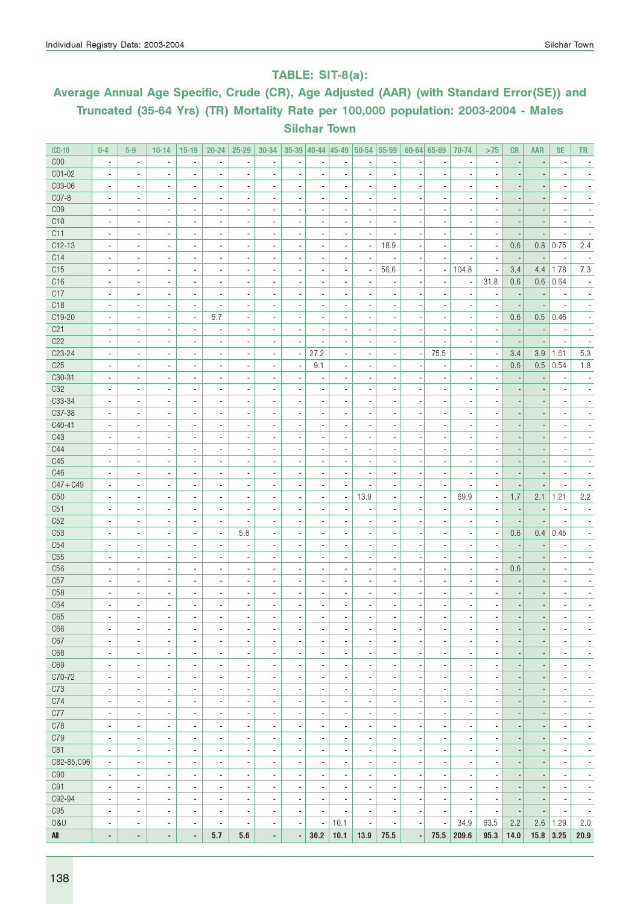### TABLE: SIT-8(a):

# Average Annual Age Specific, Crude (CR), Age Adjusted (AAR) (with Standard Error(SE)) and Truncated (35-64 Yrs) (TR) Mortality Rate per 100,000 population: 2003-2004 - Males Silchar Town

| <b>ICD-10</b>          | $0 - 4$                                    | $5-9$                                                | $10 - 14$                                  | $15-19$                       | $20 - 24$                                            | $25 - 29$                    | 30-34                            | $35-39$ 40-44            |                                                      | $ 45-49 $                        | 50-54 55-59                  |                                            |                          | $60 - 64$ 65-69                                      | 70-74                          | >75                                        | <b>CR</b>                | <b>AAR</b>               | <b>SE</b>                | TR.                      |
|------------------------|--------------------------------------------|------------------------------------------------------|--------------------------------------------|-------------------------------|------------------------------------------------------|------------------------------|----------------------------------|--------------------------|------------------------------------------------------|----------------------------------|------------------------------|--------------------------------------------|--------------------------|------------------------------------------------------|--------------------------------|--------------------------------------------|--------------------------|--------------------------|--------------------------|--------------------------|
| COO                    | $\overline{\phantom{a}}$                   | $\overline{\phantom{a}}$                             | Ĭ.                                         | $\overline{\phantom{a}}$      | ä,                                                   | ä,                           | $\overline{\phantom{a}}$         | Ĭ.                       | $\overline{a}$                                       | Ĭ.                               | Ĭ.                           | $\overline{\phantom{a}}$                   |                          | ÷,                                                   | ÷,                             | $\blacksquare$                             |                          |                          | $\overline{\phantom{a}}$ |                          |
| C01-02                 | $\overline{\phantom{a}}$                   | $\overline{\phantom{a}}$                             | $\overline{a}$                             | ٠                             | $\blacksquare$                                       | ä,                           | $\blacksquare$                   | $\overline{a}$           | $\blacksquare$                                       | $\blacksquare$                   | $\overline{\phantom{a}}$     | $\overline{\phantom{a}}$                   |                          | $\overline{\phantom{a}}$                             |                                |                                            |                          |                          | $\overline{\phantom{a}}$ |                          |
| C03-06                 | $\overline{\phantom{a}}$                   | $\overline{\phantom{a}}$                             | ×,                                         | $\overline{\phantom{a}}$      | $\overline{\phantom{a}}$                             | ٠                            | $\overline{a}$                   | $\overline{\phantom{a}}$ | $\overline{a}$                                       | $\overline{a}$                   |                              | $\overline{\phantom{a}}$                   |                          | $\overline{\phantom{a}}$                             |                                |                                            |                          |                          |                          |                          |
| C07-8                  | $\blacksquare$                             | $\overline{\phantom{a}}$                             | $\blacksquare$                             | $\overline{\phantom{a}}$      | $\overline{\phantom{a}}$                             | $\overline{\phantom{a}}$     | $\blacksquare$                   | ÷,                       | $\overline{\phantom{a}}$                             | $\overline{\phantom{a}}$         | ä,                           | $\overline{\phantom{a}}$                   |                          | $\overline{\phantom{a}}$                             | $\overline{\phantom{a}}$       |                                            |                          |                          | ×,                       |                          |
| C <sub>09</sub>        | $\blacksquare$                             | $\overline{\phantom{a}}$                             | $\overline{\phantom{a}}$                   | $\overline{\phantom{a}}$      | $\overline{\phantom{a}}$                             | ٠                            | $\overline{\phantom{a}}$         | ×,                       | $\overline{\phantom{a}}$                             | $\overline{\phantom{a}}$         | ä,                           | $\blacksquare$                             |                          | $\overline{\phantom{a}}$                             | ×,                             |                                            |                          |                          | ×,                       |                          |
| C10                    | $\overline{\phantom{a}}$                   | $\blacksquare$                                       | $\overline{\phantom{a}}$                   | $\blacksquare$                | $\overline{\phantom{a}}$                             | $\overline{\phantom{a}}$     | $\blacksquare$                   | $\overline{\phantom{a}}$ | $\overline{\phantom{a}}$                             | $\blacksquare$                   | $\overline{\phantom{a}}$     | $\blacksquare$                             |                          | $\overline{\phantom{a}}$                             | $\overline{\phantom{a}}$       | $\blacksquare$                             |                          | $\overline{\phantom{a}}$ | $\overline{\phantom{a}}$ | $\blacksquare$           |
| C11                    | $\overline{\phantom{a}}$                   | $\overline{\phantom{a}}$                             | ٠                                          | $\overline{\phantom{a}}$      | $\overline{\phantom{a}}$                             | $\qquad \qquad \blacksquare$ | $\overline{a}$                   | $\overline{\phantom{m}}$ | $\overline{\phantom{a}}$                             | $\overline{\phantom{a}}$         |                              | $\overline{\phantom{a}}$                   |                          | ÷                                                    | ÷                              | $\overline{\phantom{a}}$                   |                          | $\overline{a}$           |                          |                          |
| $C12-13$               | $\overline{\phantom{a}}$                   | $\blacksquare$                                       | $\overline{a}$                             | $\overline{\phantom{a}}$      | $\overline{\phantom{a}}$                             | ä,                           | ä,                               | $\overline{a}$           | $\blacksquare$                                       | $\blacksquare$                   | ٠                            | 18.9                                       |                          | ÷,                                                   | ÷,                             | $\blacksquare$                             | 0.6                      | 0.8                      | 0.75                     | 2.4                      |
| C14                    | $\overline{\phantom{a}}$                   | $\blacksquare$                                       | $\blacksquare$                             | ٠                             | ٠                                                    | ä,                           | $\overline{\phantom{a}}$         | $\overline{a}$           | $\blacksquare$                                       | $\blacksquare$                   |                              | $\overline{\phantom{a}}$                   |                          | $\overline{\phantom{a}}$                             | $\overline{\phantom{a}}$       | $\overline{a}$                             | $\overline{\phantom{a}}$ | $\overline{\phantom{a}}$ | $\overline{\phantom{a}}$ | $\overline{\phantom{a}}$ |
| C15                    | $\blacksquare$                             | $\overline{\phantom{a}}$                             | ×,                                         | $\overline{\phantom{a}}$      | $\overline{\phantom{a}}$                             | ٠                            | $\overline{a}$                   | $\overline{\phantom{a}}$ | $\overline{\phantom{a}}$                             | $\overline{a}$                   |                              | 56.6                                       | $\overline{\phantom{a}}$ | $\overline{\phantom{a}}$                             | 104.8                          | $\overline{\phantom{a}}$                   | 3.4                      | 4.4                      | 1.78                     | 7.3                      |
| C <sub>16</sub>        | $\overline{\phantom{a}}$                   | $\overline{\phantom{a}}$                             | $\overline{a}$                             | $\overline{\phantom{a}}$      | ٠                                                    | $\overline{a}$               | ×,                               | ÷                        | $\blacksquare$                                       | $\overline{\phantom{a}}$         | ×,                           | $\blacksquare$                             |                          | $\overline{\phantom{a}}$                             | $\overline{a}$                 | 31.8                                       | 0.6                      | 0.6                      | 0.64                     |                          |
| C17                    | $\blacksquare$                             | $\overline{\phantom{a}}$                             | $\overline{\phantom{a}}$                   | $\overline{\phantom{a}}$      | $\blacksquare$                                       | ÷,                           | $\overline{a}$                   | ×,                       | $\overline{\phantom{a}}$                             | $\overline{\phantom{a}}$         | ä,                           | $\overline{\phantom{a}}$                   |                          | $\overline{\phantom{a}}$                             | $\overline{\phantom{a}}$       | $\overline{\phantom{a}}$                   |                          | $\overline{\phantom{a}}$ | ×,                       | $\overline{\phantom{a}}$ |
| C <sub>18</sub>        | $\overline{\phantom{a}}$                   | $\blacksquare$                                       | $\blacksquare$                             | $\blacksquare$                | $\overline{\phantom{a}}$                             | $\overline{\phantom{a}}$     | $\blacksquare$                   | $\blacksquare$           | $\blacksquare$                                       | $\blacksquare$                   | $\blacksquare$               | $\blacksquare$                             | $\overline{\phantom{a}}$ | $\sim$                                               | $\sim$                         | $\blacksquare$                             | $\overline{\phantom{a}}$ | $\overline{\phantom{a}}$ | $\overline{\phantom{a}}$ | $\overline{\phantom{a}}$ |
| C19-20                 | $\overline{\phantom{a}}$                   | $\qquad \qquad \blacksquare$                         | ٠                                          | $\overline{\phantom{a}}$      | 5.7                                                  | $\overline{\phantom{a}}$     | $\frac{1}{2}$                    | $\overline{\phantom{m}}$ | $\overline{\phantom{a}}$                             | $\overline{a}$                   | ٠                            | $\overline{\phantom{a}}$                   |                          | $\overline{\phantom{a}}$                             | ÷                              | $\overline{\phantom{a}}$                   | 0.6                      | 0.5                      | 0.46                     |                          |
| C <sub>21</sub>        | $\overline{\phantom{a}}$                   | $\blacksquare$                                       | $\overline{a}$                             | $\overline{\phantom{a}}$      | $\sim$                                               | ä,                           | ä,                               | ÷,                       | $\overline{\phantom{a}}$                             | ä,                               | ä,                           | $\blacksquare$                             |                          | ÷,                                                   | ٠                              | $\blacksquare$                             |                          | $\overline{\phantom{a}}$ | ×,                       |                          |
| C22                    | $\overline{\phantom{a}}$                   | $\overline{\phantom{a}}$                             | $\overline{\phantom{a}}$                   | $\overline{\phantom{a}}$      | $\overline{\phantom{a}}$                             | ä,                           | $\overline{\phantom{a}}$         | ×,                       | $\overline{a}$                                       | $\overline{\phantom{a}}$         | $\overline{a}$               | $\blacksquare$                             |                          | ÷,                                                   | ٠                              | $\blacksquare$                             | ÷,                       | $\overline{a}$           | ×,                       |                          |
| C23-24                 | $\blacksquare$                             | $\overline{\phantom{a}}$                             | ×,                                         | $\overline{\phantom{a}}$      | $\overline{\phantom{a}}$                             | ٠                            | $\overline{a}$                   | ×,                       | 27.2                                                 | $\overline{\phantom{a}}$         | $\blacksquare$               | $\overline{\phantom{a}}$                   | $\overline{\phantom{a}}$ | 75.5                                                 | ÷                              | $\overline{\phantom{a}}$                   | 3.4                      | 3.9                      | 1.61                     | 5.3                      |
| C <sub>25</sub>        | $\overline{\phantom{a}}$                   | $\overline{\phantom{a}}$                             | $\blacksquare$                             | $\overline{\phantom{a}}$      | $\overline{\phantom{a}}$                             | ÷                            | $\overline{a}$                   | ÷,                       | 9.1                                                  | $\overline{\phantom{a}}$         | ÷,                           | $\overline{\phantom{a}}$                   |                          | ×,                                                   | $\overline{a}$                 | $\blacksquare$                             | 0.6                      | 0.5                      | 0.54                     | 1.8                      |
| C30-31                 | $\blacksquare$                             | $\overline{\phantom{a}}$                             | $\overline{\phantom{a}}$                   | $\overline{\phantom{a}}$      | $\overline{\phantom{a}}$                             | ÷,                           | $\overline{\phantom{a}}$         | ×,                       | $\overline{\phantom{a}}$                             | $\blacksquare$                   | ٠                            | $\blacksquare$                             |                          | $\overline{\phantom{a}}$                             | ÷,                             | $\blacksquare$                             |                          | ÷,                       | $\overline{\phantom{a}}$ |                          |
| C <sub>32</sub>        | $\overline{\phantom{a}}$                   | $\overline{\phantom{a}}$                             | $\blacksquare$                             | $\overline{\phantom{a}}$      | $\blacksquare$                                       | $\blacksquare$               | $\blacksquare$                   | $\overline{a}$           | $\overline{\phantom{a}}$                             | $\blacksquare$                   | $\blacksquare$               | $\blacksquare$                             | $\overline{\phantom{a}}$ | $\overline{\phantom{a}}$                             | $\sim$                         | $\blacksquare$                             | Ξ.                       | $\overline{a}$           | $\overline{\phantom{a}}$ | $\sim$                   |
| C33-34                 | $\overline{\phantom{a}}$                   | $\qquad \qquad \blacksquare$                         | ٠                                          | $\overline{\phantom{a}}$      | $\overline{\phantom{a}}$                             | $\qquad \qquad \blacksquare$ | $\frac{1}{2}$                    | $\overline{\phantom{m}}$ | $\overline{\phantom{a}}$                             | ٠                                | ٠                            | $\overline{\phantom{a}}$                   |                          | $\overline{\phantom{a}}$                             | ÷                              |                                            |                          |                          | $\overline{\phantom{a}}$ |                          |
| C37-38                 | $\overline{\phantom{a}}$                   | $\overline{\phantom{a}}$                             | ä,                                         | $\overline{\phantom{a}}$      | ä,                                                   | ä,                           | ä,                               | ä,                       | $\overline{\phantom{a}}$                             | ä,                               | $\overline{a}$               | $\overline{a}$                             |                          | ÷,                                                   | $\overline{\phantom{a}}$       |                                            |                          |                          | $\overline{\phantom{a}}$ |                          |
| C40-41                 | $\overline{\phantom{a}}$                   | $\overline{\phantom{a}}$                             | $\overline{\phantom{a}}$                   | $\overline{\phantom{a}}$      | $\overline{\phantom{a}}$                             | ÷                            | $\overline{a}$                   | ×,                       | $\blacksquare$                                       | $\overline{a}$                   | $\overline{a}$               | $\blacksquare$                             |                          | $\overline{\phantom{a}}$                             | ٠                              |                                            |                          |                          |                          |                          |
| C43                    | $\blacksquare$                             | $\blacksquare$                                       | $\blacksquare$                             | $\blacksquare$                | ٠                                                    | ä,                           | $\overline{\phantom{a}}$         | $\blacksquare$           | $\blacksquare$                                       | $\overline{\phantom{a}}$         | $\blacksquare$               | $\blacksquare$                             |                          | $\overline{\phantom{a}}$                             | $\overline{\phantom{a}}$       |                                            |                          |                          | $\overline{\phantom{a}}$ |                          |
| C44                    | $\blacksquare$                             | $\blacksquare$                                       | $\blacksquare$                             | $\blacksquare$                | $\overline{\phantom{a}}$                             | $\overline{\phantom{a}}$     | $\overline{a}$                   | ×,                       | $\overline{\phantom{a}}$                             | $\overline{\phantom{a}}$         | ٠                            | $\blacksquare$                             | ٠                        | $\overline{\phantom{a}}$                             | $\overline{\phantom{a}}$       | $\overline{\phantom{a}}$                   |                          | $\overline{a}$           | ×,                       |                          |
| C45                    | $\blacksquare$                             | $\overline{\phantom{a}}$                             | $\overline{\phantom{a}}$                   | $\overline{\phantom{a}}$      | $\overline{\phantom{a}}$                             | ٠                            | $\overline{a}$                   | ×,                       | $\overline{\phantom{a}}$                             | $\overline{a}$                   | ٠                            | $\blacksquare$                             |                          | $\overline{\phantom{a}}$                             | ÷,                             |                                            |                          |                          | ×,                       |                          |
| C46                    | $\overline{\phantom{a}}$                   | $\overline{\phantom{a}}$                             | $\blacksquare$                             | $\overline{\phantom{a}}$      | $\overline{\phantom{a}}$                             | $\overline{\phantom{a}}$     | $\overline{\phantom{a}}$         | $\overline{\phantom{a}}$ | $\overline{\phantom{a}}$                             | $\blacksquare$                   | $\overline{a}$               | $\blacksquare$                             | $\overline{\phantom{a}}$ | $\overline{\phantom{a}}$                             | $\overline{\phantom{a}}$       | $\blacksquare$                             | ٠.                       | $\overline{\phantom{a}}$ | $\overline{\phantom{a}}$ | $\blacksquare$           |
| $C47 + C49$            | $\overline{\phantom{a}}$                   | $\overline{\phantom{a}}$                             | $\overline{\phantom{a}}$                   | $\overline{\phantom{a}}$      | $\overline{\phantom{a}}$                             | $\overline{\phantom{a}}$     | $\overline{a}$                   | $\overline{\phantom{a}}$ | $\overline{\phantom{a}}$                             | $\overline{\phantom{a}}$         |                              | $\overline{\phantom{a}}$                   | ٠                        | $\overline{\phantom{a}}$                             | ×,                             | $\overline{\phantom{a}}$                   |                          | $\overline{\phantom{a}}$ | $\overline{\phantom{a}}$ | $\blacksquare$           |
| C <sub>50</sub>        | $\overline{\phantom{a}}$                   | $\overline{\phantom{a}}$                             | $\overline{a}$                             | $\overline{\phantom{a}}$      | $\overline{\phantom{a}}$                             | ä,                           | ä,                               | ×,                       | $\overline{\phantom{a}}$                             | $\overline{\phantom{a}}$         | 13.9                         | $\overline{\phantom{a}}$                   |                          | $\overline{\phantom{a}}$                             | 69.9                           | $\blacksquare$                             | 1.7                      | 2.1                      | 1.21                     | 2.2                      |
| C51                    | $\overline{\phantom{a}}$                   | $\overline{\phantom{a}}$                             | ٠                                          | $\overline{\phantom{a}}$      | $\overline{\phantom{a}}$                             | ٠                            | $\overline{a}$                   | ×,                       | $\overline{\phantom{a}}$                             | $\overline{a}$                   | $\blacksquare$               | $\blacksquare$                             |                          | $\overline{\phantom{a}}$                             | ٠                              | $\blacksquare$                             | Ξ.                       | ٠.                       | $\overline{\phantom{a}}$ | ×,                       |
| C52                    | $\blacksquare$                             | $\blacksquare$                                       | $\overline{a}$                             | $\blacksquare$                | $\overline{\phantom{a}}$                             | ä,                           | $\overline{\phantom{a}}$         | ÷,                       | $\blacksquare$                                       | ä,                               |                              | $\overline{\phantom{a}}$                   |                          | $\sim$                                               | $\overline{\phantom{a}}$       | $\blacksquare$                             |                          |                          | ٠                        |                          |
| C <sub>53</sub><br>C54 | $\overline{\phantom{a}}$                   | $\qquad \qquad \blacksquare$                         | ÷,                                         | $\overline{\phantom{a}}$      | $\overline{\phantom{a}}$                             | 5.6<br>÷,                    | $\overline{a}$                   | ٠                        | ×,                                                   | ä,                               | ٠                            | $\overline{\phantom{a}}$<br>$\blacksquare$ |                          | ×,                                                   | ×                              | $\overline{\phantom{a}}$<br>$\blacksquare$ | 0.6                      | 0.4                      | 0.45<br>J.               |                          |
| C55                    | $\blacksquare$<br>$\overline{\phantom{a}}$ | $\overline{\phantom{a}}$                             | $\overline{\phantom{a}}$<br>$\blacksquare$ | $\overline{\phantom{a}}$<br>٠ | $\overline{\phantom{a}}$<br>$\overline{\phantom{a}}$ | $\overline{\phantom{a}}$     | $\overline{a}$<br>$\blacksquare$ | ×,<br>$\blacksquare$     | $\overline{\phantom{a}}$<br>$\overline{\phantom{a}}$ | $\overline{a}$<br>$\blacksquare$ | ٠<br>$\overline{a}$          | $\blacksquare$                             | $\overline{\phantom{a}}$ | $\overline{\phantom{a}}$<br>$\overline{\phantom{a}}$ | ×,<br>$\overline{\phantom{a}}$ | $\blacksquare$                             | $\overline{\phantom{a}}$ | $\overline{a}$           | $\blacksquare$           | $\overline{\phantom{a}}$ |
| C56                    | $\overline{\phantom{a}}$                   | $\overline{\phantom{a}}$<br>$\overline{\phantom{a}}$ | $\overline{\phantom{a}}$                   | $\overline{\phantom{a}}$      | $\overline{\phantom{a}}$                             | $\overline{\phantom{a}}$     | $\overline{a}$                   | $\overline{\phantom{a}}$ | $\overline{\phantom{a}}$                             | $\overline{a}$                   | $\overline{\phantom{a}}$     | $\overline{\phantom{a}}$                   | ٠                        | $\overline{\phantom{a}}$                             | $\overline{\phantom{a}}$       | $\overline{\phantom{a}}$                   | 0.6                      | $\overline{\phantom{a}}$ | $\overline{\phantom{a}}$ |                          |
| C57                    | $\overline{\phantom{a}}$                   | $\overline{\phantom{a}}$                             | $\overline{a}$                             | ٠                             | ٠                                                    | $\qquad \qquad \blacksquare$ | $\overline{a}$                   | $\overline{\phantom{a}}$ | $\blacksquare$                                       | $\overline{\phantom{a}}$         | ٠                            | $\blacksquare$                             |                          | ٠                                                    | $\blacksquare$                 | $\overline{a}$                             |                          | $\blacksquare$           |                          |                          |
| C <sub>58</sub>        | $\overline{\phantom{a}}$                   | ٠                                                    | $\overline{\phantom{a}}$                   | $\overline{\phantom{a}}$      | ٠                                                    | ä,                           | $\overline{\phantom{a}}$         | ÷,                       | $\blacksquare$                                       | $\overline{\phantom{a}}$         |                              | $\blacksquare$                             |                          | $\blacksquare$                                       | $\blacksquare$                 |                                            |                          |                          | ×,                       |                          |
| C64                    | $\blacksquare$                             | $\blacksquare$                                       | $\blacksquare$                             | $\blacksquare$                | ٠                                                    | ٠                            | $\blacksquare$                   | $\blacksquare$           | $\blacksquare$                                       |                                  |                              | $\overline{\phantom{a}}$                   |                          | $\blacksquare$                                       | ٠                              |                                            |                          |                          | ٠                        |                          |
| C65                    | ä,                                         |                                                      | ٠                                          | $\overline{\phantom{a}}$      | $\overline{\phantom{a}}$                             | ٠                            | $\overline{a}$                   | ٠                        | ×,                                                   |                                  |                              | ÷,                                         |                          | ٠                                                    |                                |                                            |                          |                          |                          |                          |
| C66                    | $\overline{\phantom{a}}$                   | $\overline{\phantom{a}}$                             | $\overline{\phantom{a}}$                   | $\overline{\phantom{a}}$      | $\overline{\phantom{a}}$                             | $\overline{\phantom{a}}$     | $\overline{\phantom{a}}$         | ×,                       | $\blacksquare$                                       | $\blacksquare$                   | $\overline{\phantom{a}}$     | $\overline{\phantom{a}}$                   | $\overline{\phantom{a}}$ | $\overline{\phantom{a}}$                             | ×,                             | $\blacksquare$                             |                          | $\blacksquare$           | $\overline{\phantom{a}}$ | $\overline{\phantom{a}}$ |
| C67                    | $\overline{\phantom{a}}$                   | $\overline{\phantom{a}}$                             | $\overline{\phantom{a}}$                   | $\overline{\phantom{a}}$      | $\overline{\phantom{a}}$                             | $\overline{\phantom{a}}$     | $\overline{\phantom{a}}$         | $\overline{\phantom{a}}$ | $\overline{\phantom{a}}$                             | $\overline{\phantom{a}}$         | $\overline{\phantom{a}}$     | $\overline{\phantom{a}}$                   | $\overline{\phantom{a}}$ | $\overline{\phantom{a}}$                             | $\overline{\phantom{a}}$       | $\blacksquare$                             | $\overline{a}$           | $\overline{\phantom{a}}$ | $\overline{\phantom{a}}$ | $\overline{\phantom{a}}$ |
| C68                    | $\overline{\phantom{a}}$                   | $\overline{\phantom{a}}$                             | $\overline{\phantom{a}}$                   | $\overline{\phantom{a}}$      | $\overline{\phantom{a}}$                             | $\overline{\phantom{a}}$     | $\overline{\phantom{a}}$         | $\overline{\phantom{a}}$ | $\overline{\phantom{a}}$                             | $\overline{\phantom{a}}$         | $\overline{\phantom{a}}$     | $\overline{\phantom{a}}$                   | $\overline{\phantom{a}}$ | $\overline{\phantom{a}}$                             | $\overline{\phantom{a}}$       | $\overline{\phantom{a}}$                   | $\overline{\phantom{a}}$ | $\overline{\phantom{a}}$ | $\overline{\phantom{a}}$ | $\overline{\phantom{a}}$ |
| C69                    | $\overline{\phantom{a}}$                   | $\overline{\phantom{a}}$                             | $\overline{\phantom{a}}$                   | $\overline{\phantom{a}}$      | $\overline{\phantom{a}}$                             | $\overline{\phantom{a}}$     | $\overline{\phantom{a}}$         | $\overline{\phantom{m}}$ | $\overline{\phantom{a}}$                             | $\overline{\phantom{a}}$         | $\qquad \qquad \blacksquare$ | $\overline{\phantom{a}}$                   | $\overline{\phantom{a}}$ | ×                                                    | $\overline{\phantom{a}}$       | $\overline{\phantom{a}}$                   |                          | $\overline{\phantom{a}}$ | $\overline{\phantom{a}}$ | $\overline{\phantom{a}}$ |
| C70-72                 | $\overline{\phantom{a}}$                   | $\overline{\phantom{a}}$                             | ×,                                         | $\overline{\phantom{a}}$      | $\overline{\phantom{a}}$                             | ×,                           | $\overline{\phantom{a}}$         | ×,                       | $\overline{a}$                                       | $\overline{\phantom{a}}$         | ٠                            | $\overline{\phantom{a}}$                   | ٠                        | ×,                                                   | ×                              | ×,                                         |                          | $\overline{a}$           | $\overline{\phantom{a}}$ | $\overline{\phantom{a}}$ |
| C73                    | $\overline{\phantom{a}}$                   | $\overline{\phantom{a}}$                             | $\overline{\phantom{a}}$                   | $\overline{\phantom{a}}$      | $\overline{\phantom{a}}$                             | $\overline{\phantom{a}}$     | $\overline{\phantom{a}}$         | $\overline{a}$           | $\overline{\phantom{a}}$                             | $\overline{a}$                   | ٠                            | $\overline{\phantom{a}}$                   |                          | ×,                                                   | ×                              | $\overline{\phantom{a}}$                   |                          | $\overline{a}$           | $\overline{\phantom{a}}$ | $\overline{\phantom{a}}$ |
| C74                    | $\overline{\phantom{a}}$                   | $\overline{\phantom{a}}$                             | $\blacksquare$                             | $\blacksquare$                | $\blacksquare$                                       | $\overline{\phantom{a}}$     | $\overline{\phantom{a}}$         | $\overline{\phantom{a}}$ | $\overline{\phantom{a}}$                             | $\blacksquare$                   | ٠                            | $\blacksquare$                             | $\overline{\phantom{a}}$ | $\overline{\phantom{a}}$                             | $\overline{\phantom{a}}$       | $\overline{\phantom{a}}$                   | $\overline{\phantom{a}}$ | $\overline{\phantom{a}}$ | $\overline{\phantom{a}}$ | $\overline{\phantom{a}}$ |
| C77                    | $\overline{\phantom{a}}$                   | $\overline{\phantom{a}}$                             | $\overline{\phantom{a}}$                   | $\overline{\phantom{a}}$      | $\overline{\phantom{a}}$                             | $\overline{\phantom{a}}$     | $\overline{\phantom{a}}$         | $\overline{a}$           | $\overline{\phantom{a}}$                             | $\overline{\phantom{a}}$         | ٠                            | $\overline{\phantom{a}}$                   | $\overline{\phantom{a}}$ | $\overline{\phantom{a}}$                             | ÷                              | $\overline{\phantom{a}}$                   |                          | $\overline{\phantom{a}}$ | $\overline{\phantom{a}}$ | $\overline{\phantom{a}}$ |
| C78                    | $\blacksquare$                             | $\overline{\phantom{a}}$                             | $\blacksquare$                             | $\overline{\phantom{a}}$      | $\overline{\phantom{a}}$                             | $\overline{\phantom{a}}$     | $\overline{\phantom{a}}$         | $\overline{\phantom{a}}$ | $\overline{\phantom{a}}$                             | $\overline{\phantom{a}}$         | $\overline{\phantom{a}}$     | $\overline{\phantom{a}}$                   | $\overline{\phantom{a}}$ | $\overline{\phantom{a}}$                             | $\overline{\phantom{a}}$       | $\blacksquare$                             |                          | $\overline{\phantom{a}}$ | $\overline{\phantom{a}}$ | $\overline{\phantom{a}}$ |
| C79                    | $\blacksquare$                             | $\overline{\phantom{a}}$                             | $\overline{\phantom{a}}$                   | $\overline{\phantom{a}}$      | $\overline{\phantom{a}}$                             | $\overline{\phantom{a}}$     | $\overline{\phantom{a}}$         | $\overline{\phantom{a}}$ | $\overline{\phantom{a}}$                             | $\overline{\phantom{a}}$         | $\overline{\phantom{a}}$     | $\overline{\phantom{a}}$                   | $\overline{a}$           | $\overline{\phantom{a}}$                             | ×,                             | $\overline{\phantom{a}}$                   |                          | $\overline{\phantom{a}}$ | $\overline{\phantom{a}}$ | $\overline{\phantom{a}}$ |
| C81                    | $\overline{\phantom{a}}$                   | $\overline{\phantom{a}}$                             | $\overline{\phantom{a}}$                   | $\overline{\phantom{a}}$      | $\overline{\phantom{a}}$                             | $\overline{\phantom{a}}$     | $\overline{\phantom{a}}$         | $\overline{\phantom{a}}$ | $\overline{\phantom{a}}$                             | $\overline{\phantom{a}}$         | ٠                            | $\overline{\phantom{a}}$                   | $\overline{\phantom{a}}$ | $\overline{\phantom{a}}$                             | $\overline{\phantom{a}}$       | $\blacksquare$                             | $\overline{a}$           | $\overline{\phantom{a}}$ | $\overline{\phantom{a}}$ | $\overline{\phantom{a}}$ |
| C82-85, C96            | $\overline{\phantom{a}}$                   | $\overline{\phantom{a}}$                             | $\overline{\phantom{a}}$                   | $\overline{\phantom{a}}$      | $\overline{\phantom{a}}$                             | $\overline{\phantom{a}}$     | $\overline{\phantom{a}}$         | $\overline{\phantom{a}}$ | $\overline{\phantom{a}}$                             | $\overline{\phantom{a}}$         | $\overline{\phantom{a}}$     | $\overline{\phantom{a}}$                   | $\overline{\phantom{a}}$ | $\overline{\phantom{a}}$                             | $\overline{\phantom{a}}$       | $\overline{\phantom{a}}$                   | $\overline{\phantom{a}}$ | $\overline{\phantom{a}}$ | $\overline{\phantom{a}}$ | $\overline{\phantom{a}}$ |
| C90                    | $\overline{\phantom{a}}$                   | $\overline{\phantom{a}}$                             | $\overline{\phantom{a}}$                   | $\overline{\phantom{a}}$      | $\overline{\phantom{a}}$                             | $\overline{\phantom{a}}$     | $\overline{\phantom{a}}$         | $\overline{\phantom{a}}$ | $\overline{\phantom{a}}$                             | $\overline{\phantom{a}}$         | $\qquad \qquad \blacksquare$ | $\overline{\phantom{a}}$                   | $\overline{\phantom{a}}$ | $\overline{\phantom{a}}$                             | ×,                             | $\overline{\phantom{a}}$                   |                          | $\overline{\phantom{a}}$ | $\overline{\phantom{a}}$ | $\overline{\phantom{a}}$ |
| C91                    | $\blacksquare$                             | $\overline{\phantom{a}}$                             | $\overline{\phantom{a}}$                   | ٠                             | $\blacksquare$                                       | $\overline{\phantom{a}}$     | $\overline{\phantom{a}}$         | $\overline{\phantom{m}}$ | $\overline{\phantom{a}}$                             | $\overline{\phantom{a}}$         | $\overline{\phantom{a}}$     | $\overline{\phantom{a}}$                   | $\overline{\phantom{a}}$ | ×,                                                   | ×                              | $\overline{\phantom{a}}$                   |                          | $\overline{\phantom{a}}$ | $\overline{\phantom{a}}$ | $\overline{\phantom{a}}$ |
| C92-94                 | $\overline{\phantom{a}}$                   | $\overline{\phantom{a}}$                             | $\overline{\phantom{a}}$                   | $\overline{\phantom{a}}$      | $\overline{\phantom{a}}$                             | ٠                            | $\overline{\phantom{a}}$         | ×,                       | $\overline{\phantom{a}}$                             | $\overline{\phantom{a}}$         | $\overline{a}$               | $\overline{\phantom{a}}$                   |                          | ×,                                                   | ×                              | $\overline{\phantom{a}}$                   |                          | $\overline{\phantom{a}}$ | $\overline{\phantom{a}}$ | $\overline{\phantom{a}}$ |
| C95                    | $\blacksquare$                             | $\blacksquare$                                       | $\blacksquare$                             | $\blacksquare$                | $\blacksquare$                                       | ×,                           | $\overline{\phantom{a}}$         | $\blacksquare$           | $\blacksquare$                                       | $\blacksquare$                   | $\blacksquare$               | $\overline{\phantom{a}}$                   | $\overline{\phantom{a}}$ | $\blacksquare$                                       | $\overline{\phantom{a}}$       | $\blacksquare$                             | $\overline{\phantom{a}}$ | $\overline{\phantom{a}}$ | $\overline{\phantom{a}}$ | $\overline{\phantom{a}}$ |
| 0&U                    | $\overline{\phantom{a}}$                   | $\overline{\phantom{a}}$                             | $\overline{\phantom{a}}$                   | $\overline{\phantom{a}}$      | $\overline{\phantom{a}}$                             | $\overline{\phantom{a}}$     | $\overline{\phantom{a}}$         | $\overline{\phantom{a}}$ | $\overline{\phantom{a}}$                             | 10.1                             | $\overline{\phantom{a}}$     | $\overline{\phantom{a}}$                   | $\overline{\phantom{a}}$ | $\overline{\phantom{a}}$                             | 34.9                           | 63.5                                       | 2.2                      | 2.6                      | 1.29                     | 2.0                      |
| All                    | ٠                                          | ٠                                                    | ٠                                          | ٠                             | 5.7                                                  | 5.6                          | ٠                                | $\overline{\phantom{a}}$ | 36.2                                                 | 10.1                             | 13.9                         | 75.5                                       |                          | 75.5                                                 | 209.6                          | 95.3                                       | 14.0                     | $15.8$ 3.25              |                          | 20.9                     |